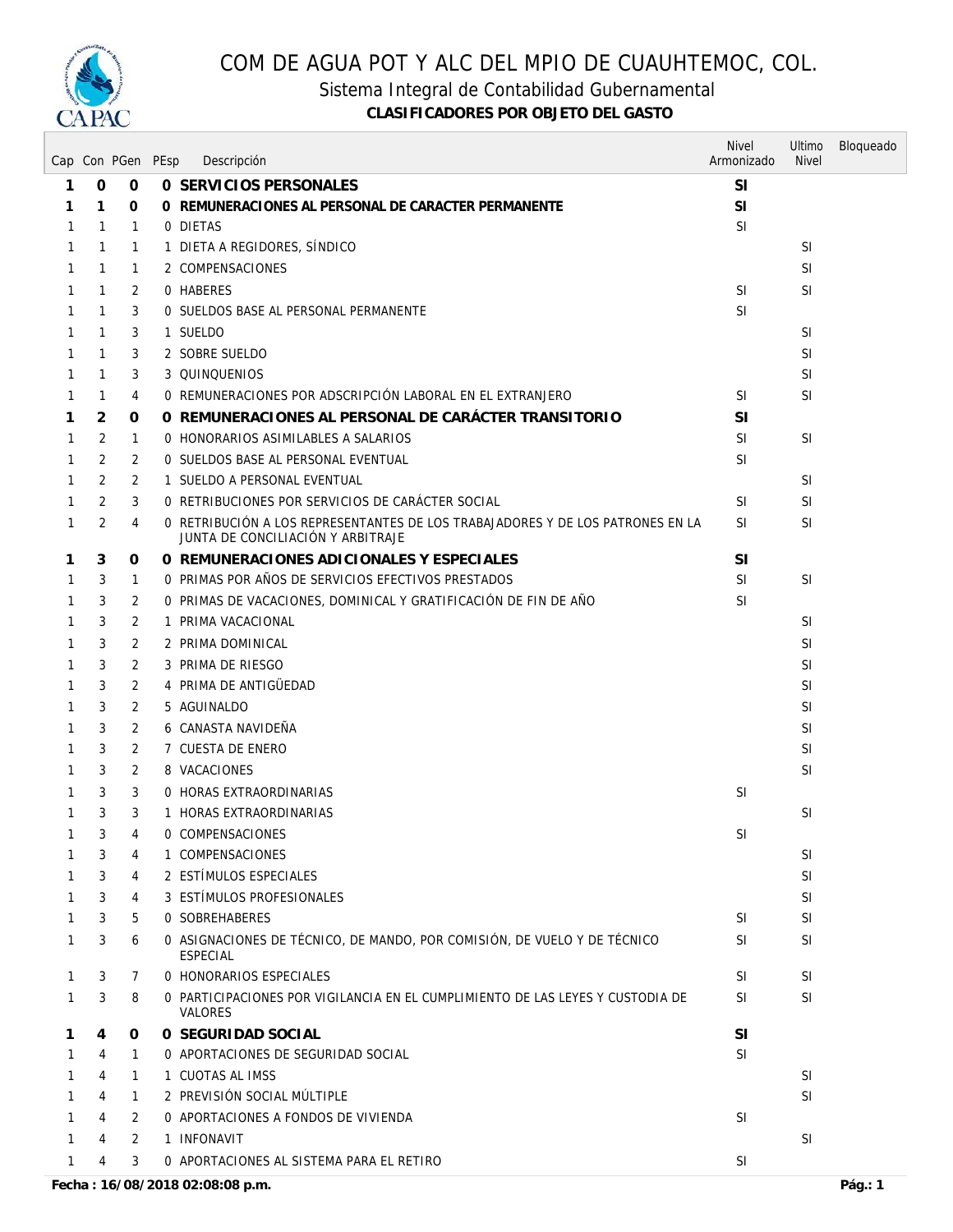

Sistema Integral de Contabilidad Gubernamental

|              |                | Cap Con PGen PEsp | Descripción                                                                                                         | <b>Nivel</b><br>Armonizado | Ultimo<br><b>Nivel</b> | Bloqueado |
|--------------|----------------|-------------------|---------------------------------------------------------------------------------------------------------------------|----------------------------|------------------------|-----------|
| 1            | 0              | $\mathbf 0$       | 0 SERVICIOS PERSONALES                                                                                              | <b>SI</b>                  |                        |           |
| 1            | 1              | 0                 | O REMUNERACIONES AL PERSONAL DE CARACTER PERMANENTE                                                                 | SI                         |                        |           |
| 1            | 1              | 1                 | 0 DIETAS                                                                                                            | <b>SI</b>                  |                        |           |
| 1            | 1              | 1                 | 1 DIETA A REGIDORES, SÍNDICO                                                                                        |                            | <b>SI</b>              |           |
| 1            | 1              | 1                 | 2 COMPENSACIONES                                                                                                    |                            | <b>SI</b>              |           |
| 1            | $\mathbf{1}$   | 2                 | 0 HABERES                                                                                                           | <sup>SI</sup>              | <b>SI</b>              |           |
| 1            | 1              | 3                 | 0 SUELDOS BASE AL PERSONAL PERMANENTE                                                                               | <b>SI</b>                  |                        |           |
| 1            | 1              | 3                 | 1 SUELDO                                                                                                            |                            | <b>SI</b>              |           |
| 1            | 1              | 3                 | 2 SOBRE SUELDO                                                                                                      |                            | <b>SI</b>              |           |
| 1            | 1              | 3                 | 3 QUINQUENIOS                                                                                                       |                            | <b>SI</b>              |           |
| 1            | 1              | 4                 | 0 REMUNERACIONES POR ADSCRIPCIÓN LABORAL EN EL EXTRANJERO                                                           | <b>SI</b>                  | <b>SI</b>              |           |
| 1            | 2              | 0                 | O REMUNERACIONES AL PERSONAL DE CARÁCTER TRANSITORIO                                                                | <b>SI</b>                  |                        |           |
| 1            | 2              | 1                 | 0 HONORARIOS ASIMILABLES A SALARIOS                                                                                 | <b>SI</b>                  | <b>SI</b>              |           |
| 1            | 2              | 2                 | 0 SUELDOS BASE AL PERSONAL EVENTUAL                                                                                 | <b>SI</b>                  |                        |           |
| 1            | 2              | 2                 | 1 SUELDO A PERSONAL EVENTUAL                                                                                        |                            | <b>SI</b>              |           |
|              | 2              | 3                 | O RETRIBUCIONES POR SERVICIOS DE CARÁCTER SOCIAL                                                                    | <b>SI</b>                  | SI                     |           |
| 1            | $\overline{2}$ | 4                 | O RETRIBUCIÓN A LOS REPRESENTANTES DE LOS TRABAJADORES Y DE LOS PATRONES EN LA<br>JUNTA DE CONCILIACIÓN Y ARBITRAJE | <b>SI</b>                  | <b>SI</b>              |           |
| 1            | 3              | 0                 | O REMUNERACIONES ADICIONALES Y ESPECIALES                                                                           | <b>SI</b>                  |                        |           |
| 1            | 3              | 1                 | 0 PRIMAS POR AÑOS DE SERVICIOS EFECTIVOS PRESTADOS                                                                  | <b>SI</b>                  | <b>SI</b>              |           |
| 1            | 3              | 2                 | O PRIMAS DE VACACIONES, DOMINICAL Y GRATIFICACIÓN DE FIN DE AÑO                                                     | <b>SI</b>                  |                        |           |
| 1            | 3              | 2                 | 1 PRIMA VACACIONAL                                                                                                  |                            | <b>SI</b>              |           |
| 1            | 3              | 2                 | 2 PRIMA DOMINICAL                                                                                                   |                            | <b>SI</b>              |           |
| 1            | 3              | 2                 | 3 PRIMA DE RIESGO                                                                                                   |                            | <b>SI</b>              |           |
| 1            | 3              | 2                 | 4 PRIMA DE ANTIGÜEDAD                                                                                               |                            | <b>SI</b>              |           |
|              | 3              | 2                 | 5 AGUINALDO                                                                                                         |                            | <b>SI</b>              |           |
| 1            | 3              | 2                 | 6 CANASTA NAVIDEÑA                                                                                                  |                            | <b>SI</b>              |           |
| 1            | 3              | 2                 | 7 CUESTA DE ENERO                                                                                                   |                            | <b>SI</b>              |           |
| 1            | 3              | 2                 | 8 VACACIONES                                                                                                        |                            | <b>SI</b>              |           |
| 1            | 3              | 3                 | 0 HORAS EXTRAORDINARIAS                                                                                             | <sup>SI</sup>              |                        |           |
| 1            | 3              | 3                 | 1 HORAS EXTRAORDINARIAS                                                                                             |                            | <sup>SI</sup>          |           |
| $\mathbf{1}$ | 3              | 4                 | 0 COMPENSACIONES                                                                                                    | <b>SI</b>                  |                        |           |
| 1            | 3              | 4                 | 1 COMPENSACIONES                                                                                                    |                            | <b>SI</b>              |           |
| 1            | 3              | 4                 | 2 ESTÍMULOS ESPECIALES                                                                                              |                            | <b>SI</b>              |           |
| 1            | 3              | 4                 | 3 ESTÍMULOS PROFESIONALES                                                                                           |                            | <b>SI</b>              |           |
| 1            | 3              | 5                 | <b>0 SOBREHABERES</b>                                                                                               | SI.                        | <b>SI</b>              |           |
| 1            | 3              | 6                 | 0 ASIGNACIONES DE TÉCNICO, DE MANDO, POR COMISIÓN, DE VUELO Y DE TÉCNICO<br>ESPECIAL                                | <b>SI</b>                  | <b>SI</b>              |           |
| 1            | 3              | 7                 | 0 HONORARIOS ESPECIALES                                                                                             | <b>SI</b>                  | <b>SI</b>              |           |
| 1            | 3              | 8                 | O PARTICIPACIONES POR VIGILANCIA EN EL CUMPLIMIENTO DE LAS LEYES Y CUSTODIA DE<br><b>VALORES</b>                    | <b>SI</b>                  | <b>SI</b>              |           |
| 1            | 4              | 0                 | 0 SEGURIDAD SOCIAL                                                                                                  | SI                         |                        |           |
|              | 4              | 1                 | 0 APORTACIONES DE SEGURIDAD SOCIAL                                                                                  | SI                         |                        |           |
|              | 4              | $\mathbf{1}$      | 1 CUOTAS AL IMSS                                                                                                    |                            | <b>SI</b>              |           |
|              | 4              | 1                 | 2 PREVISIÓN SOCIAL MÚLTIPLE                                                                                         |                            | <b>SI</b>              |           |
|              | 4              | 2                 | 0 APORTACIONES A FONDOS DE VIVIENDA                                                                                 | <b>SI</b>                  |                        |           |
|              | 4              | 2                 | 1 INFONAVIT                                                                                                         |                            | <b>SI</b>              |           |
| 1            | 4              | 3                 | 0 APORTACIONES AL SISTEMA PARA EL RETIRO                                                                            | <b>SI</b>                  |                        |           |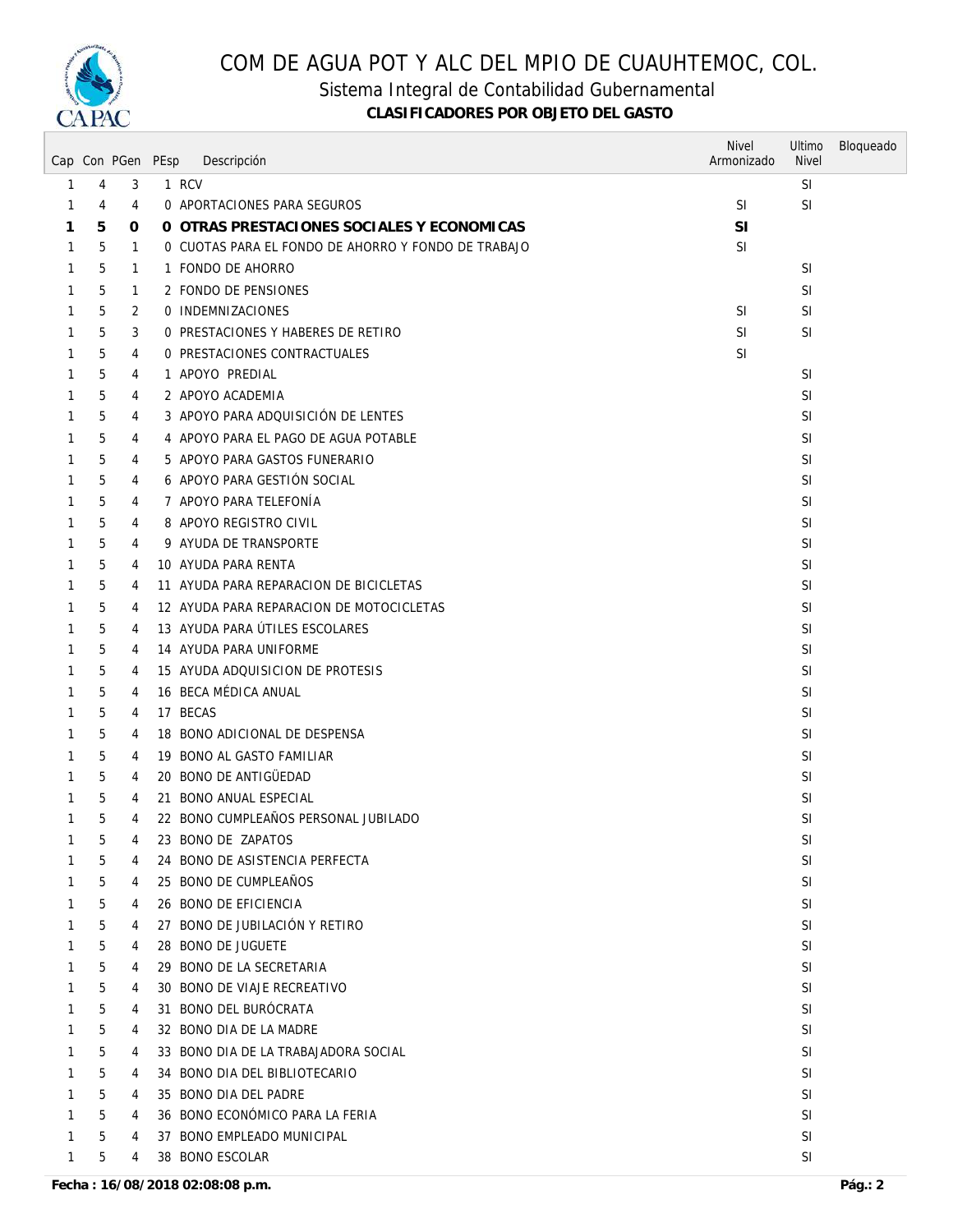

Sistema Integral de Contabilidad Gubernamental

|              |   | Cap Con PGen PEsp | Descripción                                         | <b>Nivel</b><br>Armonizado | Ultimo<br><b>Nivel</b> | Bloqueado |
|--------------|---|-------------------|-----------------------------------------------------|----------------------------|------------------------|-----------|
| 1            | 4 | 3                 | 1 RCV                                               |                            | <b>SI</b>              |           |
| 1            | 4 | 4                 | 0 APORTACIONES PARA SEGUROS                         | <b>SI</b>                  | <b>SI</b>              |           |
| 1            | 5 | 0                 | O OTRAS PRESTACIONES SOCIALES Y ECONOMICAS          | <b>SI</b>                  |                        |           |
| 1            | 5 | $\mathbf{1}$      | 0 CUOTAS PARA EL FONDO DE AHORRO Y FONDO DE TRABAJO | SI                         |                        |           |
| 1            | 5 | $\mathbf{1}$      | 1 FONDO DE AHORRO                                   |                            | <b>SI</b>              |           |
| 1            | 5 | 1                 | 2 FONDO DE PENSIONES                                |                            | <b>SI</b>              |           |
| 1            | 5 | 2                 | 0 INDEMNIZACIONES                                   | <b>SI</b>                  | SI                     |           |
| 1            | 5 | 3                 | 0 PRESTACIONES Y HABERES DE RETIRO                  | SI                         | SI                     |           |
| 1            | 5 | 4                 | 0 PRESTACIONES CONTRACTUALES                        | <b>SI</b>                  |                        |           |
| 1            | 5 | 4                 | 1 APOYO PREDIAL                                     |                            | <b>SI</b>              |           |
| 1            | 5 | 4                 | 2 APOYO ACADEMIA                                    |                            | <b>SI</b>              |           |
| 1            | 5 | 4                 | 3 APOYO PARA ADQUISICIÓN DE LENTES                  |                            | <b>SI</b>              |           |
| 1            | 5 | 4                 | 4 APOYO PARA EL PAGO DE AGUA POTABLE                |                            | <b>SI</b>              |           |
| 1            | 5 | 4                 | 5 APOYO PARA GASTOS FUNERARIO                       |                            | <b>SI</b>              |           |
| 1            | 5 | 4                 | 6 APOYO PARA GESTIÓN SOCIAL                         |                            | <b>SI</b>              |           |
| 1            | 5 | 4                 | 7 APOYO PARA TELEFONÍA                              |                            | SI                     |           |
| 1            | 5 | 4                 | 8 APOYO REGISTRO CIVIL                              |                            | SI                     |           |
| 1            | 5 | 4                 | 9 AYUDA DE TRANSPORTE                               |                            | <b>SI</b>              |           |
| 1            | 5 | 4                 | 10 AYUDA PARA RENTA                                 |                            | <b>SI</b>              |           |
| 1            | 5 | 4                 | 11 AYUDA PARA REPARACION DE BICICLETAS              |                            | <b>SI</b>              |           |
| 1            | 5 | 4                 | 12 AYUDA PARA REPARACION DE MOTOCICLETAS            |                            | <b>SI</b>              |           |
| 1            | 5 | 4                 | 13 AYUDA PARA ÚTILES ESCOLARES                      |                            | <b>SI</b>              |           |
| 1            | 5 | 4                 | 14 AYUDA PARA UNIFORME                              |                            | <b>SI</b>              |           |
| 1            | 5 | 4                 | 15 AYUDA ADQUISICION DE PROTESIS                    |                            | <b>SI</b>              |           |
| 1            | 5 | 4                 | 16 BECA MÉDICA ANUAL                                |                            | <b>SI</b>              |           |
| 1            | 5 | 4                 | 17 BECAS                                            |                            | <b>SI</b>              |           |
| 1            | 5 | 4                 | 18 BONO ADICIONAL DE DESPENSA                       |                            | SI                     |           |
| 1            | 5 | 4                 | 19 BONO AL GASTO FAMILIAR                           |                            | <b>SI</b>              |           |
| 1            | 5 | 4                 | 20 BONO DE ANTIGÜEDAD                               |                            | <b>SI</b>              |           |
| 1            | 5 | 4                 | 21 BONO ANUAL ESPECIAL                              |                            | <b>SI</b>              |           |
| 1            | 5 | 4                 | 22 BONO CUMPLEAÑOS PERSONAL JUBILADO                |                            | <b>SI</b>              |           |
| $\mathbf{1}$ | 5 | $\overline{4}$    | 23 BONO DE ZAPATOS                                  |                            | SI                     |           |
| 1            | 5 | 4                 | 24 BONO DE ASISTENCIA PERFECTA                      |                            | <b>SI</b>              |           |
| 1            | 5 | 4                 | 25 BONO DE CUMPLEAÑOS                               |                            | SI                     |           |
| 1            | 5 | 4                 | 26 BONO DE EFICIENCIA                               |                            | <b>SI</b>              |           |
| 1            | 5 | 4                 | 27 BONO DE JUBILACIÓN Y RETIRO                      |                            | <b>SI</b>              |           |
| 1            | 5 | 4                 | 28 BONO DE JUGUETE                                  |                            | <b>SI</b>              |           |
| 1            | 5 | 4                 | 29 BONO DE LA SECRETARIA                            |                            | <b>SI</b>              |           |
| 1            | 5 | 4                 | 30 BONO DE VIAJE RECREATIVO                         |                            | SI                     |           |
| 1            | 5 | 4                 | 31 BONO DEL BUROCRATA                               |                            | <b>SI</b>              |           |
| 1            | 5 | 4                 | 32 BONO DIA DE LA MADRE                             |                            | <b>SI</b>              |           |
| 1            | 5 | 4                 | 33 BONO DIA DE LA TRABAJADORA SOCIAL                |                            | <b>SI</b>              |           |
| 1            | 5 | 4                 | 34 BONO DIA DEL BIBLIOTECARIO                       |                            | <b>SI</b>              |           |
| 1            | 5 | 4                 | 35 BONO DIA DEL PADRE                               |                            | <b>SI</b>              |           |
| 1            | 5 | 4                 | 36 BONO ECONÓMICO PARA LA FERIA                     |                            | <b>SI</b>              |           |
| 1            | 5 | 4                 | 37 BONO EMPLEADO MUNICIPAL                          |                            | SI                     |           |
| $\mathbf{1}$ | 5 | 4                 | 38 BONO ESCOLAR                                     |                            | SI                     |           |
|              |   |                   |                                                     |                            |                        |           |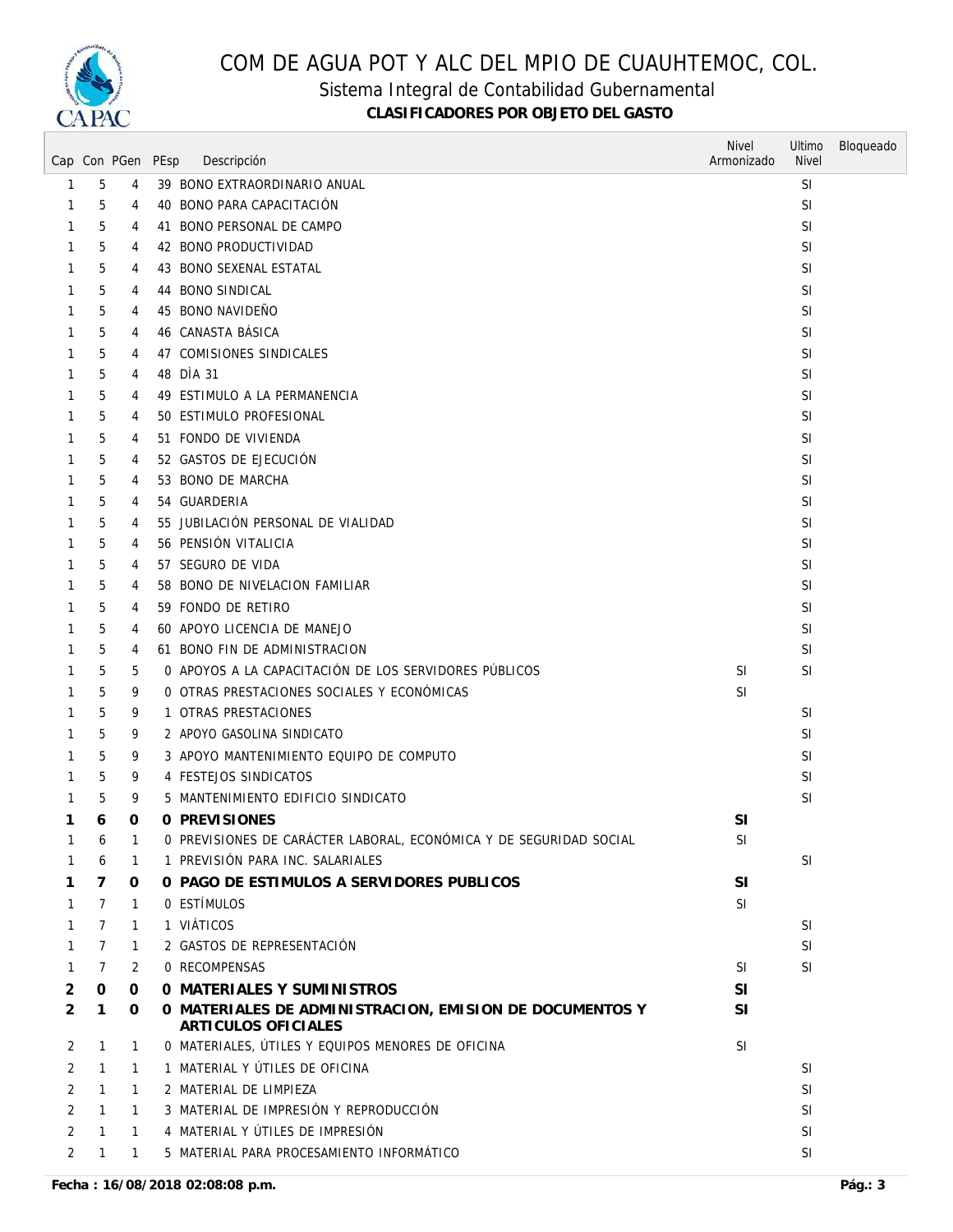

#### Sistema Integral de Contabilidad Gubernamental

|                |   | Cap Con PGen PEsp | Descripción                                                                    | <b>Nivel</b><br>Armonizado | Ultimo<br><b>Nivel</b> | Bloqueado |
|----------------|---|-------------------|--------------------------------------------------------------------------------|----------------------------|------------------------|-----------|
| 1              | 5 | 4                 | 39 BONO EXTRAORDINARIO ANUAL                                                   |                            | <b>SI</b>              |           |
| 1              | 5 | 4                 | 40 BONO PARA CAPACITACIÓN                                                      |                            | <b>SI</b>              |           |
| 1              | 5 | 4                 | 41 BONO PERSONAL DE CAMPO                                                      |                            | <b>SI</b>              |           |
| 1              | 5 | 4                 | 42 BONO PRODUCTIVIDAD                                                          |                            | <b>SI</b>              |           |
|                | 5 | 4                 | 43 BONO SEXENAL ESTATAL                                                        |                            | <b>SI</b>              |           |
| 1              | 5 | 4                 | 44 BONO SINDICAL                                                               |                            | <b>SI</b>              |           |
| 1              | 5 | 4                 | 45 BONO NAVIDEÑO                                                               |                            | <b>SI</b>              |           |
| 1              | 5 | 4                 | 46 CANASTA BÁSICA                                                              |                            | <b>SI</b>              |           |
| 1              | 5 | 4                 | 47 COMISIONES SINDICALES                                                       |                            | <b>SI</b>              |           |
| 1              | 5 | 4                 | 48 DÌA 31                                                                      |                            | SI                     |           |
| 1              | 5 | 4                 | 49 ESTIMULO A LA PERMANENCIA                                                   |                            | <b>SI</b>              |           |
| 1              | 5 | 4                 | 50 ESTIMULO PROFESIONAL                                                        |                            | SI                     |           |
| 1              | 5 | 4                 | 51 FONDO DE VIVIENDA                                                           |                            | <b>SI</b>              |           |
|                | 5 | 4                 | 52 GASTOS DE EJECUCIÓN                                                         |                            | <b>SI</b>              |           |
| 1              | 5 | 4                 | 53 BONO DE MARCHA                                                              |                            | SI                     |           |
|                | 5 | 4                 | 54 GUARDERIA                                                                   |                            | SI                     |           |
| 1              | 5 | 4                 | 55 JUBILACIÓN PERSONAL DE VIALIDAD                                             |                            | SI                     |           |
| 1              | 5 | 4                 | 56 PENSIÓN VITALICIA                                                           |                            | <b>SI</b>              |           |
|                | 5 | 4                 | 57 SEGURO DE VIDA                                                              |                            | <b>SI</b>              |           |
| 1              | 5 | 4                 | 58 BONO DE NIVELACION FAMILIAR                                                 |                            | <b>SI</b>              |           |
| 1              | 5 | 4                 | 59 FONDO DE RETIRO                                                             |                            | <b>SI</b>              |           |
| 1              | 5 | 4                 | 60 APOYO LICENCIA DE MANEJO                                                    |                            | <b>SI</b>              |           |
| 1              | 5 | 4                 | 61 BONO FIN DE ADMINISTRACION                                                  |                            | <b>SI</b>              |           |
| 1              | 5 | 5                 | 0 APOYOS A LA CAPACITACIÓN DE LOS SERVIDORES PUBLICOS                          | <b>SI</b>                  | <b>SI</b>              |           |
| 1              | 5 | 9                 | O OTRAS PRESTACIONES SOCIALES Y ECONÓMICAS                                     | <b>SI</b>                  |                        |           |
| 1              | 5 | 9                 | 1 OTRAS PRESTACIONES                                                           |                            | <b>SI</b>              |           |
|                | 5 | 9                 | 2 APOYO GASOLINA SINDICATO                                                     |                            | <b>SI</b>              |           |
| 1              | 5 | 9                 | 3 APOYO MANTENIMIENTO EQUIPO DE COMPUTO                                        |                            | <b>SI</b>              |           |
|                | 5 | 9                 | 4 FESTEJOS SINDICATOS                                                          |                            | <b>SI</b>              |           |
| 1              | 5 | 9                 | 5 MANTENIMIENTO EDIFICIO SINDICATO                                             |                            | <b>SI</b>              |           |
| 1              | 6 | 0                 | 0 PREVISIONES                                                                  | SI                         |                        |           |
|                | 6 | 1                 | O PREVISIONES DE CARÁCTER LABORAL, ECONÓMICA Y DE SEGURIDAD SOCIAL             | SI                         |                        |           |
|                | 6 | $\mathbf{1}$      | 1 PREVISIÓN PARA INC. SALARIALES                                               |                            | <b>SI</b>              |           |
| 1              | 7 | 0                 | O PAGO DE ESTIMULOS A SERVIDORES PUBLICOS                                      | SI                         |                        |           |
| 1              | 7 | $\mathbf{1}$      | 0 ESTÍMULOS                                                                    | SI                         |                        |           |
| 1              | 7 | 1                 | 1 VIÁTICOS                                                                     |                            | <b>SI</b>              |           |
| 1              | 7 | 1                 | 2 GASTOS DE REPRESENTACIÓN                                                     |                            | SI                     |           |
| $\mathbf{1}$   | 7 | 2                 | 0 RECOMPENSAS                                                                  | <b>SI</b>                  | SI                     |           |
| 2              | 0 | 0                 | 0 MATERIALES Y SUMINISTROS                                                     | SI                         |                        |           |
| $\overline{2}$ | 1 | 0                 | O MATERIALES DE ADMINISTRACION, EMISION DE DOCUMENTOS Y<br>ARTICULOS OFICIALES | <b>SI</b>                  |                        |           |
| 2              | 1 | $\mathbf{1}$      | O MATERIALES, ÚTILES Y EQUIPOS MENORES DE OFICINA                              | <b>SI</b>                  |                        |           |
| 2              | 1 | $\mathbf{1}$      | 1 MATERIAL Y ÚTILES DE OFICINA                                                 |                            | <b>SI</b>              |           |
| 2              | 1 | 1                 | 2 MATERIAL DE LIMPIEZA                                                         |                            | <b>SI</b>              |           |
| 2              | 1 | $\mathbf{1}$      | 3 MATERIAL DE IMPRESIÓN Y REPRODUCCIÓN                                         |                            | <b>SI</b>              |           |
| 2              | 1 | $\mathbf{1}$      | 4 MATERIAL Y ÚTILES DE IMPRESIÓN                                               |                            | <b>SI</b>              |           |
| 2              | 1 | $\mathbf{1}$      | 5 MATERIAL PARA PROCESAMIENTO INFORMÁTICO                                      |                            | SI                     |           |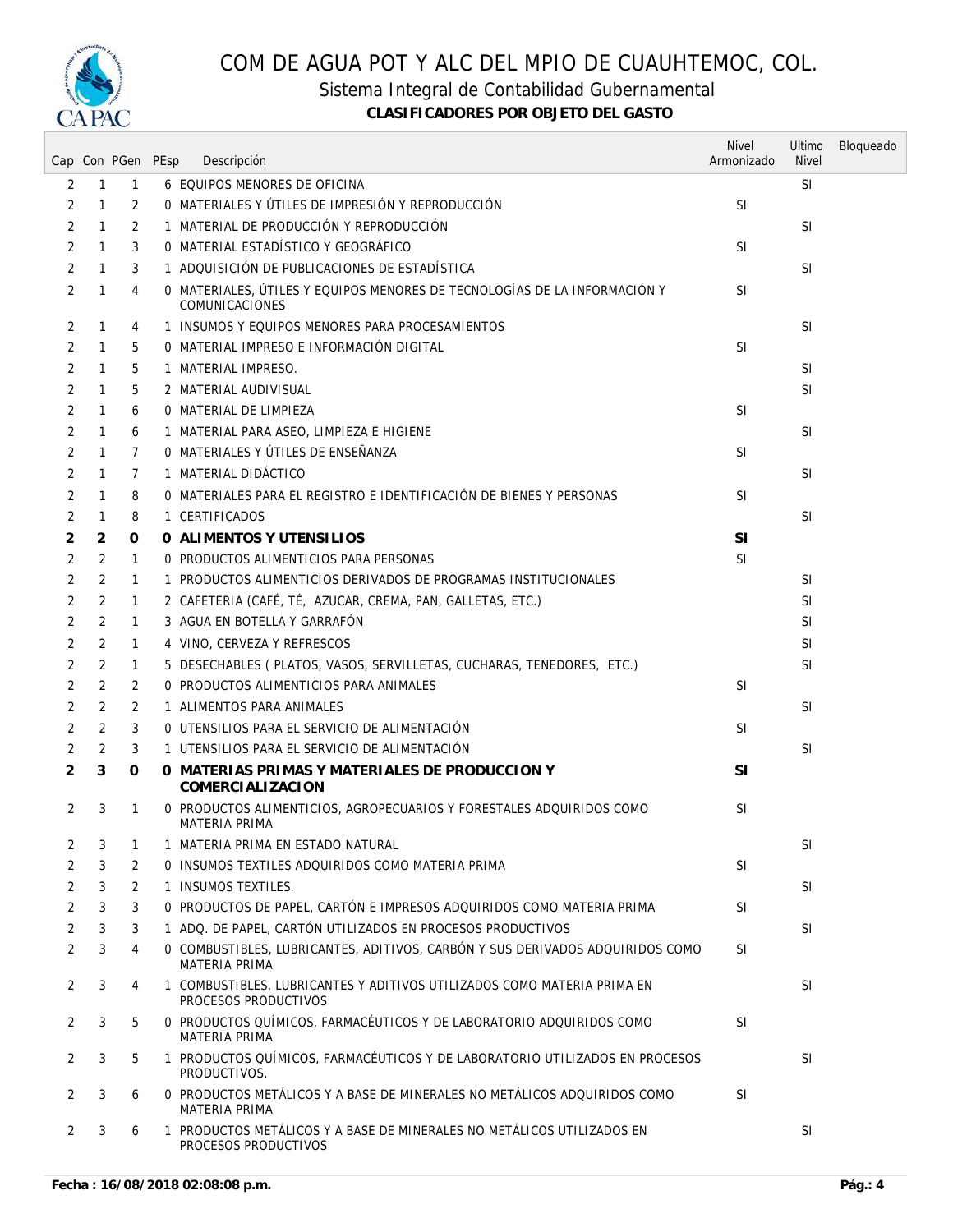

Sistema Integral de Contabilidad Gubernamental

|                |                | Cap Con PGen PEsp | Descripción                                                                                           | <b>Nivel</b><br>Armonizado | Ultimo<br><b>Nivel</b> | Bloqueado |
|----------------|----------------|-------------------|-------------------------------------------------------------------------------------------------------|----------------------------|------------------------|-----------|
| 2              | $\mathbf{1}$   | $\mathbf{1}$      | 6 EQUIPOS MENORES DE OFICINA                                                                          |                            | <b>SI</b>              |           |
| 2              | $\mathbf{1}$   | 2                 | O MATERIALES Y ÚTILES DE IMPRESIÓN Y REPRODUCCIÓN                                                     | <b>SI</b>                  |                        |           |
| 2              | 1              | 2                 | 1 MATERIAL DE PRODUCCIÓN Y REPRODUCCIÓN                                                               |                            | SI                     |           |
| 2              | $\mathbf{1}$   | 3                 | 0 MATERIAL ESTADÍSTICO Y GEOGRÁFICO                                                                   | <b>SI</b>                  |                        |           |
| $\overline{2}$ | 1              | 3                 | 1 ADQUISICIÓN DE PUBLICACIONES DE ESTADÍSTICA                                                         |                            | SI                     |           |
| 2              | 1              | 4                 | 0 MATERIALES, ÚTILES Y EQUIPOS MENORES DE TECNOLOGÍAS DE LA INFORMACIÓN Y<br>COMUNICACIONES           | <b>SI</b>                  |                        |           |
| 2              | 1              | 4                 | 1 INSUMOS Y EQUIPOS MENORES PARA PROCESAMIENTOS                                                       |                            | SI                     |           |
| 2              | $\mathbf{1}$   | 5                 | O MATERIAL IMPRESO E INFORMACIÓN DIGITAL                                                              | <b>SI</b>                  |                        |           |
| $\overline{2}$ | $\mathbf{1}$   | 5                 | 1 MATERIAL IMPRESO.                                                                                   |                            | SI                     |           |
| $\overline{2}$ | 1              | 5                 | 2 MATERIAL AUDIVISUAL                                                                                 |                            | <b>SI</b>              |           |
| 2              | 1              | 6                 | 0 MATERIAL DE LIMPIEZA                                                                                | <b>SI</b>                  |                        |           |
| 2              | 1              | 6                 | 1 MATERIAL PARA ASEO, LIMPIEZA E HIGIENE                                                              |                            | SI.                    |           |
| 2              | $\mathbf{1}$   | $\overline{7}$    | O MATERIALES Y ÚTILES DE ENSEÑANZA                                                                    | <b>SI</b>                  |                        |           |
| 2              | 1              | 7                 | 1 MATERIAL DIDÁCTICO                                                                                  |                            | <b>SI</b>              |           |
| 2              | 1              | 8                 | O MATERIALES PARA EL REGISTRO E IDENTIFICACIÓN DE BIENES Y PERSONAS                                   | <b>SI</b>                  |                        |           |
| 2              | 1              | 8                 | 1 CERTIFICADOS                                                                                        |                            | <b>SI</b>              |           |
| 2              | 2              | 0                 | O ALIMENTOS Y UTENSILIOS                                                                              | <b>SI</b>                  |                        |           |
| 2              | 2              | $\mathbf{1}$      | O PRODUCTOS ALIMENTICIOS PARA PERSONAS                                                                | <b>SI</b>                  |                        |           |
| 2              | 2              | $\mathbf{1}$      | 1 PRODUCTOS ALIMENTICIOS DERIVADOS DE PROGRAMAS INSTITUCIONALES                                       |                            | <b>SI</b>              |           |
| 2              | 2              | $\mathbf{1}$      | 2 CAFETERIA (CAFÉ, TÉ, AZUCAR, CREMA, PAN, GALLETAS, ETC.)                                            |                            | <b>SI</b>              |           |
| 2              | 2              | 1                 | 3 AGUA EN BOTELLA Y GARRAFÓN                                                                          |                            | <b>SI</b>              |           |
| 2              | 2              | 1                 | 4 VINO, CERVEZA Y REFRESCOS                                                                           |                            | <b>SI</b>              |           |
| 2              | 2              | $\mathbf{1}$      | 5 DESECHABLES ( PLATOS, VASOS, SERVILLETAS, CUCHARAS, TENEDORES, ETC.)                                |                            | SI                     |           |
| 2              | $\overline{2}$ | 2                 | 0 PRODUCTOS ALIMENTICIOS PARA ANIMALES                                                                | <b>SI</b>                  |                        |           |
| 2              | 2              | 2                 | 1 ALIMENTOS PARA ANIMALES                                                                             |                            | SI                     |           |
| $\overline{2}$ | 2              | 3                 | O UTENSILIOS PARA EL SERVICIO DE ALIMENTACIÓN                                                         | <b>SI</b>                  |                        |           |
| 2              | 2              | 3                 | 1 UTENSILIOS PARA EL SERVICIO DE ALIMENTACIÓN                                                         |                            | <b>SI</b>              |           |
| $\overline{2}$ | 3              | 0                 | O MATERIAS PRIMAS Y MATERIALES DE PRODUCCION Y<br>COMERCIALIZACION                                    | <b>SI</b>                  |                        |           |
| 2              | 3              | 1                 | 0 PRODUCTOS ALIMENTICIOS, AGROPECUARIOS Y FORESTALES ADQUIRIDOS COMO<br><b>MATERIA PRIMA</b>          | <b>SI</b>                  |                        |           |
| 2              | 3              | 1                 | 1 MATERIA PRIMA EN ESTADO NATURAL                                                                     |                            | <b>SI</b>              |           |
| 2              | 3              | 2                 | O INSUMOS TEXTILES ADQUIRIDOS COMO MATERIA PRIMA                                                      | <b>SI</b>                  |                        |           |
| 2              | 3              | 2                 | 1 INSUMOS TEXTILES.                                                                                   |                            | <b>SI</b>              |           |
| 2              | 3              | 3                 | O PRODUCTOS DE PAPEL, CARTÓN E IMPRESOS ADQUIRIDOS COMO MATERIA PRIMA                                 | <b>SI</b>                  |                        |           |
| 2              | 3              | 3                 | 1 ADQ. DE PAPEL, CARTÓN UTILIZADOS EN PROCESOS PRODUCTIVOS                                            |                            | SI                     |           |
| 2              | 3              | 4                 | O COMBUSTIBLES, LUBRICANTES, ADITIVOS, CARBÓN Y SUS DERIVADOS ADQUIRIDOS COMO<br><b>MATERIA PRIMA</b> | <b>SI</b>                  |                        |           |
| 2              | 3              | 4                 | 1 COMBUSTIBLES, LUBRICANTES Y ADITIVOS UTILIZADOS COMO MATERIA PRIMA EN<br>PROCESOS PRODUCTIVOS       |                            | <b>SI</b>              |           |
| 2              | 3              | 5                 | 0 PRODUCTOS QUÍMICOS, FARMACÉUTICOS Y DE LABORATORIO ADQUIRIDOS COMO<br><b>MATERIA PRIMA</b>          | <b>SI</b>                  |                        |           |
| 2              | 3              | 5                 | 1 PRODUCTOS QUÍMICOS, FARMACÉUTICOS Y DE LABORATORIO UTILIZADOS EN PROCESOS<br>PRODUCTIVOS.           |                            | <b>SI</b>              |           |
| 2              | 3              | 6                 | 0 PRODUCTOS METÁLICOS Y A BASE DE MINERALES NO METÁLICOS ADQUIRIDOS COMO<br><b>MATERIA PRIMA</b>      | <b>SI</b>                  |                        |           |
| 2              | 3              | 6                 | 1 PRODUCTOS METÁLICOS Y A BASE DE MINERALES NO METÁLICOS UTILIZADOS EN<br>PROCESOS PRODUCTIVOS        |                            | SI                     |           |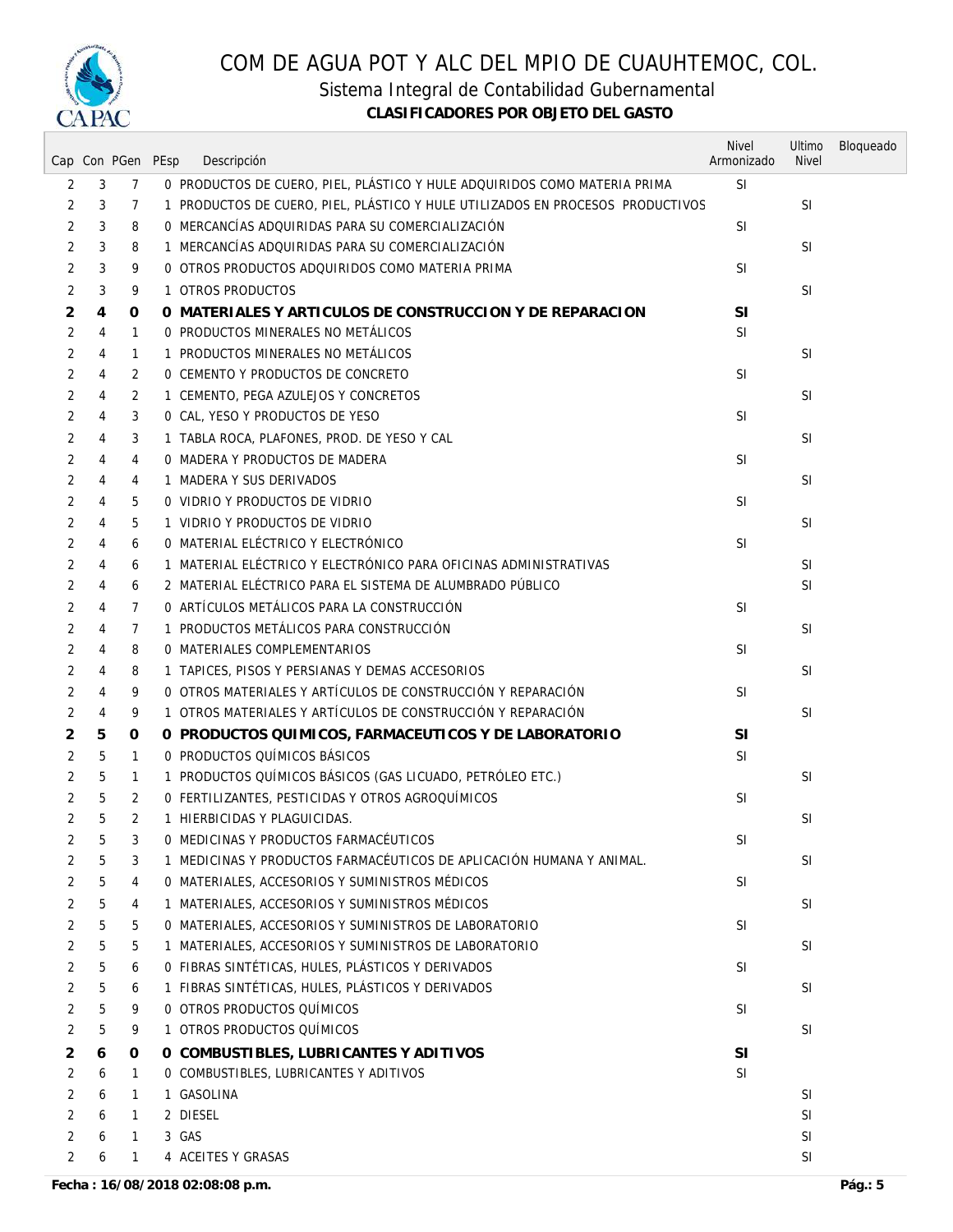

Sistema Integral de Contabilidad Gubernamental

|                |   | Cap Con PGen PEsp |       | Descripción                                                                    | <b>Nivel</b><br>Armonizado | Ultimo<br><b>Nivel</b> | Bloqueado |
|----------------|---|-------------------|-------|--------------------------------------------------------------------------------|----------------------------|------------------------|-----------|
| 2              | 3 | 7                 |       | 0 PRODUCTOS DE CUERO, PIEL, PLÁSTICO Y HULE ADQUIRIDOS COMO MATERIA PRIMA      | <b>SI</b>                  |                        |           |
| 2              | 3 | 7                 |       | 1 PRODUCTOS DE CUERO, PIEL, PLÁSTICO Y HULE UTILIZADOS EN PROCESOS PRODUCTIVOS |                            | <b>SI</b>              |           |
| 2              | 3 | 8                 |       | 0 MERCANCÍAS ADQUIRIDAS PARA SU COMERCIALIZACIÓN                               | <b>SI</b>                  |                        |           |
| $\overline{2}$ | 3 | 8                 |       | 1 MERCANCÍAS ADQUIRIDAS PARA SU COMERCIALIZACIÓN                               |                            | <b>SI</b>              |           |
| 2              | 3 | 9                 |       | 0 OTROS PRODUCTOS ADQUIRIDOS COMO MATERIA PRIMA                                | <b>SI</b>                  |                        |           |
| 2              | 3 | 9                 |       | 1 OTROS PRODUCTOS                                                              |                            | <b>SI</b>              |           |
| 2              | 4 | 0                 |       | O MATERIALES Y ARTICULOS DE CONSTRUCCION Y DE REPARACION                       | <b>SI</b>                  |                        |           |
| $\overline{2}$ | 4 | $\mathbf{1}$      |       | 0 PRODUCTOS MINERALES NO METÁLICOS                                             | <b>SI</b>                  |                        |           |
| 2              | 4 | $\mathbf{1}$      |       | 1 PRODUCTOS MINERALES NO METÁLICOS                                             |                            | <b>SI</b>              |           |
| 2              | 4 | 2                 |       | 0 CEMENTO Y PRODUCTOS DE CONCRETO                                              | <b>SI</b>                  |                        |           |
| 2              | 4 | 2                 |       | 1 CEMENTO, PEGA AZULEJOS Y CONCRETOS                                           |                            | <b>SI</b>              |           |
| 2              | 4 | 3                 |       | 0 CAL, YESO Y PRODUCTOS DE YESO                                                | <b>SI</b>                  |                        |           |
| 2              | 4 | 3                 |       | 1 TABLA ROCA, PLAFONES, PROD. DE YESO Y CAL                                    |                            | <b>SI</b>              |           |
| 2              | 4 | 4                 |       | 0 MADERA Y PRODUCTOS DE MADERA                                                 | <b>SI</b>                  |                        |           |
| 2              | 4 | 4                 |       | 1 MADERA Y SUS DERIVADOS                                                       |                            | <b>SI</b>              |           |
| 2              | 4 | 5                 |       | 0 VIDRIO Y PRODUCTOS DE VIDRIO                                                 | <b>SI</b>                  |                        |           |
| 2              | 4 | 5                 |       | 1 VIDRIO Y PRODUCTOS DE VIDRIO                                                 |                            | <b>SI</b>              |           |
| $\overline{2}$ | 4 | 6                 |       | O MATERIAL ELÉCTRICO Y ELECTRÓNICO                                             | <b>SI</b>                  |                        |           |
| 2              | 4 | 6                 |       | 1 MATERIAL ELÉCTRICO Y ELECTRÓNICO PARA OFICINAS ADMINISTRATIVAS               |                            | <b>SI</b>              |           |
| 2              | 4 | 6                 |       | 2 MATERIAL ELÉCTRICO PARA EL SISTEMA DE ALUMBRADO PÚBLICO                      |                            | <b>SI</b>              |           |
| $\overline{2}$ | 4 | 7                 |       | O ARTÍCULOS METÁLICOS PARA LA CONSTRUCCIÓN                                     | <b>SI</b>                  |                        |           |
| $\overline{2}$ | 4 | 7                 |       | 1 PRODUCTOS METÁLICOS PARA CONSTRUCCIÓN                                        |                            | <b>SI</b>              |           |
| 2              | 4 | 8                 |       | 0 MATERIALES COMPLEMENTARIOS                                                   | <b>SI</b>                  |                        |           |
| 2              | 4 | 8                 |       | 1 TAPICES, PISOS Y PERSIANAS Y DEMAS ACCESORIOS                                |                            | <b>SI</b>              |           |
| 2              | 4 | 9                 |       | 0 OTROS MATERIALES Y ARTÍCULOS DE CONSTRUCCIÓN Y REPARACIÓN                    | <sup>SI</sup>              |                        |           |
| 2              | 4 | 9                 |       | 1 OTROS MATERIALES Y ARTÍCULOS DE CONSTRUCCIÓN Y REPARACIÓN                    |                            | <b>SI</b>              |           |
| 2              | 5 | 0                 |       | O PRODUCTOS QUIMICOS, FARMACEUTICOS Y DE LABORATORIO                           | SI                         |                        |           |
| 2              | 5 | $\mathbf{1}$      |       | 0 PRODUCTOS QUÍMICOS BÁSICOS                                                   | <b>SI</b>                  |                        |           |
| 2              | 5 | $\mathbf{1}$      |       | 1 PRODUCTOS QUÍMICOS BÁSICOS (GAS LICUADO, PETRÓLEO ETC.)                      |                            | <b>SI</b>              |           |
| 2              | 5 | 2                 |       | 0 FERTILIZANTES, PESTICIDAS Y OTROS AGROQUÍMICOS                               | <b>SI</b>                  |                        |           |
| 2              | 5 | 2                 |       | 1 HIERBICIDAS Y PLAGUICIDAS.                                                   |                            | SI                     |           |
| $\overline{2}$ | 5 | 3                 |       | 0 MEDICINAS Y PRODUCTOS FARMACÉUTICOS                                          | SI                         |                        |           |
| 2              | 5 | 3                 |       | 1 MEDICINAS Y PRODUCTOS FARMACÉUTICOS DE APLICACIÓN HUMANA Y ANIMAL.           |                            | <b>SI</b>              |           |
| 2              | 5 | 4                 |       | O MATERIALES, ACCESORIOS Y SUMINISTROS MÉDICOS                                 | <b>SI</b>                  |                        |           |
| 2              | 5 | 4                 |       | 1 MATERIALES, ACCESORIOS Y SUMINISTROS MÉDICOS                                 |                            | SI                     |           |
| 2              |   | 5                 |       | O MATERIALES, ACCESORIOS Y SUMINISTROS DE LABORATORIO                          | <b>SI</b>                  |                        |           |
| 2              | 5 | 5                 |       | 1 MATERIALES, ACCESORIOS Y SUMINISTROS DE LABORATORIO                          |                            | <b>SI</b>              |           |
| 2              | 5 | 6                 |       | O FIBRAS SINTÉTICAS, HULES, PLÁSTICOS Y DERIVADOS                              | <b>SI</b>                  |                        |           |
| 2              | 5 | 6                 |       | 1 FIBRAS SINTÉTICAS, HULES, PLÁSTICOS Y DERIVADOS                              |                            | <b>SI</b>              |           |
| 2              | 5 | 9                 |       | 0 OTROS PRODUCTOS QUÍMICOS                                                     | <b>SI</b>                  |                        |           |
| 2              | 5 | 9                 |       | 1 OTROS PRODUCTOS QUÍMICOS                                                     |                            | SI                     |           |
|                | 5 |                   |       |                                                                                |                            |                        |           |
| 2              | 6 | 0                 |       | O COMBUSTIBLES, LUBRICANTES Y ADITIVOS                                         | SI                         |                        |           |
| 2              | 6 | $\mathbf{1}$      |       | O COMBUSTIBLES, LUBRICANTES Y ADITIVOS                                         | <b>SI</b>                  | <b>SI</b>              |           |
| 2              | 6 | $\mathbf{1}$      |       | 1 GASOLINA<br>2 DIESEL                                                         |                            |                        |           |
| $\overline{2}$ | 6 | $\mathbf{1}$      |       |                                                                                |                            | SI                     |           |
| 2              | 6 | 1                 | 3 GAS |                                                                                |                            | SI<br><b>SI</b>        |           |
| 2              | 6 | $\mathbf{1}$      |       | 4 ACEITES Y GRASAS                                                             |                            |                        |           |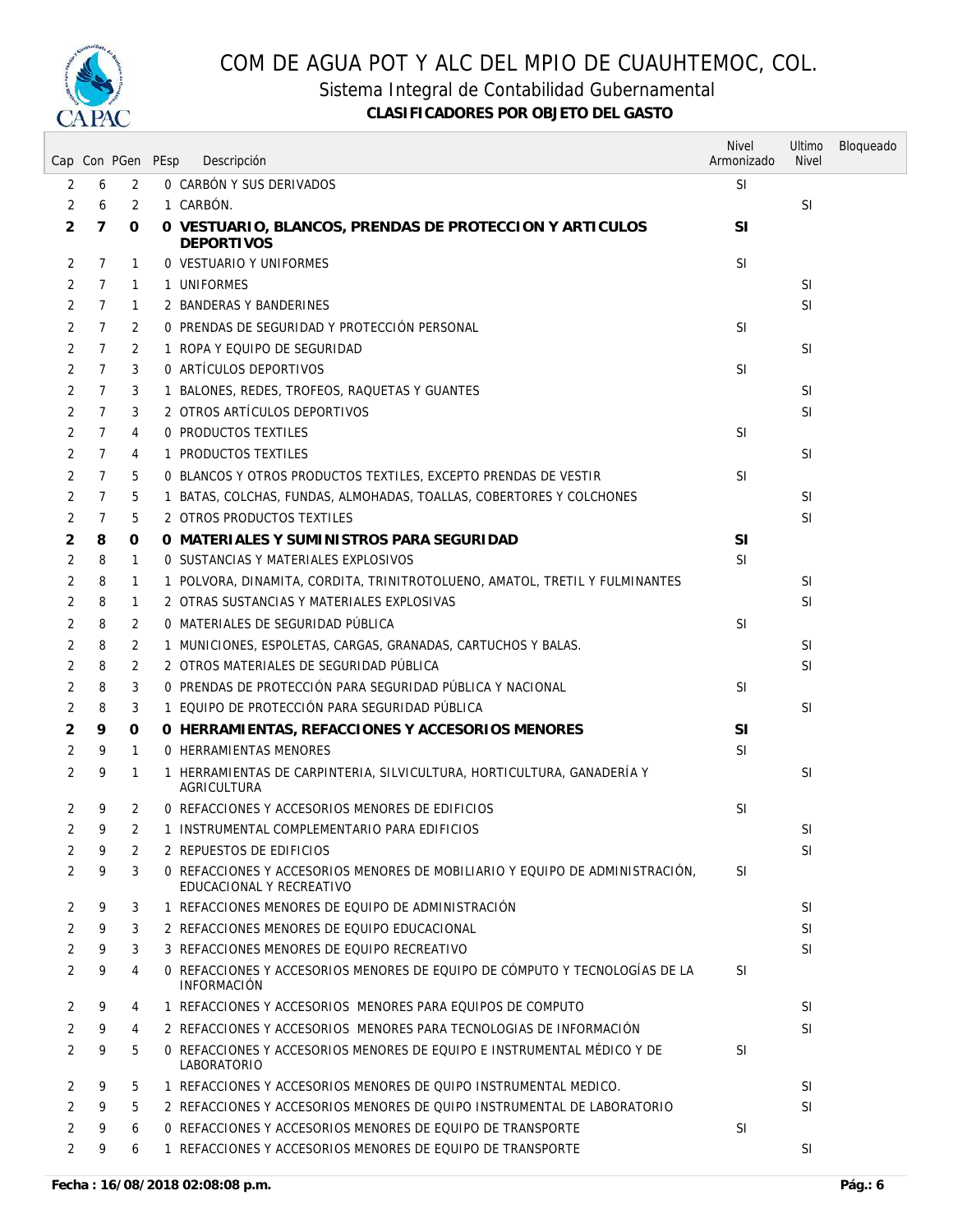

Sistema Integral de Contabilidad Gubernamental

|   |                | Cap Con PGen PEsp | Descripción                                                                                              | <b>Nivel</b><br>Armonizado | Ultimo<br><b>Nivel</b> | Bloqueado |
|---|----------------|-------------------|----------------------------------------------------------------------------------------------------------|----------------------------|------------------------|-----------|
| 2 | 6              | 2                 | O CARBÓN Y SUS DERIVADOS                                                                                 | <b>SI</b>                  |                        |           |
| 2 | 6              | $\overline{2}$    | 1 CARBÓN.                                                                                                |                            | SI                     |           |
| 2 | 7              | 0                 | O VESTUARIO, BLANCOS, PRENDAS DE PROTECCION Y ARTICULOS<br><b>DEPORTIVOS</b>                             | <b>SI</b>                  |                        |           |
| 2 | $\overline{7}$ | $\mathbf{1}$      | <b>0 VESTUARIO Y UNIFORMES</b>                                                                           | <b>SI</b>                  |                        |           |
| 2 | 7              | 1                 | 1 UNIFORMES                                                                                              |                            | <b>SI</b>              |           |
| 2 | 7              | $\mathbf{1}$      | 2 BANDERAS Y BANDERINES                                                                                  |                            | <b>SI</b>              |           |
| 2 | $\mathcal{I}$  | 2                 | O PRENDAS DE SEGURIDAD Y PROTECCIÓN PERSONAL                                                             | <b>SI</b>                  |                        |           |
| 2 | $\mathcal{I}$  | 2                 | 1 ROPA Y EQUIPO DE SEGURIDAD                                                                             |                            | <b>SI</b>              |           |
| 2 | $\mathcal{I}$  | 3                 | 0 ARTÍCULOS DEPORTIVOS                                                                                   | <b>SI</b>                  |                        |           |
| 2 | 7              | 3                 | 1 BALONES, REDES, TROFEOS, RAQUETAS Y GUANTES                                                            |                            | <b>SI</b>              |           |
| 2 | $\overline{7}$ | 3                 | 2 OTROS ARTÍCULOS DEPORTIVOS                                                                             |                            | <b>SI</b>              |           |
| 2 | $\mathcal{I}$  | 4                 | 0 PRODUCTOS TEXTILES                                                                                     | <b>SI</b>                  |                        |           |
| 2 | 7              | 4                 | 1 PRODUCTOS TEXTILES                                                                                     |                            | <b>SI</b>              |           |
| 2 | 7              | 5                 | 0 BLANCOS Y OTROS PRODUCTOS TEXTILES, EXCEPTO PRENDAS DE VESTIR                                          | <b>SI</b>                  |                        |           |
| 2 | 7              | 5                 | 1 BATAS, COLCHAS, FUNDAS, ALMOHADAS, TOALLAS, COBERTORES Y COLCHONES                                     |                            | <b>SI</b>              |           |
| 2 | 7              | 5                 | 2 OTROS PRODUCTOS TEXTILES                                                                               |                            | <b>SI</b>              |           |
| 2 | 8              | 0                 | O MATERIALES Y SUMINISTROS PARA SEGURIDAD                                                                | SI                         |                        |           |
| 2 | 8              | $\mathbf{1}$      | O SUSTANCIAS Y MATERIALES EXPLOSIVOS                                                                     | <b>SI</b>                  |                        |           |
| 2 | 8              | $\mathbf{1}$      | 1 POLVORA, DINAMITA, CORDITA, TRINITROTOLUENO, AMATOL, TRETIL Y FULMINANTES                              |                            | <b>SI</b>              |           |
| 2 | 8              | $\mathbf{1}$      | 2 OTRAS SUSTANCIAS Y MATERIALES EXPLOSIVAS                                                               |                            | <b>SI</b>              |           |
| 2 | 8              | 2                 | 0 MATERIALES DE SEGURIDAD PÜBLICA                                                                        | <b>SI</b>                  |                        |           |
| 2 | 8              | 2                 | 1 MUNICIONES, ESPOLETAS, CARGAS, GRANADAS, CARTUCHOS Y BALAS.                                            |                            | <b>SI</b>              |           |
| 2 | 8              | 2                 | 2 OTROS MATERIALES DE SEGURIDAD PÚBLICA                                                                  |                            | <b>SI</b>              |           |
| 2 | 8              | 3                 | O PRENDAS DE PROTECCIÓN PARA SEGURIDAD PÚBLICA Y NACIONAL                                                | <b>SI</b>                  |                        |           |
| 2 | 8              | 3                 | 1 EQUIPO DE PROTECCIÓN PARA SEGURIDAD PÚBLICA                                                            |                            | <b>SI</b>              |           |
| 2 | 9              | 0                 | O HERRAMIENTAS, REFACCIONES Y ACCESORIOS MENORES                                                         | <b>SI</b>                  |                        |           |
| 2 | 9              | $\mathbf{1}$      | 0 HERRAMIENTAS MENORES                                                                                   | SI                         |                        |           |
| 2 | 9              | $\mathbf{1}$      | 1 HERRAMIENTAS DE CARPINTERIA, SILVICULTURA, HORTICULTURA, GANADERÍA Y<br>AGRICULTURA                    |                            | <b>SI</b>              |           |
| 2 | 9              | 2                 | O REFACCIONES Y ACCESORIOS MENORES DE EDIFICIOS                                                          | SI                         |                        |           |
| 2 | 9              | 2                 | 1 INSTRUMENTAL COMPLEMENTARIO PARA EDIFICIOS                                                             |                            | <b>SI</b>              |           |
| 2 | 9              | 2                 | 2 REPUESTOS DE EDIFICIOS                                                                                 |                            | <b>SI</b>              |           |
| 2 | 9              | 3                 | 0 REFACCIONES Y ACCESORIOS MENORES DE MOBILIARIO Y EQUIPO DE ADMINISTRACIÓN.<br>EDUCACIONAL Y RECREATIVO | <b>SI</b>                  |                        |           |
| 2 | 9              | 3                 | 1 REFACCIONES MENORES DE EOUIPO DE ADMINISTRACIÓN                                                        |                            | <b>SI</b>              |           |
| 2 | 9              | 3                 | 2 REFACCIONES MENORES DE EQUIPO EDUCACIONAL                                                              |                            | <b>SI</b>              |           |
| 2 | 9              | 3                 | 3 REFACCIONES MENORES DE EQUIPO RECREATIVO                                                               |                            | <b>SI</b>              |           |
| 2 | 9              | 4                 | 0 REFACCIONES Y ACCESORIOS MENORES DE EQUIPO DE CÓMPUTO Y TECNOLOGÍAS DE LA<br><b>INFORMACIÓN</b>        | <b>SI</b>                  |                        |           |
| 2 | 9              | 4                 | 1 REFACCIONES Y ACCESORIOS MENORES PARA EQUIPOS DE COMPUTO                                               |                            | <sup>SI</sup>          |           |
| 2 | 9              | 4                 | 2 REFACCIONES Y ACCESORIOS MENORES PARA TECNOLOGIAS DE INFORMACIÓN                                       |                            | <b>SI</b>              |           |
| 2 | 9              | 5                 | 0 REFACCIONES Y ACCESORIOS MENORES DE EQUIPO E INSTRUMENTAL MÉDICO Y DE<br><b>LABORATORIO</b>            | <b>SI</b>                  |                        |           |
| 2 | 9              | 5                 | 1 REFACCIONES Y ACCESORIOS MENORES DE QUIPO INSTRUMENTAL MEDICO.                                         |                            | <b>SI</b>              |           |
| 2 | 9              | 5                 | 2 REFACCIONES Y ACCESORIOS MENORES DE QUIPO INSTRUMENTAL DE LABORATORIO                                  |                            | <b>SI</b>              |           |
| 2 | 9              | 6                 | 0 REFACCIONES Y ACCESORIOS MENORES DE EQUIPO DE TRANSPORTE                                               | <b>SI</b>                  |                        |           |
| 2 | 9              | 6                 | 1 REFACCIONES Y ACCESORIOS MENORES DE EQUIPO DE TRANSPORTE                                               |                            | <b>SI</b>              |           |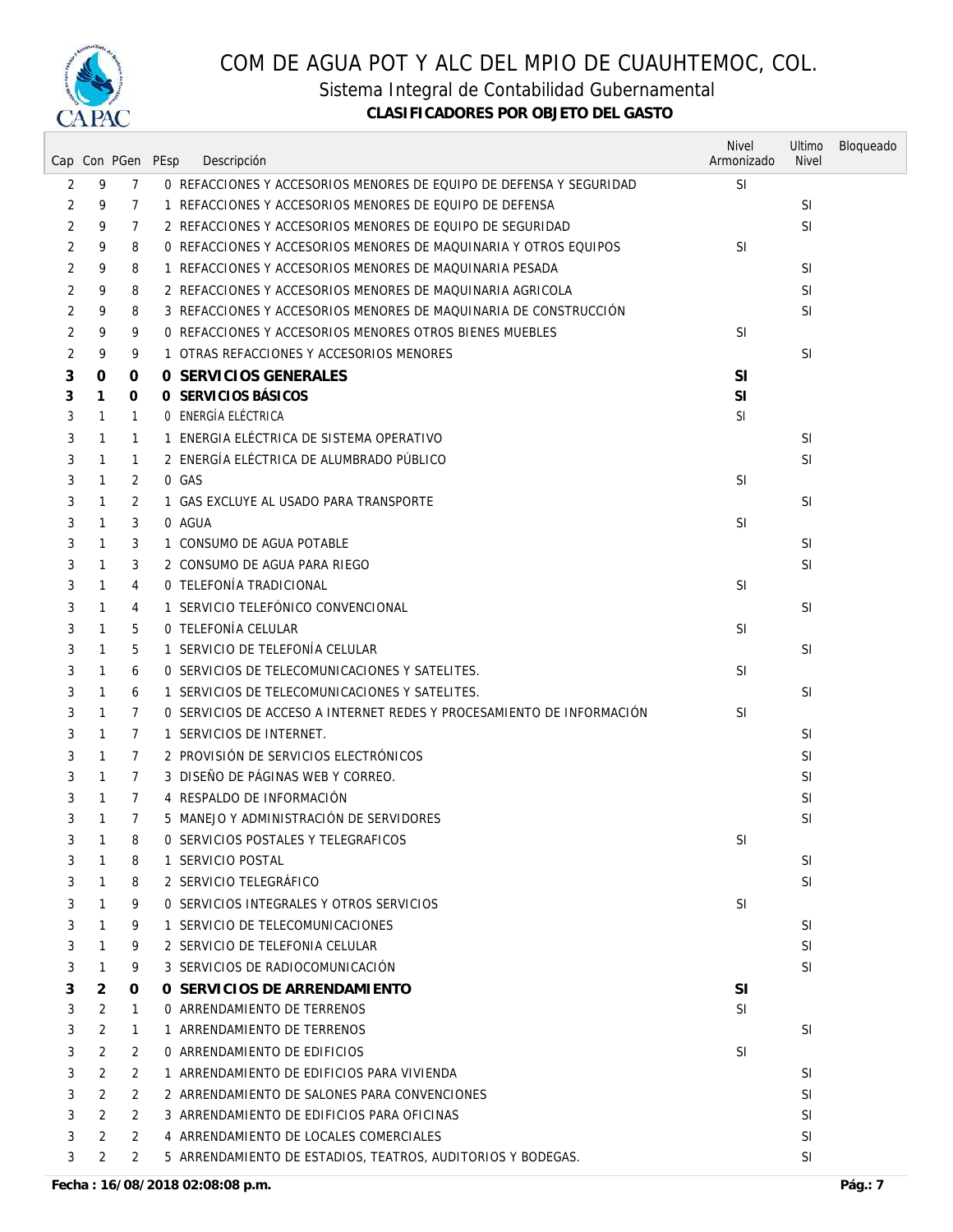

Sistema Integral de Contabilidad Gubernamental

|                |              |                      | Cap Con PGen PEsp<br>Descripción                                      | <b>Nivel</b><br>Armonizado | Ultimo<br><b>Nivel</b> | Bloqueado |
|----------------|--------------|----------------------|-----------------------------------------------------------------------|----------------------------|------------------------|-----------|
| 2              | 9            | $\overline{7}$       | 0 REFACCIONES Y ACCESORIOS MENORES DE EQUIPO DE DEFENSA Y SEGURIDAD   | <b>SI</b>                  |                        |           |
| 2              | 9            | 7                    | 1 REFACCIONES Y ACCESORIOS MENORES DE EQUIPO DE DEFENSA               |                            | SI                     |           |
| 2              | 9            | 7                    | 2 REFACCIONES Y ACCESORIOS MENORES DE EQUIPO DE SEGURIDAD             |                            | SI                     |           |
| 2              | 9            | 8                    | 0 REFACCIONES Y ACCESORIOS MENORES DE MAQUINARIA Y OTROS EQUIPOS      | <b>SI</b>                  |                        |           |
| 2              | 9            | 8                    | 1 REFACCIONES Y ACCESORIOS MENORES DE MAQUINARIA PESADA               |                            | SI                     |           |
| 2              | 9            | 8                    | 2 REFACCIONES Y ACCESORIOS MENORES DE MAQUINARIA AGRICOLA             |                            | <b>SI</b>              |           |
| 2              | 9            | 8                    | 3 REFACCIONES Y ACCESORIOS MENORES DE MAQUINARIA DE CONSTRUCCIÓN      |                            | <b>SI</b>              |           |
| 2              | 9            | 9                    | 0 REFACCIONES Y ACCESORIOS MENORES OTROS BIENES MUEBLES               | <b>SI</b>                  |                        |           |
| 2              | 9            | 9                    | 1 OTRAS REFACCIONES Y ACCESORIOS MENORES                              |                            | <b>SI</b>              |           |
| 3              | 0            | 0                    | 0 SERVICIOS GENERALES                                                 | SI                         |                        |           |
| 3              | 1            | 0                    | O SERVICIOS BÁSICOS                                                   | SI                         |                        |           |
| 3              | 1            | 1                    | O ENERGÍA ELÉCTRICA                                                   | <b>SI</b>                  |                        |           |
| 3              | 1            | 1                    | 1 ENERGIA ELÉCTRICA DE SISTEMA OPERATIVO                              |                            | SI                     |           |
| 3              | 1            | $\mathbf{1}$         | 2 ENERGÍA ELÉCTRICA DE ALUMBRADO PÚBLICO                              |                            | <b>SI</b>              |           |
| 3              | 1            | 2                    | 0 GAS                                                                 | <b>SI</b>                  |                        |           |
| 3              | 1            | 2                    | 1 GAS EXCLUYE AL USADO PARA TRANSPORTE                                |                            | SI                     |           |
| 3              | 1            | 3                    | 0 AGUA                                                                | <b>SI</b>                  |                        |           |
| 3              | 1            | 3                    | 1 CONSUMO DE AGUA POTABLE                                             |                            | SI                     |           |
| 3              | 1            | 3                    | 2 CONSUMO DE AGUA PARA RIEGO                                          |                            | SI                     |           |
| 3              | 1            | 4                    | 0 TELEFONÍA TRADICIONAL                                               | <b>SI</b>                  |                        |           |
| 3              | 1            | 4                    | 1 SERVICIO TELEFÓNICO CONVENCIONAL                                    |                            | <b>SI</b>              |           |
| 3              | $\mathbf{1}$ | 5                    | 0 TELEFONÍA CELULAR                                                   | <b>SI</b>                  |                        |           |
| 3              | 1            | 5                    | 1 SERVICIO DE TELEFONÍA CELULAR                                       |                            | SI                     |           |
| 3              | 1            | 6                    | O SERVICIOS DE TELECOMUNICACIONES Y SATELITES.                        | <b>SI</b>                  |                        |           |
| 3              | 1            | 6                    | 1 SERVICIOS DE TELECOMUNICACIONES Y SATELITES.                        |                            | SI                     |           |
| 3              | 1            | 7                    | 0 SERVICIOS DE ACCESO A INTERNET REDES Y PROCESAMIENTO DE INFORMACIÓN | <b>SI</b>                  |                        |           |
| 3              | 1            | $\overline{7}$       | 1 SERVICIOS DE INTERNET.                                              |                            | <b>SI</b>              |           |
| 3              | 1            | 7                    | 2 PROVISIÓN DE SERVICIOS ELECTRÓNICOS                                 |                            | SI                     |           |
| 3              | $\mathbf{1}$ | $\overline{7}$       | 3 DISEÑO DE PÁGINAS WEB Y CORREO.                                     |                            | SI                     |           |
| 3              | 1            | $\overline{7}$       | 4 RESPALDO DE INFORMACIÓN                                             |                            | SI                     |           |
| 3              | $\mathbf{1}$ | $\overline{7}$       | 5 MANEJO Y ADMINISTRACIÓN DE SERVIDORES                               |                            | <b>SI</b>              |           |
| $\mathfrak{Z}$ | $\mathbf{1}$ | 8                    | 0 SERVICIOS POSTALES Y TELEGRAFICOS                                   | SI                         |                        |           |
| 3              | 1            | 8                    | 1 SERVICIO POSTAL                                                     |                            | SI                     |           |
| 3              | 1            | 8                    | 2 SERVICIO TELEGRÁFICO                                                |                            | SI                     |           |
| 3              | $\mathbf{1}$ | 9                    | O SERVICIOS INTEGRALES Y OTROS SERVICIOS                              | SI                         |                        |           |
| 3              | 1            | 9                    | 1 SERVICIO DE TELECOMUNICACIONES                                      |                            | SI                     |           |
| 3              | $\mathbf{1}$ | 9                    | 2 SERVICIO DE TELEFONIA CELULAR                                       |                            | <b>SI</b>              |           |
| 3              | 1            | 9                    | 3 SERVICIOS DE RADIOCOMUNICACIÓN                                      |                            | <b>SI</b>              |           |
| 3              | 2            | 0                    | O SERVICIOS DE ARRENDAMIENTO                                          | <b>SI</b>                  |                        |           |
| 3              | 2            | $\mathbf{1}$         | 0 ARRENDAMIENTO DE TERRENOS                                           | SI                         |                        |           |
| 3              | 2            | 1                    | 1 ARRENDAMIENTO DE TERRENOS                                           |                            | <b>SI</b>              |           |
| 3              | 2            | 2                    | 0 ARRENDAMIENTO DE EDIFICIOS                                          | <b>SI</b>                  |                        |           |
| 3              | 2            | 2                    | 1 ARRENDAMIENTO DE EDIFICIOS PARA VIVIENDA                            |                            | SI                     |           |
| 3              | 2            | 2                    | 2 ARRENDAMIENTO DE SALONES PARA CONVENCIONES                          |                            | SI                     |           |
| 3              | 2            | $\mathbf{2}^{\circ}$ | 3 ARRENDAMIENTO DE EDIFICIOS PARA OFICINAS                            |                            | SI                     |           |
| 3              | 2            | 2                    | 4 ARRENDAMIENTO DE LOCALES COMERCIALES                                |                            | SI                     |           |
| 3              | 2            | 2                    | 5 ARRENDAMIENTO DE ESTADIOS, TEATROS, AUDITORIOS Y BODEGAS.           |                            | <b>SI</b>              |           |
|                |              |                      |                                                                       |                            |                        |           |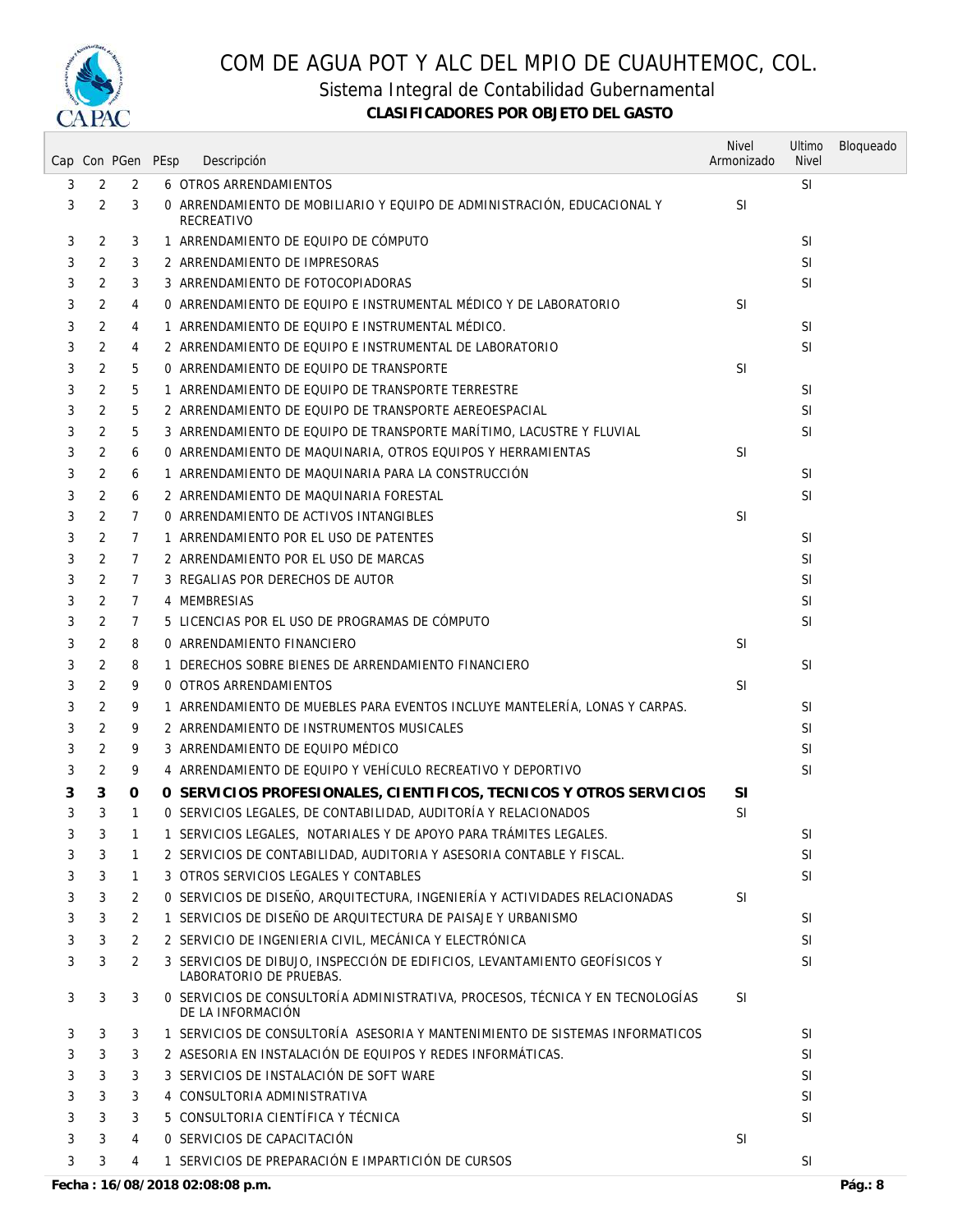

Sistema Integral de Contabilidad Gubernamental

|   |   | Cap Con PGen PEsp |                                                                                                       | <b>Nivel</b><br>Armonizado | Ultimo<br><b>Nivel</b> | Bloqueado |
|---|---|-------------------|-------------------------------------------------------------------------------------------------------|----------------------------|------------------------|-----------|
|   |   |                   | Descripción                                                                                           |                            |                        |           |
| 3 | 2 | 2                 | 6 OTROS ARRENDAMIENTOS                                                                                |                            | SI                     |           |
| 3 | 2 | 3                 | 0 ARRENDAMIENTO DE MOBILIARIO Y EQUIPO DE ADMINISTRACIÓN, EDUCACIONAL Y<br>RECREATIVO                 | <b>SI</b>                  |                        |           |
| 3 | 2 | 3                 | 1 ARRENDAMIENTO DE EQUIPO DE CÓMPUTO                                                                  |                            | <b>SI</b>              |           |
| 3 | 2 | 3                 | 2 ARRENDAMIENTO DE IMPRESORAS                                                                         |                            | SI                     |           |
| 3 | 2 | 3                 | 3 ARRENDAMIENTO DE FOTOCOPIADORAS                                                                     |                            | SI                     |           |
| 3 | 2 | 4                 | 0 ARRENDAMIENTO DE EQUIPO E INSTRUMENTAL MÉDICO Y DE LABORATORIO                                      | <b>SI</b>                  |                        |           |
| 3 | 2 | 4                 | 1 ARRENDAMIENTO DE EQUIPO E INSTRUMENTAL MÉDICO.                                                      |                            | <b>SI</b>              |           |
| 3 | 2 | 4                 | 2 ARRENDAMIENTO DE EQUIPO E INSTRUMENTAL DE LABORATORIO                                               |                            | SI.                    |           |
| 3 | 2 | 5                 | 0 ARRENDAMIENTO DE EQUIPO DE TRANSPORTE                                                               | <b>SI</b>                  |                        |           |
| 3 | 2 | 5                 | 1 ARRENDAMIENTO DE EQUIPO DE TRANSPORTE TERRESTRE                                                     |                            | SI                     |           |
| 3 | 2 | 5                 | 2 ARRENDAMIENTO DE EQUIPO DE TRANSPORTE AEREOESPACIAL                                                 |                            | <b>SI</b>              |           |
| 3 | 2 | 5                 | 3 ARRENDAMIENTO DE EQUIPO DE TRANSPORTE MARÍTIMO, LACUSTRE Y FLUVIAL                                  |                            | <b>SI</b>              |           |
| 3 | 2 | 6                 | 0 ARRENDAMIENTO DE MAQUINARIA, OTROS EQUIPOS Y HERRAMIENTAS                                           | <b>SI</b>                  |                        |           |
| 3 | 2 | 6                 | 1 ARRENDAMIENTO DE MAQUINARIA PARA LA CONSTRUCCIÓN                                                    |                            | <b>SI</b>              |           |
| 3 | 2 | 6                 | 2 ARRENDAMIENTO DE MAQUINARIA FORESTAL                                                                |                            | SI.                    |           |
| 3 | 2 | $\overline{7}$    | O ARRENDAMIENTO DE ACTIVOS INTANGIBLES                                                                | <b>SI</b>                  |                        |           |
| 3 | 2 | $\overline{7}$    | 1 ARRENDAMIENTO POR EL USO DE PATENTES                                                                |                            | <b>SI</b>              |           |
| 3 | 2 | $\overline{7}$    | 2 ARRENDAMIENTO POR EL USO DE MARCAS                                                                  |                            | SI                     |           |
| 3 | 2 | $\overline{7}$    | 3 REGALIAS POR DERECHOS DE AUTOR                                                                      |                            | SI                     |           |
| 3 | 2 | $7\overline{ }$   | 4 MEMBRESIAS                                                                                          |                            | <b>SI</b>              |           |
| 3 | 2 | 7                 | 5 LICENCIAS POR EL USO DE PROGRAMAS DE CÓMPUTO                                                        |                            | SI                     |           |
|   |   |                   |                                                                                                       |                            |                        |           |
| 3 | 2 | 8                 | 0 ARRENDAMIENTO FINANCIERO                                                                            | <b>SI</b>                  |                        |           |
| 3 | 2 | 8                 | 1 DERECHOS SOBRE BIENES DE ARRENDAMIENTO FINANCIERO                                                   |                            | SI                     |           |
| 3 | 2 | 9                 | 0 OTROS ARRENDAMIENTOS                                                                                | SI                         |                        |           |
| 3 | 2 | 9                 | 1 ARRENDAMIENTO DE MUEBLES PARA EVENTOS INCLUYE MANTELERÍA, LONAS Y CARPAS.                           |                            | SI                     |           |
| 3 | 2 | 9                 | 2 ARRENDAMIENTO DE INSTRUMENTOS MUSICALES                                                             |                            | <b>SI</b>              |           |
| 3 | 2 | 9                 | 3 ARRENDAMIENTO DE EQUIPO MÉDICO                                                                      |                            | <b>SI</b>              |           |
| 3 | 2 | 9                 | 4 ARRENDAMIENTO DE EQUIPO Y VEHÍCULO RECREATIVO Y DEPORTIVO                                           |                            | <b>SI</b>              |           |
| 3 | 3 | 0                 | 0 SERVICIOS PROFESIONALES, CIENTIFICOS, TECNICOS Y OTROS SERVICIOS                                    | <b>SI</b>                  |                        |           |
| 3 | 3 | $\mathbf{1}$      | O SERVICIOS LEGALES, DE CONTABILIDAD, AUDITORÍA Y RELACIONADOS                                        | SI                         |                        |           |
| 3 | 3 | $\mathbf{1}$      | 1 SERVICIOS LEGALES, NOTARIALES Y DE APOYO PARA TRÁMITES LEGALES.                                     |                            | SI                     |           |
| 3 | 3 | 1                 | 2 SERVICIOS DE CONTABILIDAD, AUDITORIA Y ASESORIA CONTABLE Y FISCAL.                                  |                            | SI                     |           |
| 3 | 3 | $\mathbf{1}$      | 3 OTROS SERVICIOS LEGALES Y CONTABLES                                                                 |                            | <b>SI</b>              |           |
| 3 | 3 | 2                 | O SERVICIOS DE DISEÑO, ARQUITECTURA, INGENIERÍA Y ACTIVIDADES RELACIONADAS                            | <b>SI</b>                  |                        |           |
| 3 | 3 | 2                 | 1 SERVICIOS DE DISEÑO DE ARQUITECTURA DE PAISAJE Y URBANISMO                                          |                            | SI                     |           |
| 3 | 3 | 2                 | 2 SERVICIO DE INGENIERIA CIVIL, MECÁNICA Y ELECTRÓNICA                                                |                            | <b>SI</b>              |           |
| 3 | 3 | 2                 | 3 SERVICIOS DE DIBUJO, INSPECCIÓN DE EDIFICIOS, LEVANTAMIENTO GEOFÍSICOS Y<br>LABORATORIO DE PRUEBAS. |                            | SI                     |           |
| 3 | 3 | 3                 | 0 SERVICIOS DE CONSULTORÍA ADMINISTRATIVA, PROCESOS, TÉCNICA Y EN TECNOLOGÍAS<br>DE LA INFORMACIÓN    | SI.                        |                        |           |
| 3 | 3 | 3                 | 1 SERVICIOS DE CONSULTORÍA ASESORIA Y MANTENIMIENTO DE SISTEMAS INFORMATICOS                          |                            | SI                     |           |
| 3 | 3 | 3                 | 2 ASESORIA EN INSTALACIÓN DE EQUIPOS Y REDES INFORMÁTICAS.                                            |                            | <b>SI</b>              |           |
| 3 | 3 | 3                 | 3 SERVICIOS DE INSTALACIÓN DE SOFT WARE                                                               |                            | SI                     |           |
| 3 | 3 | 3                 | 4 CONSULTORIA ADMINISTRATIVA                                                                          |                            | SI                     |           |
| 3 | 3 | 3                 | 5 CONSULTORIA CIENTÍFICA Y TÉCNICA                                                                    |                            | SI                     |           |
| 3 | 3 | 4                 | O SERVICIOS DE CAPACITACIÓN                                                                           | <b>SI</b>                  |                        |           |
| 3 | 3 | 4                 | 1 SERVICIOS DE PREPARACIÓN E IMPARTICIÓN DE CURSOS                                                    |                            | <b>SI</b>              |           |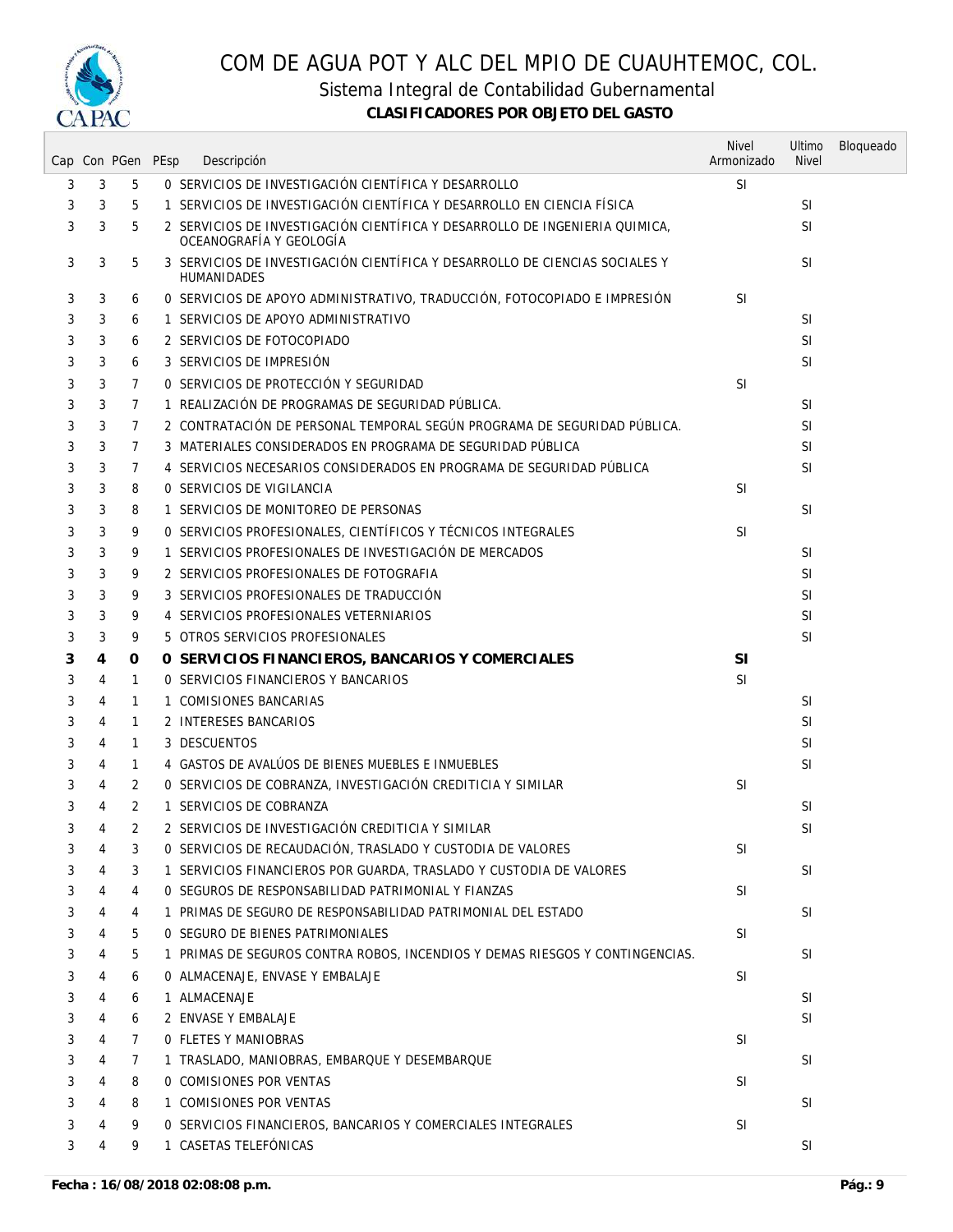

Sistema Integral de Contabilidad Gubernamental

|   |                | Cap Con PGen PEsp | Descripción                                                                                            | <b>Nivel</b><br>Armonizado | Ultimo<br><b>Nivel</b> | Bloqueado |
|---|----------------|-------------------|--------------------------------------------------------------------------------------------------------|----------------------------|------------------------|-----------|
| 3 | 3              | 5                 | O SERVICIOS DE INVESTIGACIÓN CIENTÍFICA Y DESARROLLO                                                   | <b>SI</b>                  |                        |           |
| 3 | 3              | 5                 | 1 SERVICIOS DE INVESTIGACIÓN CIENTÍFICA Y DESARROLLO EN CIENCIA FÍSICA                                 |                            | <b>SI</b>              |           |
| 3 | 3              | 5                 | 2 SERVICIOS DE INVESTIGACIÓN CIENTÍFICA Y DESARROLLO DE INGENIERIA QUIMICA,<br>OCEANOGRAFÍA Y GEOLOGÍA |                            | <b>SI</b>              |           |
| 3 | 3              | 5                 | 3 SERVICIOS DE INVESTIGACIÓN CIENTÍFICA Y DESARROLLO DE CIENCIAS SOCIALES Y<br>HUMANIDADES             |                            | <b>SI</b>              |           |
| 3 | 3              | 6                 | O SERVICIOS DE APOYO ADMINISTRATIVO, TRADUCCIÓN, FOTOCOPIADO E IMPRESIÓN                               | <b>SI</b>                  |                        |           |
| 3 | 3              | 6                 | 1 SERVICIOS DE APOYO ADMINISTRATIVO                                                                    |                            | <b>SI</b>              |           |
| 3 | 3              | 6                 | 2 SERVICIOS DE FOTOCOPIADO                                                                             |                            | <b>SI</b>              |           |
| 3 | 3              | 6                 | 3 SERVICIOS DE IMPRESIÓN                                                                               |                            | <b>SI</b>              |           |
| 3 | 3              | 7                 | O SERVICIOS DE PROTECCIÓN Y SEGURIDAD                                                                  | <b>SI</b>                  |                        |           |
| 3 | 3              | 7                 | 1 REALIZACIÓN DE PROGRAMAS DE SEGURIDAD PÚBLICA.                                                       |                            | <b>SI</b>              |           |
| 3 | 3              | 7                 | 2 CONTRATACIÓN DE PERSONAL TEMPORAL SEGÚN PROGRAMA DE SEGURIDAD PÚBLICA.                               |                            | <b>SI</b>              |           |
| 3 | 3              | 7                 | 3 MATERIALES CONSIDERADOS EN PROGRAMA DE SEGURIDAD PÚBLICA                                             |                            | <b>SI</b>              |           |
| 3 | 3              | 7                 | 4 SERVICIOS NECESARIOS CONSIDERADOS EN PROGRAMA DE SEGURIDAD PÚBLICA                                   |                            | <sup>SI</sup>          |           |
| 3 | 3              | 8                 | 0 SERVICIOS DE VIGILANCIA                                                                              | <b>SI</b>                  |                        |           |
| 3 | 3              | 8                 | 1 SERVICIOS DE MONITOREO DE PERSONAS                                                                   |                            | <b>SI</b>              |           |
| 3 | 3              | 9                 | O SERVICIOS PROFESIONALES, CIENTÍFICOS Y TÉCNICOS INTEGRALES                                           | <b>SI</b>                  |                        |           |
| 3 | 3              | 9                 | 1 SERVICIOS PROFESIONALES DE INVESTIGACIÓN DE MERCADOS                                                 |                            | <b>SI</b>              |           |
| 3 | 3              | 9                 | 2 SERVICIOS PROFESIONALES DE FOTOGRAFIA                                                                |                            | <b>SI</b>              |           |
| 3 | 3              | 9                 | 3 SERVICIOS PROFESIONALES DE TRADUCCIÓN                                                                |                            | <b>SI</b>              |           |
| 3 | 3              | 9                 | 4 SERVICIOS PROFESIONALES VETERNIARIOS                                                                 |                            | <b>SI</b>              |           |
| 3 | 3              | 9                 | 5 OTROS SERVICIOS PROFESIONALES                                                                        |                            | SI                     |           |
| 3 | 4              | 0                 | O SERVICIOS FINANCIEROS, BANCARIOS Y COMERCIALES                                                       | SI                         |                        |           |
| 3 | 4              | $\mathbf{1}$      | O SERVICIOS FINANCIEROS Y BANCARIOS                                                                    | <b>SI</b>                  |                        |           |
| 3 | 4              | $\mathbf{1}$      | 1 COMISIONES BANCARIAS                                                                                 |                            | <sup>SI</sup>          |           |
| 3 | 4              | $\mathbf{1}$      | 2 INTERESES BANCARIOS                                                                                  |                            | <b>SI</b>              |           |
| 3 | 4              | $\mathbf{1}$      | 3 DESCUENTOS                                                                                           |                            | <b>SI</b>              |           |
| 3 | 4              | 1                 | 4 GASTOS DE AVALÚOS DE BIENES MUEBLES E INMUEBLES                                                      |                            | <b>SI</b>              |           |
| 3 | 4              | 2                 | O SERVICIOS DE COBRANZA, INVESTIGACIÓN CREDITICIA Y SIMILAR                                            | <b>SI</b>                  |                        |           |
| 3 | 4              | 2                 | 1 SERVICIOS DE COBRANZA                                                                                |                            | <b>SI</b>              |           |
| 3 | 4              | 2                 | 2 SERVICIOS DE INVESTIGACIÓN CREDITICIA Y SIMILAR                                                      |                            | <b>SI</b>              |           |
| 3 | 4              | 3                 | O SERVICIOS DE RECAUDACIÓN, TRASLADO Y CUSTODIA DE VALORES                                             | SI                         |                        |           |
| 3 | 4              | 3                 | 1 SERVICIOS FINANCIEROS POR GUARDA, TRASLADO Y CUSTODIA DE VALORES                                     |                            | <b>SI</b>              |           |
| 3 | 4              | 4                 | O SEGUROS DE RESPONSABILIDAD PATRIMONIAL Y FIANZAS                                                     | <b>SI</b>                  |                        |           |
| 3 | 4              | 4                 | 1 PRIMAS DE SEGURO DE RESPONSABILIDAD PATRIMONIAL DEL ESTADO                                           |                            | <b>SI</b>              |           |
| 3 | 4              | 5                 | 0 SEGURO DE BIENES PATRIMONIALES                                                                       | <b>SI</b>                  |                        |           |
| 3 | 4              | 5                 | 1 PRIMAS DE SEGUROS CONTRA ROBOS, INCENDIOS Y DEMAS RIESGOS Y CONTINGENCIAS.                           |                            | <b>SI</b>              |           |
| 3 | 4              | 6                 | O ALMACENAJE, ENVASE Y EMBALAJE                                                                        | <b>SI</b>                  |                        |           |
| 3 | 4              | 6                 | 1 ALMACENAJE                                                                                           |                            | <b>SI</b>              |           |
| 3 | 4              | 6                 | 2 ENVASE Y EMBALAJE                                                                                    |                            | <b>SI</b>              |           |
| 3 | 4              | $\overline{7}$    | 0 FLETES Y MANIOBRAS                                                                                   | <b>SI</b>                  |                        |           |
| 3 | 4              | $\overline{7}$    | 1 TRASLADO, MANIOBRAS, EMBARQUE Y DESEMBARQUE                                                          |                            | <b>SI</b>              |           |
| 3 | 4              | 8                 | 0 COMISIONES POR VENTAS                                                                                | <b>SI</b>                  |                        |           |
| 3 | $\overline{4}$ | 8                 | 1 COMISIONES POR VENTAS                                                                                |                            | <b>SI</b>              |           |
| 3 | 4              | 9                 | O SERVICIOS FINANCIEROS, BANCARIOS Y COMERCIALES INTEGRALES                                            | SI                         |                        |           |
| 3 | 4              | 9                 | 1 CASETAS TELEFÓNICAS                                                                                  |                            | <b>SI</b>              |           |
|   |                |                   |                                                                                                        |                            |                        |           |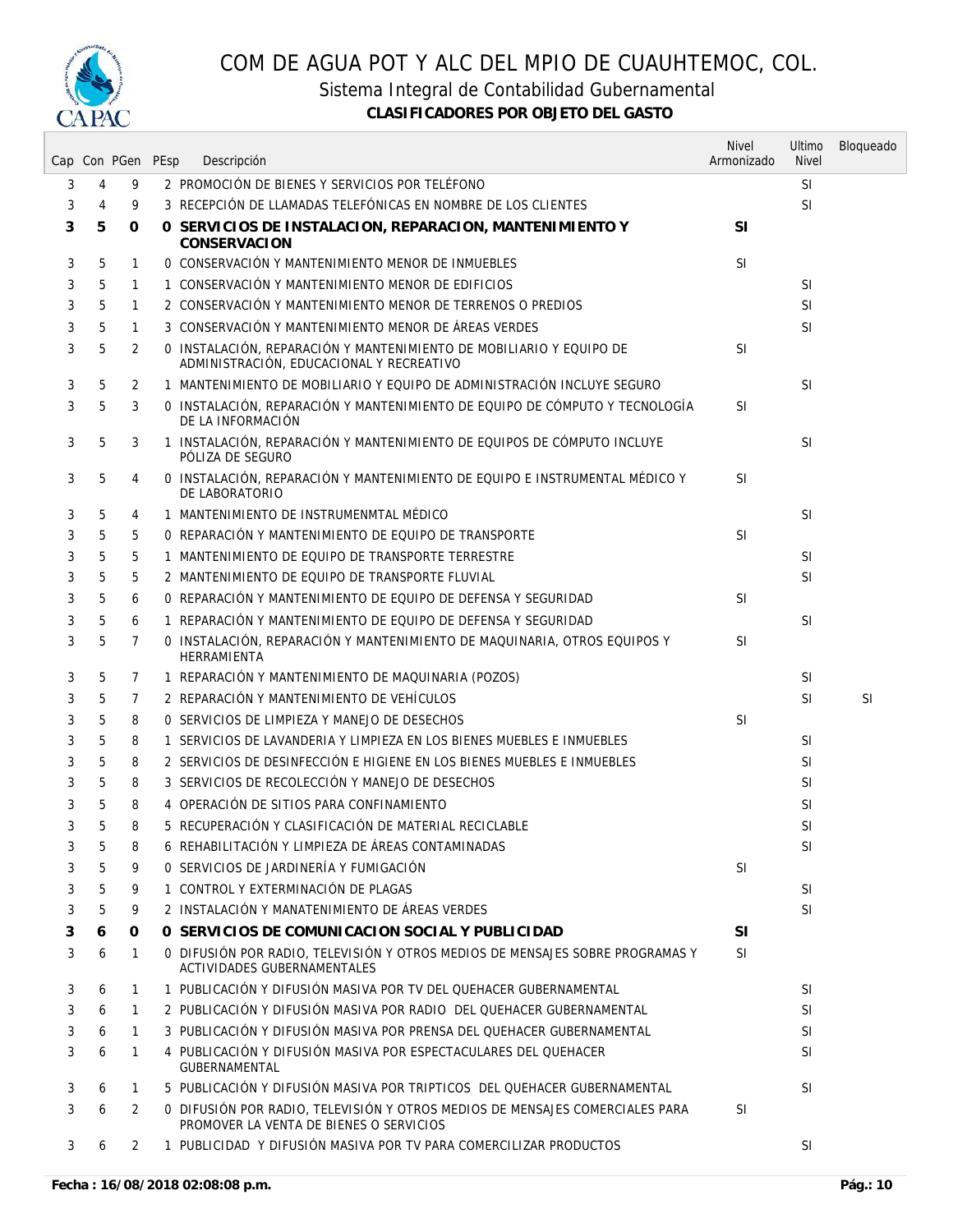

Sistema Integral de Contabilidad Gubernamental

|   |   | Cap Con PGen PEsp | Descripción                                                                                                             | <b>Nivel</b><br>Armonizado | Ultimo<br><b>Nivel</b> | Bloqueado |
|---|---|-------------------|-------------------------------------------------------------------------------------------------------------------------|----------------------------|------------------------|-----------|
| 3 | 4 | 9                 | 2 PROMOCIÓN DE BIENES Y SERVICIOS POR TELÉFONO                                                                          |                            | <b>SI</b>              |           |
| 3 | 4 | 9                 | 3 RECEPCIÓN DE LLAMADAS TELEFÓNICAS EN NOMBRE DE LOS CLIENTES                                                           |                            | SI                     |           |
| 3 | 5 | 0                 | O SERVICIOS DE INSTALACION, REPARACION, MANTENIMIENTO Y<br><b>CONSERVACION</b>                                          | <b>SI</b>                  |                        |           |
| 3 | 5 | $\mathbf{1}$      | O CONSERVACIÓN Y MANTENIMIENTO MENOR DE INMUEBLES                                                                       | <b>SI</b>                  |                        |           |
| 3 | 5 | $\mathbf{1}$      | 1 CONSERVACIÓN Y MANTENIMIENTO MENOR DE EDIFICIOS                                                                       |                            | <b>SI</b>              |           |
| 3 | 5 | 1                 | 2 CONSERVACIÓN Y MANTENIMIENTO MENOR DE TERRENOS O PREDIOS                                                              |                            | <b>SI</b>              |           |
| 3 | 5 | 1                 | 3 CONSERVACIÓN Y MANTENIMIENTO MENOR DE ÁREAS VERDES                                                                    |                            | <b>SI</b>              |           |
| 3 | 5 | 2                 | O INSTALACIÓN, REPARACIÓN Y MANTENIMIENTO DE MOBILIARIO Y EQUIPO DE<br>ADMINISTRACIÓN, EDUCACIONAL Y RECREATIVO         | <b>SI</b>                  |                        |           |
| 3 | 5 | 2                 | 1 MANTENIMIENTO DE MOBILIARIO Y EQUIPO DE ADMINISTRACIÓN INCLUYE SEGURO                                                 |                            | <b>SI</b>              |           |
| 3 | 5 | 3                 | O INSTALACIÓN, REPARACIÓN Y MANTENIMIENTO DE EQUIPO DE CÓMPUTO Y TECNOLOGÍA<br>DE LA INFORMACIÓN                        | SI                         |                        |           |
| 3 | 5 | 3                 | 1 INSTALACIÓN, REPARACIÓN Y MANTENIMIENTO DE EQUIPOS DE CÓMPUTO INCLUYE<br>PÓLIZA DE SEGURO                             |                            | <b>SI</b>              |           |
| 3 | 5 | 4                 | O INSTALACIÓN, REPARACIÓN Y MANTENIMIENTO DE EQUIPO E INSTRUMENTAL MÉDICO Y<br>DE LABORATORIO                           | <b>SI</b>                  |                        |           |
| 3 | 5 | 4                 | 1 MANTENIMIENTO DE INSTRUMENMTAL MÉDICO                                                                                 |                            | <b>SI</b>              |           |
| 3 | 5 | 5                 | O REPARACIÓN Y MANTENIMIENTO DE EQUIPO DE TRANSPORTE                                                                    | <b>SI</b>                  |                        |           |
| 3 | 5 | 5                 | 1 MANTENIMIENTO DE EQUIPO DE TRANSPORTE TERRESTRE                                                                       |                            | <b>SI</b>              |           |
| 3 | 5 | 5                 | 2 MANTENIMIENTO DE EOUIPO DE TRANSPORTE FLUVIAL                                                                         |                            | <b>SI</b>              |           |
| 3 | 5 | 6                 | O REPARACIÓN Y MANTENIMIENTO DE EQUIPO DE DEFENSA Y SEGURIDAD                                                           | <b>SI</b>                  |                        |           |
| 3 | 5 | 6                 | 1 REPARACIÓN Y MANTENIMIENTO DE EQUIPO DE DEFENSA Y SEGURIDAD                                                           |                            | <b>SI</b>              |           |
| 3 | 5 | 7                 | O INSTALACIÓN, REPARACIÓN Y MANTENIMIENTO DE MAQUINARIA, OTROS EQUIPOS Y<br><b>HERRAMIENTA</b>                          | <b>SI</b>                  |                        |           |
| 3 | 5 | 7                 | 1 REPARACIÓN Y MANTENIMIENTO DE MAQUINARIA (POZOS)                                                                      |                            | <b>SI</b>              |           |
| 3 | 5 | 7                 | 2 REPARACIÓN Y MANTENIMIENTO DE VEHÍCULOS                                                                               |                            | <b>SI</b>              | <b>SI</b> |
| 3 | 5 | 8                 | O SERVICIOS DE LIMPIEZA Y MANEJO DE DESECHOS                                                                            | <b>SI</b>                  |                        |           |
| 3 | 5 | 8                 | 1 SERVICIOS DE LAVANDERIA Y LIMPIEZA EN LOS BIENES MUEBLES E INMUEBLES                                                  |                            | <b>SI</b>              |           |
| 3 | 5 | 8                 | 2 SERVICIOS DE DESINFECCIÓN E HIGIENE EN LOS BIENES MUEBLES E INMUEBLES                                                 |                            | <b>SI</b>              |           |
| 3 | 5 | 8                 | 3 SERVICIOS DE RECOLECCIÓN Y MANEJO DE DESECHOS                                                                         |                            | <b>SI</b>              |           |
| 3 | 5 | 8                 | 4 OPERACIÓN DE SITIOS PARA CONFINAMIENTO                                                                                |                            | SI                     |           |
| 3 | 5 | 8                 | 5 RECUPERACIÓN Y CLASIFICACIÓN DE MATERIAL RECICLABLE                                                                   |                            | <b>SI</b>              |           |
| 3 | 5 | 8                 | 6 REHABILITACIÓN Y LIMPIEZA DE ÁREAS CONTAMINADAS                                                                       |                            | <b>SI</b>              |           |
| 3 |   | 9                 | O SERVICIOS DE JARDINERÍA Y FUMIGACIÓN                                                                                  | SI                         |                        |           |
| 3 | 5 | 9                 | 1 CONTROL Y EXTERMINACIÓN DE PLAGAS                                                                                     |                            | <b>SI</b>              |           |
| 3 | 5 | 9                 | 2 INSTALACIÓN Y MANATENIMIENTO DE ÁREAS VERDES                                                                          |                            | <b>SI</b>              |           |
| 3 | 6 | 0                 | O SERVICIOS DE COMUNICACION SOCIAL Y PUBLICIDAD                                                                         | <b>SI</b>                  |                        |           |
| 3 | 6 | $\mathbf{1}$      | 0 DIFUSIÓN POR RADIO, TELEVISIÓN Y OTROS MEDIOS DE MENSAJES SOBRE PROGRAMAS Y<br>ACTIVIDADES GUBERNAMENTALES            | <b>SI</b>                  |                        |           |
| 3 | 6 | 1                 | 1 PUBLICACIÓN Y DIFUSIÓN MASIVA POR TV DEL QUEHACER GUBERNAMENTAL                                                       |                            | <b>SI</b>              |           |
| 3 | 6 | $\mathbf{1}$      | 2 PUBLICACIÓN Y DIFUSIÓN MASIVA POR RADIO DEL OUEHACER GUBERNAMENTAL                                                    |                            | <b>SI</b>              |           |
| 3 | 6 | $\mathbf{1}$      | 3 PUBLICACIÓN Y DIFUSIÓN MASIVA POR PRENSA DEL OUEHACER GUBERNAMENTAL                                                   |                            | <b>SI</b>              |           |
| 3 | 6 | 1                 | 4 PUBLICACIÓN Y DIFUSIÓN MASIVA POR ESPECTACULARES DEL QUEHACER<br><b>GUBERNAMENTAL</b>                                 |                            | <sup>SI</sup>          |           |
| 3 | 6 | 1                 | 5 PUBLICACIÓN Y DIFUSIÓN MASIVA POR TRIPTICOS DEL QUEHACER GUBERNAMENTAL                                                |                            | <b>SI</b>              |           |
| 3 | 6 | 2                 | 0 DIFUSIÓN POR RADIO, TELEVISIÓN Y OTROS MEDIOS DE MENSAJES COMERCIALES PARA<br>PROMOVER LA VENTA DE BIENES O SERVICIOS | <b>SI</b>                  |                        |           |
| 3 | 6 | 2                 | 1 PUBLICIDAD Y DIFUSIÓN MASIVA POR TV PARA COMERCILIZAR PRODUCTOS                                                       |                            | <b>SI</b>              |           |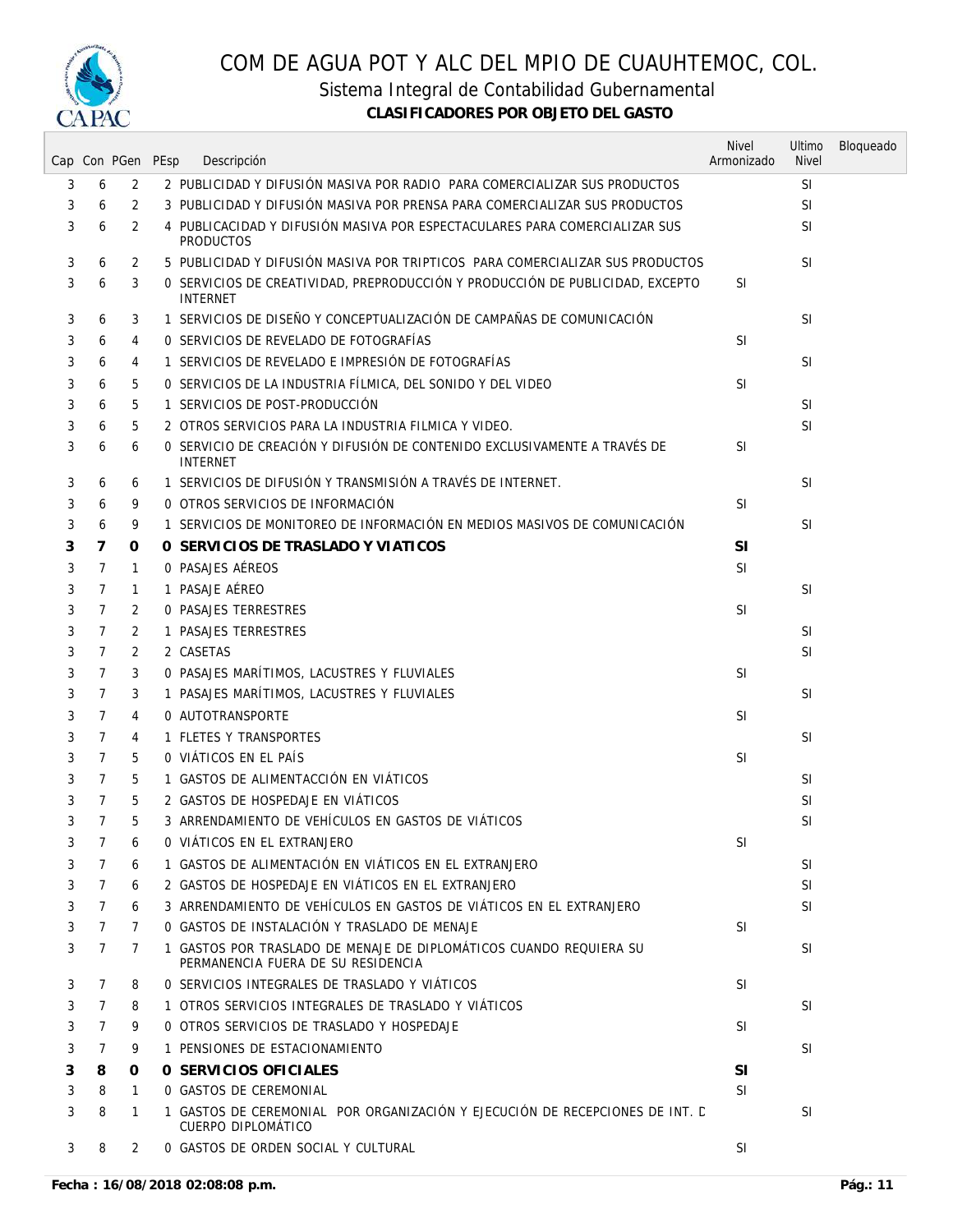

Sistema Integral de Contabilidad Gubernamental

|   |                |                | Cap Con PGen PEsp | Descripción                                                                                              | <b>Nivel</b><br>Armonizado | Ultimo<br><b>Nivel</b> | Bloqueado |
|---|----------------|----------------|-------------------|----------------------------------------------------------------------------------------------------------|----------------------------|------------------------|-----------|
| 3 | 6              | 2              |                   | 2 PUBLICIDAD Y DIFUSIÓN MASIVA POR RADIO PARA COMERCIALIZAR SUS PRODUCTOS                                |                            | <b>SI</b>              |           |
| 3 | 6              | 2              |                   | 3 PUBLICIDAD Y DIFUSIÓN MASIVA POR PRENSA PARA COMERCIALIZAR SUS PRODUCTOS                               |                            | <b>SI</b>              |           |
| 3 | 6              | 2              |                   | 4 PUBLICACIDAD Y DIFUSIÓN MASIVA POR ESPECTACULARES PARA COMERCIALIZAR SUS<br><b>PRODUCTOS</b>           |                            | <b>SI</b>              |           |
| 3 | 6              | $\overline{2}$ |                   | 5 PUBLICIDAD Y DIFUSIÓN MASIVA POR TRIPTICOS PARA COMERCIALIZAR SUS PRODUCTOS                            |                            | <b>SI</b>              |           |
| 3 | 6              | 3              |                   | 0 SERVICIOS DE CREATIVIDAD, PREPRODUCCIÓN Y PRODUCCIÓN DE PUBLICIDAD, EXCEPTO<br><b>INTERNET</b>         | <sup>SI</sup>              |                        |           |
| 3 | 6              | 3              |                   | 1 SERVICIOS DE DISEÑO Y CONCEPTUALIZACIÓN DE CAMPAÑAS DE COMUNICACIÓN                                    |                            | <b>SI</b>              |           |
| 3 | 6              | 4              |                   | 0 SERVICIOS DE REVELADO DE FOTOGRAFÍAS                                                                   | <b>SI</b>                  |                        |           |
| 3 | 6              | 4              |                   | 1 SERVICIOS DE REVELADO E IMPRESIÓN DE FOTOGRAFÍAS                                                       |                            | <b>SI</b>              |           |
| 3 | 6              | 5              |                   | O SERVICIOS DE LA INDUSTRIA FÍLMICA, DEL SONIDO Y DEL VIDEO                                              | <b>SI</b>                  |                        |           |
| 3 | 6              | 5              |                   | 1 SERVICIOS DE POST-PRODUCCIÓN                                                                           |                            | <b>SI</b>              |           |
| 3 | 6              | 5              |                   | 2 OTROS SERVICIOS PARA LA INDUSTRIA FILMICA Y VIDEO.                                                     |                            | <b>SI</b>              |           |
| 3 | 6              | 6              |                   | O SERVICIO DE CREACIÓN Y DIFUSIÓN DE CONTENIDO EXCLUSIVAMENTE A TRAVÉS DE<br><b>INTERNET</b>             | <b>SI</b>                  |                        |           |
| 3 | 6              | 6              |                   | 1 SERVICIOS DE DIFUSIÓN Y TRANSMISIÓN A TRAVÉS DE INTERNET.                                              |                            | <b>SI</b>              |           |
| 3 | 6              | 9              |                   | O OTROS SERVICIOS DE INFORMACIÓN                                                                         | <b>SI</b>                  |                        |           |
| 3 | 6              | 9              |                   | 1 SERVICIOS DE MONITOREO DE INFORMACIÓN EN MEDIOS MASIVOS DE COMUNICACIÓN                                |                            | <b>SI</b>              |           |
| 3 | 7              | 0              |                   | O SERVICIOS DE TRASLADO Y VIATICOS                                                                       | <b>SI</b>                  |                        |           |
| 3 | 7              | 1              |                   | O PASAJES AÉREOS                                                                                         | <b>SI</b>                  |                        |           |
| 3 | 7              | $\mathbf{1}$   |                   | 1 PASAJE AÉREO                                                                                           |                            | <b>SI</b>              |           |
| 3 | 7              | 2              |                   | <b>0 PASAJES TERRESTRES</b>                                                                              | <sup>SI</sup>              |                        |           |
| 3 | 7              | 2              |                   | 1 PASAJES TERRESTRES                                                                                     |                            | <b>SI</b>              |           |
| 3 | 7              | 2              |                   | 2 CASETAS                                                                                                |                            | <b>SI</b>              |           |
| 3 | 7              | 3              |                   | O PASAJES MARÍTIMOS, LACUSTRES Y FLUVIALES                                                               | <b>SI</b>                  |                        |           |
| 3 | 7              | 3              |                   | 1 PASAJES MARÍTIMOS, LACUSTRES Y FLUVIALES                                                               |                            | <b>SI</b>              |           |
| 3 | 7              | 4              |                   | 0 AUTOTRANSPORTE                                                                                         | <b>SI</b>                  |                        |           |
| 3 | 7              | 4              |                   | 1 FLETES Y TRANSPORTES                                                                                   |                            | <b>SI</b>              |           |
| 3 | 7              | 5              |                   | O VIÁTICOS EN EL PAÍS                                                                                    | <b>SI</b>                  |                        |           |
| 3 | 7              | 5              |                   | 1 GASTOS DE ALIMENTACCIÓN EN VIÁTICOS                                                                    |                            | <b>SI</b>              |           |
| 3 | 7              | 5              |                   | 2 GASTOS DE HOSPEDAJE EN VIÁTICOS                                                                        |                            | <b>SI</b>              |           |
| 3 | 7              | 5              |                   | 3 ARRENDAMIENTO DE VEHÍCULOS EN GASTOS DE VIÁTICOS                                                       |                            | SI                     |           |
| 3 | 7              | 6              |                   | O VIÁTICOS EN EL EXTRANJERO                                                                              | SI                         |                        |           |
| 3 | 7              | 6              |                   | 1 GASTOS DE ALIMENTACIÓN EN VIÁTICOS EN EL EXTRANJERO                                                    |                            | <b>SI</b>              |           |
| 3 | $\overline{7}$ | 6              |                   | 2 GASTOS DE HOSPEDAJE EN VIÁTICOS EN EL EXTRANJERO                                                       |                            | <b>SI</b>              |           |
| 3 | 7              | 6              |                   | 3 ARRENDAMIENTO DE VEHÍCULOS EN GASTOS DE VIÁTICOS EN EL EXTRANJERO                                      |                            | <b>SI</b>              |           |
| 3 | 7              | 7              |                   | O GASTOS DE INSTALACIÓN Y TRASLADO DE MENAJE                                                             | <b>SI</b>                  |                        |           |
| 3 | 7              | 7              |                   | 1 GASTOS POR TRASLADO DE MENAJE DE DIPLOMÁTICOS CUANDO REQUIERA SU<br>PERMANENCIA FUERA DE SU RESIDENCIA |                            | <b>SI</b>              |           |
| 3 | 7              | 8              |                   | O SERVICIOS INTEGRALES DE TRASLADO Y VIÁTICOS                                                            | <b>SI</b>                  |                        |           |
| 3 | 7              | 8              |                   | 1 OTROS SERVICIOS INTEGRALES DE TRASLADO Y VIÁTICOS                                                      |                            | SI                     |           |
| 3 | 7              | 9              |                   | O OTROS SERVICIOS DE TRASLADO Y HOSPEDAJE                                                                | <b>SI</b>                  |                        |           |
| 3 | 7              | 9              |                   | 1 PENSIONES DE ESTACIONAMIENTO                                                                           |                            | <b>SI</b>              |           |
| 3 | 8              | 0              |                   | O SERVICIOS OFICIALES                                                                                    | <b>SI</b>                  |                        |           |
| 3 | 8              | $\mathbf{1}$   |                   | 0 GASTOS DE CEREMONIAL                                                                                   | SI.                        |                        |           |
| 3 | 8              | 1              |                   | 1 GASTOS DE CEREMONIAL POR ORGANIZACIÓN Y EJECUCIÓN DE RECEPCIONES DE INT. E<br>CUERPO DIPLOMÁTICO       |                            | <b>SI</b>              |           |
| 3 | 8              | 2              |                   | 0 GASTOS DE ORDEN SOCIAL Y CULTURAL                                                                      | <b>SI</b>                  |                        |           |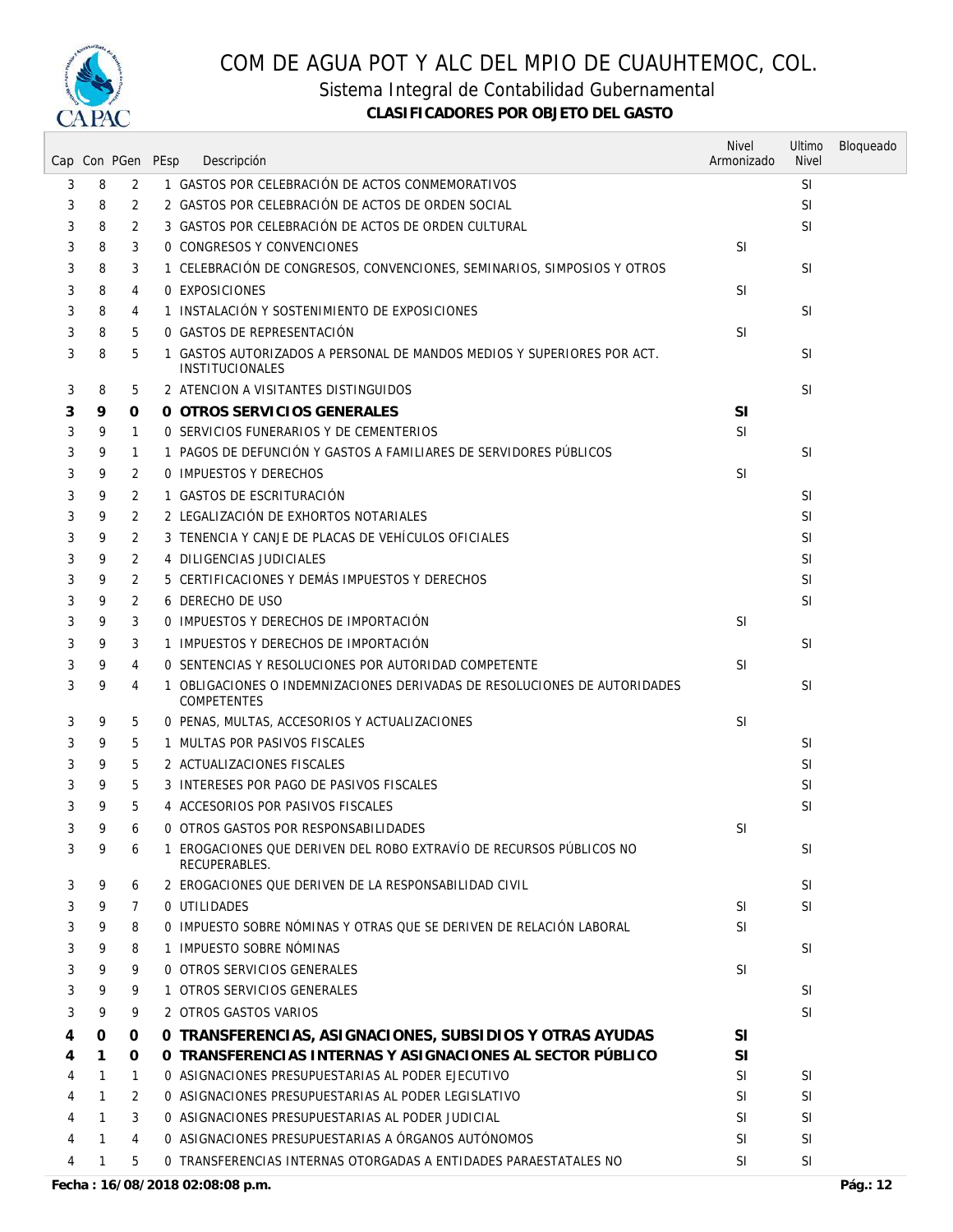

Sistema Integral de Contabilidad Gubernamental

|   |              |              | Cap Con PGen PEsp | Descripción                                                                                      | <b>Nivel</b><br>Armonizado | Ultimo<br><b>Nivel</b> | Bloqueado |
|---|--------------|--------------|-------------------|--------------------------------------------------------------------------------------------------|----------------------------|------------------------|-----------|
| 3 | 8            | 2            |                   | 1 GASTOS POR CELEBRACIÓN DE ACTOS CONMEMORATIVOS                                                 |                            | <b>SI</b>              |           |
| 3 | 8            | 2            |                   | 2 GASTOS POR CELEBRACIÓN DE ACTOS DE ORDEN SOCIAL                                                |                            | SI                     |           |
| 3 | 8            | 2            |                   | 3 GASTOS POR CELEBRACIÓN DE ACTOS DE ORDEN CULTURAL                                              |                            | <b>SI</b>              |           |
| 3 | 8            | 3            |                   | 0 CONGRESOS Y CONVENCIONES                                                                       | <b>SI</b>                  |                        |           |
| 3 | 8            | 3            |                   | 1 CELEBRACIÓN DE CONGRESOS, CONVENCIONES, SEMINARIOS, SIMPOSIOS Y OTROS                          |                            | <b>SI</b>              |           |
| 3 | 8            | 4            |                   | 0 EXPOSICIONES                                                                                   | SI                         |                        |           |
| 3 | 8            | 4            |                   | 1 INSTALACIÓN Y SOSTENIMIENTO DE EXPOSICIONES                                                    |                            | <b>SI</b>              |           |
| 3 | 8            | 5            |                   | O GASTOS DE REPRESENTACIÓN                                                                       | <b>SI</b>                  |                        |           |
| 3 | 8            | 5            |                   | 1 GASTOS AUTORIZADOS A PERSONAL DE MANDOS MEDIOS Y SUPERIORES POR ACT.<br><b>INSTITUCIONALES</b> |                            | <b>SI</b>              |           |
| 3 | 8            | 5            |                   | 2 ATENCION A VISITANTES DISTINGUIDOS                                                             |                            | <b>SI</b>              |           |
| 3 | 9            | 0            |                   | O OTROS SERVICIOS GENERALES                                                                      | <b>SI</b>                  |                        |           |
| 3 | 9            | 1            |                   | 0 SERVICIOS FUNERARIOS Y DE CEMENTERIOS                                                          | SI                         |                        |           |
| 3 | 9            | 1            |                   | 1 PAGOS DE DEFUNCIÓN Y GASTOS A FAMILIARES DE SERVIDORES PÚBLICOS                                |                            | <b>SI</b>              |           |
| 3 | 9            | 2            |                   | 0 IMPUESTOS Y DERECHOS                                                                           | <b>SI</b>                  |                        |           |
| 3 | 9            | 2            |                   | 1 GASTOS DE ESCRITURACIÓN                                                                        |                            | <b>SI</b>              |           |
| 3 | 9            | 2            |                   | 2 LEGALIZACIÓN DE EXHORTOS NOTARIALES                                                            |                            | <b>SI</b>              |           |
| 3 | 9            | 2            |                   | 3 TENENCIA Y CANJE DE PLACAS DE VEHÍCULOS OFICIALES                                              |                            | SI                     |           |
| 3 | 9            | 2            |                   | 4 DILIGENCIAS JUDICIALES                                                                         |                            | SI                     |           |
| 3 | 9            | 2            |                   | 5 CERTIFICACIONES Y DEMÁS IMPUESTOS Y DERECHOS                                                   |                            | <b>SI</b>              |           |
| 3 | 9            | 2            |                   | 6 DERECHO DE USO                                                                                 |                            | <b>SI</b>              |           |
| 3 | 9            | 3            |                   | O IMPUESTOS Y DERECHOS DE IMPORTACIÓN                                                            | <b>SI</b>                  |                        |           |
| 3 | 9            | 3            |                   | 1 IMPUESTOS Y DERECHOS DE IMPORTACIÓN                                                            |                            | <b>SI</b>              |           |
| 3 | 9            | 4            |                   | O SENTENCIAS Y RESOLUCIONES POR AUTORIDAD COMPETENTE                                             | SI                         |                        |           |
| 3 | 9            | 4            | 1                 | OBLIGACIONES O INDEMNIZACIONES DERIVADAS DE RESOLUCIONES DE AUTORIDADES<br><b>COMPETENTES</b>    |                            | <b>SI</b>              |           |
| 3 | 9            | 5            |                   | 0 PENAS, MULTAS, ACCESORIOS Y ACTUALIZACIONES                                                    | <b>SI</b>                  |                        |           |
| 3 | 9            | 5            |                   | 1 MULTAS POR PASIVOS FISCALES                                                                    |                            | <b>SI</b>              |           |
| 3 | 9            | 5            |                   | 2 ACTUALIZACIONES FISCALES                                                                       |                            | <b>SI</b>              |           |
| 3 | 9            | 5            |                   | 3 INTERESES POR PAGO DE PASIVOS FISCALES                                                         |                            | SI                     |           |
| 3 | 9            | 5            |                   | 4 ACCESORIOS POR PASIVOS FISCALES                                                                |                            | SI                     |           |
| 3 | 9            | 6            |                   | 0 OTROS GASTOS POR RESPONSABILIDADES                                                             | <b>SI</b>                  |                        |           |
| 3 | 9            | 6            |                   | 1 EROGACIONES QUE DERIVEN DEL ROBO EXTRAVÍO DE RECURSOS PÚBLICOS NO<br>RECUPERABLES.             |                            | <b>SI</b>              |           |
| 3 | 9            | 6            |                   | 2 EROGACIONES QUE DERIVEN DE LA RESPONSABILIDAD CIVIL                                            |                            | <b>SI</b>              |           |
| 3 | 9            | 7            |                   | O UTILIDADES                                                                                     | SI.                        | <b>SI</b>              |           |
| 3 | 9            | 8            |                   | 0 IMPUESTO SOBRE NÓMINAS Y OTRAS OUE SE DERIVEN DE RELACIÓN LABORAL                              | <b>SI</b>                  |                        |           |
| 3 | 9            | 8            |                   | 1 IMPUESTO SOBRE NÓMINAS                                                                         |                            | SI                     |           |
| 3 | 9            | 9            |                   | 0 OTROS SERVICIOS GENERALES                                                                      | <b>SI</b>                  |                        |           |
| 3 | 9            | 9            |                   | 1 OTROS SERVICIOS GENERALES                                                                      |                            | SI                     |           |
| 3 | 9            | 9            |                   | 2 OTROS GASTOS VARIOS                                                                            |                            | <b>SI</b>              |           |
| 4 | 0            | 0            |                   | 0 TRANSFERENCIAS, ASIGNACIONES, SUBSIDIOS Y OTRAS AYUDAS                                         | SI                         |                        |           |
| 4 | 1            | 0            |                   | O TRANSFERENCIAS INTERNAS Y ASIGNACIONES AL SECTOR PÚBLICO                                       | <b>SI</b>                  |                        |           |
| 4 | $\mathbf{1}$ | $\mathbf{1}$ |                   | O ASIGNACIONES PRESUPUESTARIAS AL PODER EJECUTIVO                                                | SI                         | SI                     |           |
| 4 | 1            | 2            |                   | O ASIGNACIONES PRESUPUESTARIAS AL PODER LEGISLATIVO                                              | SI                         | <b>SI</b>              |           |
| 4 | 1            | 3            |                   | O ASIGNACIONES PRESUPUESTARIAS AL PODER JUDICIAL                                                 | SI                         | SI                     |           |
| 4 | 1            | 4            |                   | O ASIGNACIONES PRESUPUESTARIAS A ÓRGANOS AUTÓNOMOS                                               | SI                         | <b>SI</b>              |           |
| 4 | 1            | 5            |                   | 0 TRANSFERENCIAS INTERNAS OTORGADAS A ENTIDADES PARAESTATALES NO                                 | SI                         | SI                     |           |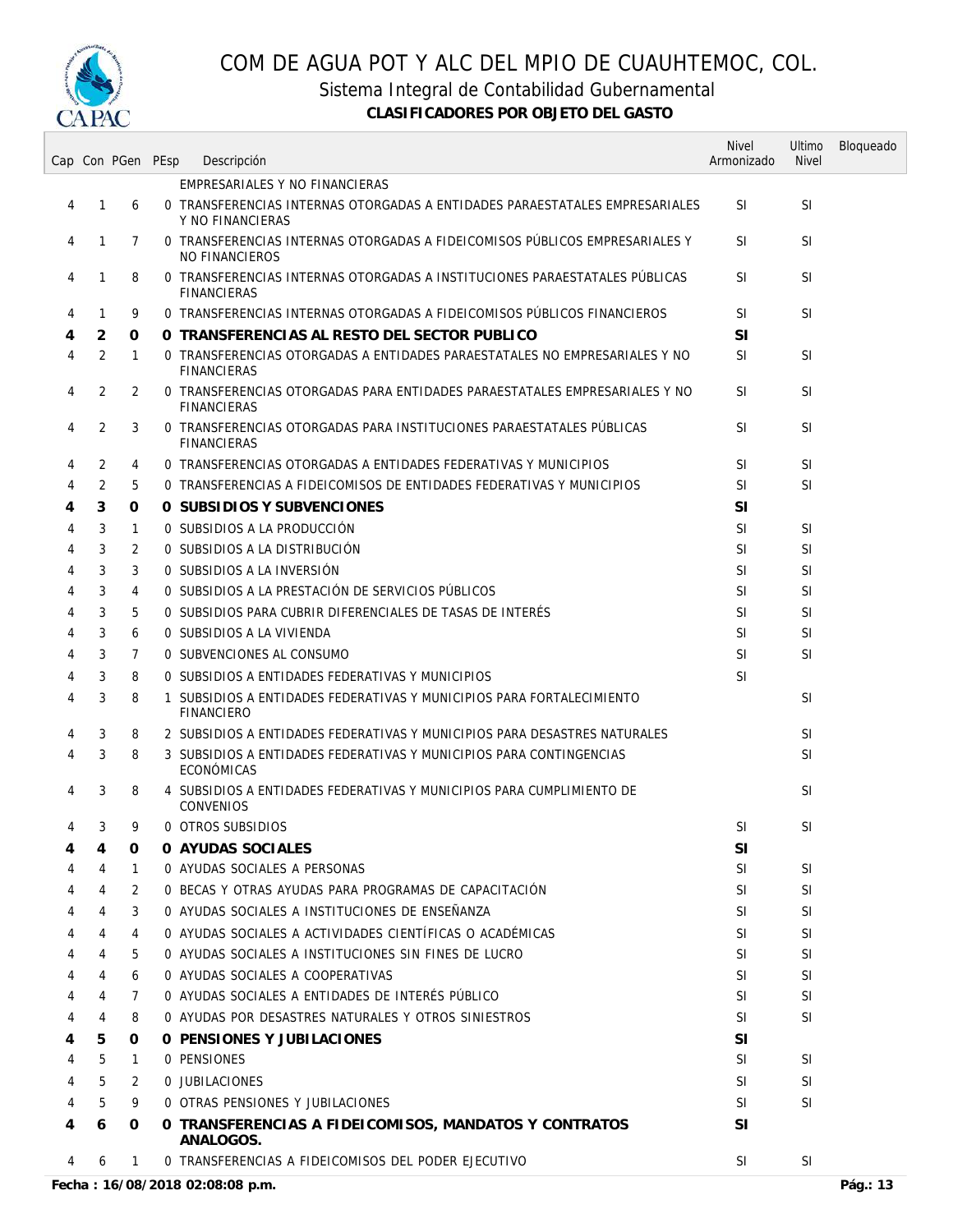

Sistema Integral de Contabilidad Gubernamental

|   |   | Cap Con PGen PEsp | Descripción                                                                                      | <b>Nivel</b><br>Armonizado | Ultimo<br><b>Nivel</b> | Bloqueado |
|---|---|-------------------|--------------------------------------------------------------------------------------------------|----------------------------|------------------------|-----------|
|   |   |                   | EMPRESARIALES Y NO FINANCIERAS                                                                   |                            |                        |           |
| 4 | 1 | 6                 | 0 TRANSFERENCIAS INTERNAS OTORGADAS A ENTIDADES PARAESTATALES EMPRESARIALES<br>Y NO FINANCIERAS  | <b>SI</b>                  | <b>SI</b>              |           |
| 4 | 1 | 7                 | 0 TRANSFERENCIAS INTERNAS OTORGADAS A FIDEICOMISOS PÚBLICOS EMPRESARIALES Y<br>NO FINANCIEROS    | <b>SI</b>                  | <b>SI</b>              |           |
| 4 | 1 | 8                 | O TRANSFERENCIAS INTERNAS OTORGADAS A INSTITUCIONES PARAESTATALES PUBLICAS<br><b>FINANCIERAS</b> | <b>SI</b>                  | <b>SI</b>              |           |
| 4 | 1 | 9                 | O TRANSFERENCIAS INTERNAS OTORGADAS A FIDEICOMISOS PÚBLICOS FINANCIEROS                          | <b>SI</b>                  | <b>SI</b>              |           |
| 4 | 2 | 0                 | O TRANSFERENCIAS AL RESTO DEL SECTOR PUBLICO                                                     | <b>SI</b>                  |                        |           |
| 4 | 2 | 1                 | 0 TRANSFERENCIAS OTORGADAS A ENTIDADES PARAESTATALES NO EMPRESARIALES Y NO<br><b>FINANCIERAS</b> | <b>SI</b>                  | SI                     |           |
| 4 | 2 | 2                 | 0 TRANSFERENCIAS OTORGADAS PARA ENTIDADES PARAESTATALES EMPRESARIALES Y NO<br><b>FINANCIERAS</b> | <b>SI</b>                  | <b>SI</b>              |           |
| 4 | 2 | 3                 | 0 TRANSFERENCIAS OTORGADAS PARA INSTITUCIONES PARAESTATALES PUBLICAS<br><b>FINANCIERAS</b>       | <b>SI</b>                  | <b>SI</b>              |           |
| 4 | 2 | 4                 | 0 TRANSFERENCIAS OTORGADAS A ENTIDADES FEDERATIVAS Y MUNICIPIOS                                  | <b>SI</b>                  | <b>SI</b>              |           |
| 4 | 2 | 5                 | 0 TRANSFERENCIAS A FIDEICOMISOS DE ENTIDADES FEDERATIVAS Y MUNICIPIOS                            | <b>SI</b>                  | <b>SI</b>              |           |
| 4 | 3 | 0                 | O SUBSIDIOS Y SUBVENCIONES                                                                       | <b>SI</b>                  |                        |           |
| 4 | 3 | 1                 | 0 SUBSIDIOS A LA PRODUCCIÓN                                                                      | <b>SI</b>                  | <b>SI</b>              |           |
| 4 | 3 | 2                 | O SUBSIDIOS A LA DISTRIBUCIÓN                                                                    | <b>SI</b>                  | <b>SI</b>              |           |
| 4 | 3 | 3                 | O SUBSIDIOS A LA INVERSIÓN                                                                       | <b>SI</b>                  | <b>SI</b>              |           |
| 4 | 3 | 4                 | O SUBSIDIOS A LA PRESTACIÓN DE SERVICIOS PÚBLICOS                                                | <b>SI</b>                  | <b>SI</b>              |           |
| 4 | 3 | 5                 | 0 SUBSIDIOS PARA CUBRIR DIFERENCIALES DE TASAS DE INTERÉS                                        | <b>SI</b>                  | <b>SI</b>              |           |
| 4 | 3 | 6                 | O SUBSIDIOS A LA VIVIENDA                                                                        | <b>SI</b>                  | <b>SI</b>              |           |
| 4 | 3 | $\overline{7}$    | 0 SUBVENCIONES AL CONSUMO                                                                        | <b>SI</b>                  | SI                     |           |
| 4 | 3 | 8                 | O SUBSIDIOS A ENTIDADES FEDERATIVAS Y MUNICIPIOS                                                 | <b>SI</b>                  |                        |           |
| 4 | 3 | 8                 | 1 SUBSIDIOS A ENTIDADES FEDERATIVAS Y MUNICIPIOS PARA FORTALECIMIENTO<br><b>FINANCIERO</b>       |                            | <b>SI</b>              |           |
| 4 | 3 | 8                 | 2 SUBSIDIOS A ENTIDADES FEDERATIVAS Y MUNICIPIOS PARA DESASTRES NATURALES                        |                            | <b>SI</b>              |           |
| 4 | 3 | 8                 | 3 SUBSIDIOS A ENTIDADES FEDERATIVAS Y MUNICIPIOS PARA CONTINGENCIAS<br>ECONÓMICAS                |                            | <b>SI</b>              |           |
| 4 | 3 | 8                 | 4 SUBSIDIOS A ENTIDADES FEDERATIVAS Y MUNICIPIOS PARA CUMPLIMIENTO DE<br><b>CONVENIOS</b>        |                            | <b>SI</b>              |           |
| 4 | 3 | 9                 | 0 OTROS SUBSIDIOS                                                                                | <b>SI</b>                  | <b>SI</b>              |           |
| 4 | 4 | 0                 | O AYUDAS SOCIALES                                                                                | <b>SI</b>                  |                        |           |
| 4 | 4 | 1                 | 0 AYUDAS SOCIALES A PERSONAS                                                                     | <b>SI</b>                  | SI                     |           |
| 4 | 4 | 2                 | 0 BECAS Y OTRAS AYUDAS PARA PROGRAMAS DE CAPACITACIÓN                                            | <b>SI</b>                  | <b>SI</b>              |           |
| 4 | 4 | 3                 | O AYUDAS SOCIALES A INSTITUCIONES DE ENSEÑANZA                                                   | <b>SI</b>                  | SI                     |           |
| 4 | 4 | 4                 | 0 AYUDAS SOCIALES A ACTIVIDADES CIENTÍFICAS O ACADÉMICAS                                         | <b>SI</b>                  | SI                     |           |
| 4 | 4 | 5                 | O AYUDAS SOCIALES A INSTITUCIONES SIN FINES DE LUCRO                                             | <b>SI</b>                  | SI                     |           |
|   | 4 | 6                 | 0 AYUDAS SOCIALES A COOPERATIVAS                                                                 | <b>SI</b>                  | SI                     |           |
|   | 4 | 7                 | O AYUDAS SOCIALES A ENTIDADES DE INTERÉS PÚBLICO                                                 | <b>SI</b>                  | <b>SI</b>              |           |
| 4 | 4 | 8                 | O AYUDAS POR DESASTRES NATURALES Y OTROS SINIESTROS                                              | <b>SI</b>                  | SI                     |           |
| 4 | 5 | 0                 | 0 PENSIONES Y JUBILACIONES                                                                       | SI                         |                        |           |
| 4 | 5 | $\mathbf{1}$      | <b>0 PENSIONES</b>                                                                               | <b>SI</b>                  | SI.                    |           |
| 4 | 5 | 2                 | O JUBILACIONES                                                                                   | <b>SI</b>                  | <b>SI</b>              |           |
| 4 | 5 | 9                 | O OTRAS PENSIONES Y JUBILACIONES                                                                 | <b>SI</b>                  | SI                     |           |
| 4 | 6 | O                 | O TRANSFERENCIAS A FIDEICOMISOS, MANDATOS Y CONTRATOS<br>ANALOGOS.                               | <b>SI</b>                  |                        |           |
| 4 | 6 | $\mathbf{1}$      | O TRANSFERENCIAS A FIDEICOMISOS DEL PODER EJECUTIVO                                              | <b>SI</b>                  | SI                     |           |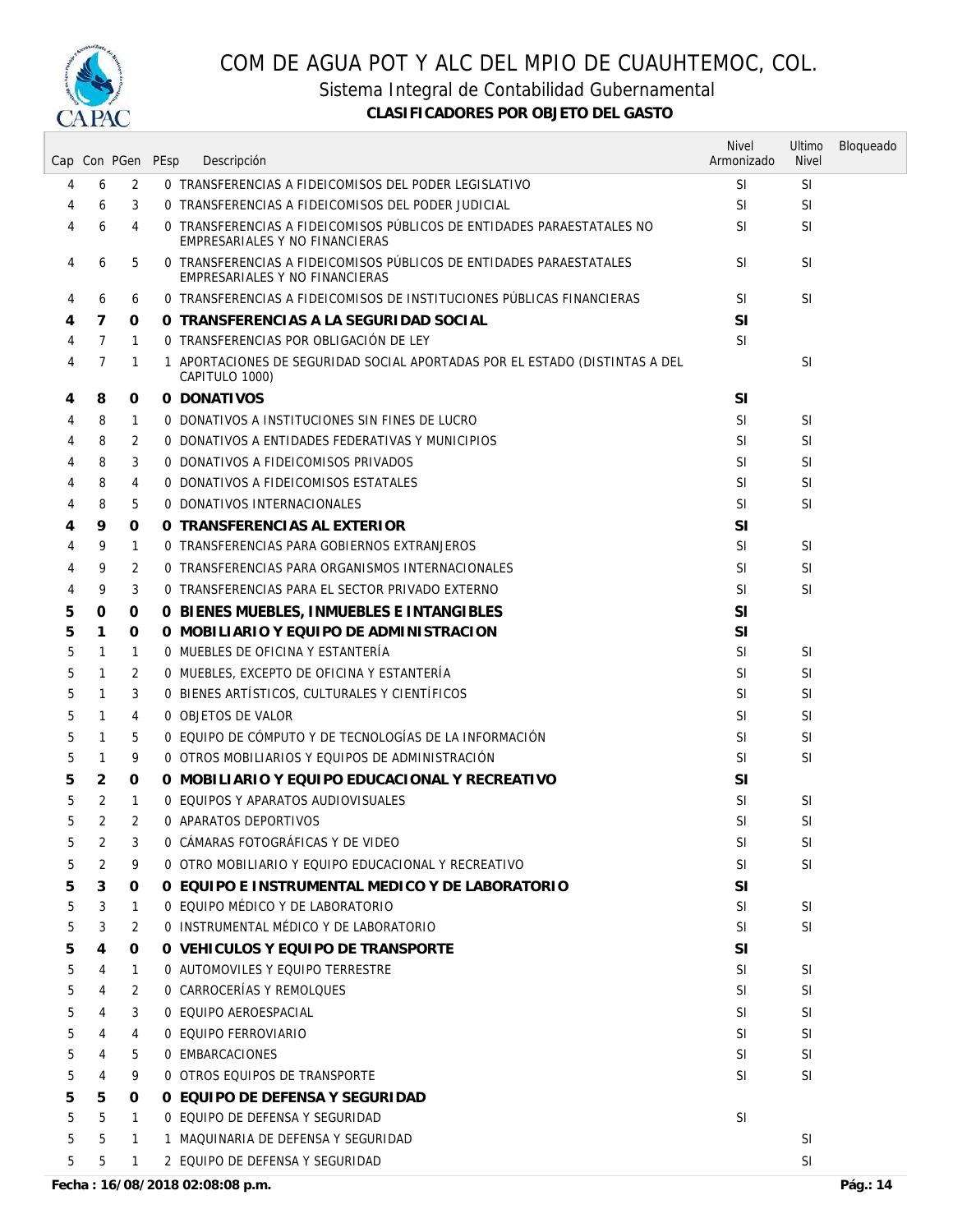

Sistema Integral de Contabilidad Gubernamental

|   |                |                | Cap Con PGen PEsp | Descripción                                                                                              | <b>Nivel</b><br>Armonizado | Ultimo<br><b>Nivel</b> | Bloqueado |
|---|----------------|----------------|-------------------|----------------------------------------------------------------------------------------------------------|----------------------------|------------------------|-----------|
| 4 | 6              | 2              |                   | 0 TRANSFERENCIAS A FIDEICOMISOS DEL PODER LEGISLATIVO                                                    | <b>SI</b>                  | <b>SI</b>              |           |
| 4 | 6              | 3              |                   | O TRANSFERENCIAS A FIDEICOMISOS DEL PODER JUDICIAL                                                       | <b>SI</b>                  | SI                     |           |
| 4 | 6              | 4              |                   | O TRANSFERENCIAS A FIDEICOMISOS PÚBLICOS DE ENTIDADES PARAESTATALES NO<br>EMPRESARIALES Y NO FINANCIERAS | SI.                        | SI                     |           |
| 4 | 6              | 5              |                   | O TRANSFERENCIAS A FIDEICOMISOS PÚBLICOS DE ENTIDADES PARAESTATALES<br>EMPRESARIALES Y NO FINANCIERAS    | <b>SI</b>                  | SI                     |           |
| 4 | 6              | 6              |                   | O TRANSFERENCIAS A FIDEICOMISOS DE INSTITUCIONES PÚBLICAS FINANCIERAS                                    | <b>SI</b>                  | <b>SI</b>              |           |
| 4 | 7              | 0              |                   | O TRANSFERENCIAS A LA SEGURIDAD SOCIAL                                                                   | SI                         |                        |           |
| 4 | $\overline{7}$ | $\mathbf{1}$   |                   | O TRANSFERENCIAS POR OBLIGACIÓN DE LEY                                                                   | <b>SI</b>                  |                        |           |
| 4 | 7              | $\mathbf{1}$   |                   | 1 APORTACIONES DE SEGURIDAD SOCIAL APORTADAS POR EL ESTADO (DISTINTAS A DEL<br>CAPITULO 1000)            |                            | <b>SI</b>              |           |
| 4 | 8              | 0              |                   | O DONATIVOS                                                                                              | SI                         |                        |           |
| 4 | 8              | 1              |                   | O DONATIVOS A INSTITUCIONES SIN FINES DE LUCRO                                                           | <b>SI</b>                  | <b>SI</b>              |           |
| 4 | 8              | 2              |                   | O DONATIVOS A ENTIDADES FEDERATIVAS Y MUNICIPIOS                                                         | SI                         | SI                     |           |
| 4 | 8              | 3              |                   | 0 DONATIVOS A FIDEICOMISOS PRIVADOS                                                                      | <b>SI</b>                  | SI                     |           |
| 4 | 8              | 4              |                   | <b>0 DONATIVOS A FIDEICOMISOS ESTATALES</b>                                                              | <b>SI</b>                  | SI                     |           |
| 4 | 8              | 5              |                   | 0 DONATIVOS INTERNACIONALES                                                                              | <b>SI</b>                  | SI                     |           |
| 4 | 9              | 0              |                   | O TRANSFERENCIAS AL EXTERIOR                                                                             | <b>SI</b>                  |                        |           |
| 4 | 9              | 1              |                   | O TRANSFERENCIAS PARA GOBIERNOS EXTRANJEROS                                                              | <b>SI</b>                  | <b>SI</b>              |           |
| 4 | 9              | 2              |                   | O TRANSFERENCIAS PARA ORGANISMOS INTERNACIONALES                                                         | <b>SI</b>                  | SI                     |           |
| 4 | 9              | 3              |                   | 0 TRANSFERENCIAS PARA EL SECTOR PRIVADO EXTERNO                                                          | <b>SI</b>                  | SI                     |           |
| 5 | 0              | 0              |                   | O BIENES MUEBLES, INMUEBLES E INTANGIBLES                                                                | SI                         |                        |           |
| 5 | 1              | 0              |                   | O MOBILIARIO Y EQUIPO DE ADMINISTRACION                                                                  | SI                         |                        |           |
| 5 | 1              | $\mathbf{1}$   |                   | 0 MUEBLES DE OFICINA Y ESTANTERÍA                                                                        | <b>SI</b>                  | <b>SI</b>              |           |
| 5 | 1              | 2              |                   | O MUEBLES, EXCEPTO DE OFICINA Y ESTANTERÍA                                                               | <b>SI</b>                  | <b>SI</b>              |           |
| 5 | 1              | 3              |                   | O BIENES ARTÍSTICOS, CULTURALES Y CIENTÍFICOS                                                            | <b>SI</b>                  | SI                     |           |
| 5 | 1              | 4              |                   | 0 OBJETOS DE VALOR                                                                                       | <b>SI</b>                  | SI                     |           |
| 5 | 1              | 5              |                   | O EQUIPO DE CÓMPUTO Y DE TECNOLOGÍAS DE LA INFORMACIÓN                                                   | <b>SI</b>                  | <b>SI</b>              |           |
| 5 | 1              | 9              |                   | O OTROS MOBILIARIOS Y EQUIPOS DE ADMINISTRACIÓN                                                          | SI                         | SI                     |           |
| 5 | 2              | 0              |                   | O MOBILIARIO Y EQUIPO EDUCACIONAL Y RECREATIVO                                                           | <b>SI</b>                  |                        |           |
| 5 | 2              | $\mathbf{1}$   |                   | 0 EQUIPOS Y APARATOS AUDIOVISUALES                                                                       | <b>SI</b>                  | <b>SI</b>              |           |
| 5 | 2              | $\overline{2}$ |                   | 0 APARATOS DEPORTIVOS                                                                                    | <b>SI</b>                  | <b>SI</b>              |           |
| 5 | 2              | 3              |                   | O CAMARAS FOTOGRAFICAS Y DE VIDEO                                                                        | <b>SI</b>                  | SI                     |           |
| 5 | 2              | 9              |                   | 0 OTRO MOBILIARIO Y EQUIPO EDUCACIONAL Y RECREATIVO                                                      | <b>SI</b>                  | SI                     |           |
| 5 | 3.             | 0              |                   | 0 EQUIPO E INSTRUMENTAL MEDICO Y DE LABORATORIO                                                          | <b>SI</b>                  |                        |           |
| 5 | 3              | $\mathbf{1}$   |                   | 0 EQUIPO MÉDICO Y DE LABORATORIO                                                                         | <b>SI</b>                  | <b>SI</b>              |           |
| 5 | 3              | 2              |                   | O INSTRUMENTAL MÉDICO Y DE LABORATORIO                                                                   | <b>SI</b>                  | SI                     |           |
| 5 | 4              | 0              |                   | O VEHICULOS Y EQUIPO DE TRANSPORTE                                                                       | <b>SI</b>                  |                        |           |
| 5 | 4              | $\mathbf{1}$   |                   | 0 AUTOMOVILES Y EQUIPO TERRESTRE                                                                         | <b>SI</b>                  | SI                     |           |
| 5 | 4              | 2              |                   | 0 CARROCERÍAS Y REMOLQUES                                                                                | SI                         | <b>SI</b>              |           |
| 5 | 4              | 3              |                   | 0 EQUIPO AEROESPACIAL                                                                                    | SI.                        | <b>SI</b>              |           |
| 5 | 4              | 4              |                   | 0 EQUIPO FERROVIARIO                                                                                     | SI.                        | SI                     |           |
| 5 | 4              | 5              |                   | 0 EMBARCACIONES                                                                                          | SI.                        | SI                     |           |
| 5 | 4              | 9              |                   | 0 OTROS EQUIPOS DE TRANSPORTE                                                                            | SI                         | <b>SI</b>              |           |
| 5 | 5              | 0              |                   | O EQUIPO DE DEFENSA Y SEGURIDAD                                                                          |                            |                        |           |
| 5 | 5              | $\mathbf{1}$   |                   | 0 EQUIPO DE DEFENSA Y SEGURIDAD                                                                          | <b>SI</b>                  |                        |           |
| 5 | 5              | $\mathbf{1}$   |                   | 1 MAQUINARIA DE DEFENSA Y SEGURIDAD                                                                      |                            | SI                     |           |
| 5 | 5              | $\mathbf{1}$   |                   | 2 EQUIPO DE DEFENSA Y SEGURIDAD                                                                          |                            | SI                     |           |
|   |                |                |                   |                                                                                                          |                            |                        |           |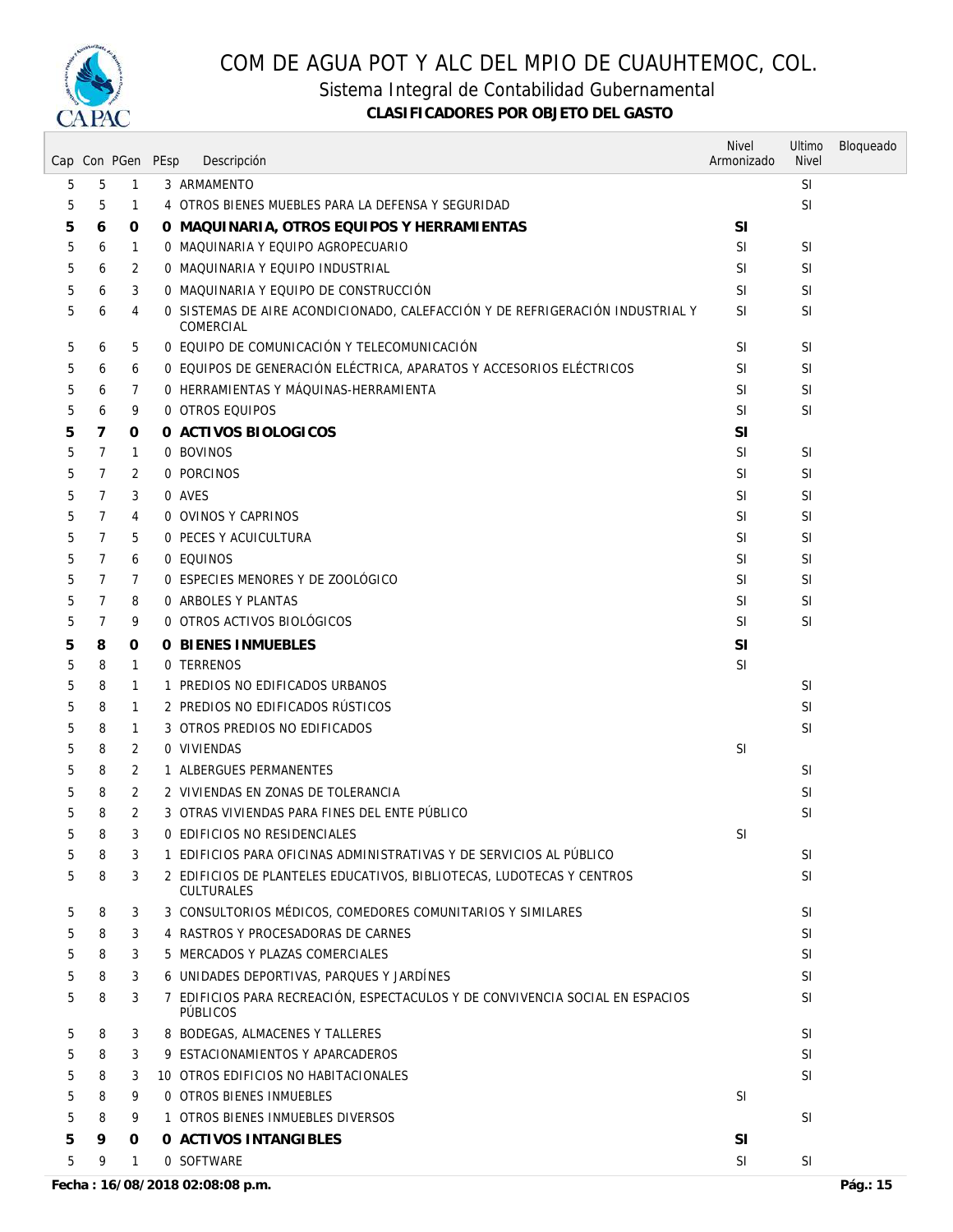

Sistema Integral de Contabilidad Gubernamental

|   |                | Cap Con PGen PEsp | Descripción                                                                                | <b>Nivel</b><br>Armonizado | Ultimo<br><b>Nivel</b> | Bloqueado |
|---|----------------|-------------------|--------------------------------------------------------------------------------------------|----------------------------|------------------------|-----------|
| 5 | 5              | $\mathbf{1}$      | 3 ARMAMENTO                                                                                |                            | SI                     |           |
| 5 | 5              | $\mathbf{1}$      | 4 OTROS BIENES MUEBLES PARA LA DEFENSA Y SEGURIDAD                                         |                            | <b>SI</b>              |           |
| 5 | 6              | 0                 | O MAQUINARIA, OTROS EQUIPOS Y HERRAMIENTAS                                                 | <b>SI</b>                  |                        |           |
| 5 | 6              | 1                 | 0 MAQUINARIA Y EQUIPO AGROPECUARIO                                                         | SI                         | <b>SI</b>              |           |
| 5 | 6              | 2                 | 0 MAQUINARIA Y EQUIPO INDUSTRIAL                                                           | SI                         | SI                     |           |
|   |                |                   |                                                                                            |                            |                        |           |
| 5 | 6              | 3                 | 0 MAQUINARIA Y EQUIPO DE CONSTRUCCIÓN                                                      | SI                         | SI                     |           |
| 5 | 6              | 4                 | O SISTEMAS DE AIRE ACONDICIONADO, CALEFACCIÓN Y DE REFRIGERACIÓN INDUSTRIAL Y<br>COMERCIAL | <b>SI</b>                  | SI                     |           |
| 5 | 6              | 5                 | O EQUIPO DE COMUNICACIÓN Y TELECOMUNICACIÓN                                                | SI                         | <b>SI</b>              |           |
| 5 | 6              | 6                 | O EQUIPOS DE GENERACIÓN ELÉCTRICA, APARATOS Y ACCESORIOS ELÉCTRICOS                        | SI                         | SI                     |           |
| 5 | 6              | 7                 | O HERRAMIENTAS Y MÁQUINAS-HERRAMIENTA                                                      | SI.                        | SI                     |           |
| 5 | 6              | 9                 | 0 OTROS EQUIPOS                                                                            | SI                         | SI                     |           |
| 5 | 7              | 0                 | 0 ACTIVOS BIOLOGICOS                                                                       | <b>SI</b>                  |                        |           |
| 5 | 7              | $\mathbf{1}$      | 0 BOVINOS                                                                                  | SI                         | <b>SI</b>              |           |
| 5 | 7              | 2                 | 0 PORCINOS                                                                                 | SI                         | SI                     |           |
| 5 | $\overline{7}$ | 3                 | 0 AVES                                                                                     | SI                         | SI                     |           |
| 5 | 7              | 4                 | 0 OVINOS Y CAPRINOS                                                                        | <b>SI</b>                  | SI                     |           |
| 5 | 7              | 5                 | 0 PECES Y ACUICULTURA                                                                      | SI                         | SI                     |           |
| 5 | $\overline{7}$ | 6                 | 0 EQUINOS                                                                                  | SI                         | SI                     |           |
| 5 | 7              | 7                 | 0 ESPECIES MENORES Y DE ZOOLOGICO                                                          | SI                         | SI                     |           |
| 5 | 7              | 8                 | 0 ARBOLES Y PLANTAS                                                                        | SI                         | SI                     |           |
| 5 | 7              | 9                 | 0 OTROS ACTIVOS BIOLÓGICOS                                                                 | <b>SI</b>                  | SI                     |           |
|   |                |                   | <b>0 BIENES INMUEBLES</b>                                                                  | <b>SI</b>                  |                        |           |
| 5 | 8              | 0                 | 0 TERRENOS                                                                                 | SI                         |                        |           |
| 5 | 8              | $\mathbf{1}$      |                                                                                            |                            |                        |           |
| 5 | 8              | 1                 | 1 PREDIOS NO EDIFICADOS URBANOS                                                            |                            | <b>SI</b>              |           |
| 5 | 8              | 1                 | 2 PREDIOS NO EDIFICADOS RÚSTICOS                                                           |                            | SI                     |           |
| 5 | 8              | 1                 | 3 OTROS PREDIOS NO EDIFICADOS                                                              |                            | SI                     |           |
| 5 | 8              | 2                 | 0 VIVIENDAS                                                                                | <b>SI</b>                  |                        |           |
| 5 | 8              | 2                 | 1 ALBERGUES PERMANENTES                                                                    |                            | <b>SI</b>              |           |
| 5 | 8              | 2                 | 2 VIVIENDAS EN ZONAS DE TOLERANCIA                                                         |                            | SI                     |           |
| 5 | 8              | 2                 | 3 OTRAS VIVIENDAS PARA FINES DEL ENTE PÚBLICO                                              |                            | <b>SI</b>              |           |
| 5 | 8              | 3                 | 0 EDIFICIOS NO RESIDENCIALES                                                               | <b>SI</b>                  |                        |           |
| 5 | 8              | 3                 | 1 EDIFICIOS PARA OFICINAS ADMINISTRATIVAS Y DE SERVICIOS AL PÚBLICO                        |                            | <b>SI</b>              |           |
| 5 | 8              | 3                 | 2 EDIFICIOS DE PLANTELES EDUCATIVOS, BIBLIOTECAS, LUDOTECAS Y CENTROS<br><b>CULTURALES</b> |                            | SI                     |           |
| 5 | 8              | 3                 | 3 CONSULTORIOS MÉDICOS, COMEDORES COMUNITARIOS Y SIMILARES                                 |                            | SI                     |           |
| 5 | 8              | 3                 | 4 RASTROS Y PROCESADORAS DE CARNES                                                         |                            | <b>SI</b>              |           |
| 5 | 8              | 3                 | 5 MERCADOS Y PLAZAS COMERCIALES                                                            |                            | SI                     |           |
| 5 | 8              | 3                 | 6 UNIDADES DEPORTIVAS, PARQUES Y JARDÍNES                                                  |                            | SI                     |           |
| 5 | 8              | 3                 | 7 EDIFICIOS PARA RECREACIÓN, ESPECTACULOS Y DE CONVIVENCIA SOCIAL EN ESPACIOS<br>PÚBLICOS  |                            | SI                     |           |
| 5 | 8              | 3                 | 8 BODEGAS, ALMACENES Y TALLERES                                                            |                            | <b>SI</b>              |           |
| 5 | 8              | 3                 | 9 ESTACIONAMIENTOS Y APARCADEROS                                                           |                            | <b>SI</b>              |           |
| 5 | 8              | 3                 | 10 OTROS EDIFICIOS NO HABITACIONALES                                                       |                            | <b>SI</b>              |           |
| 5 | 8              | 9                 | <b>0 OTROS BIENES INMUEBLES</b>                                                            | SI                         |                        |           |
| 5 | 8              | 9                 | 1 OTROS BIENES INMUEBLES DIVERSOS                                                          |                            | <b>SI</b>              |           |
| 5 | 9              | 0                 | O ACTIVOS INTANGIBLES                                                                      | <b>SI</b>                  |                        |           |
| 5 | 9              | 1                 | 0 SOFTWARE                                                                                 | SI                         | <b>SI</b>              |           |
|   |                |                   |                                                                                            |                            |                        |           |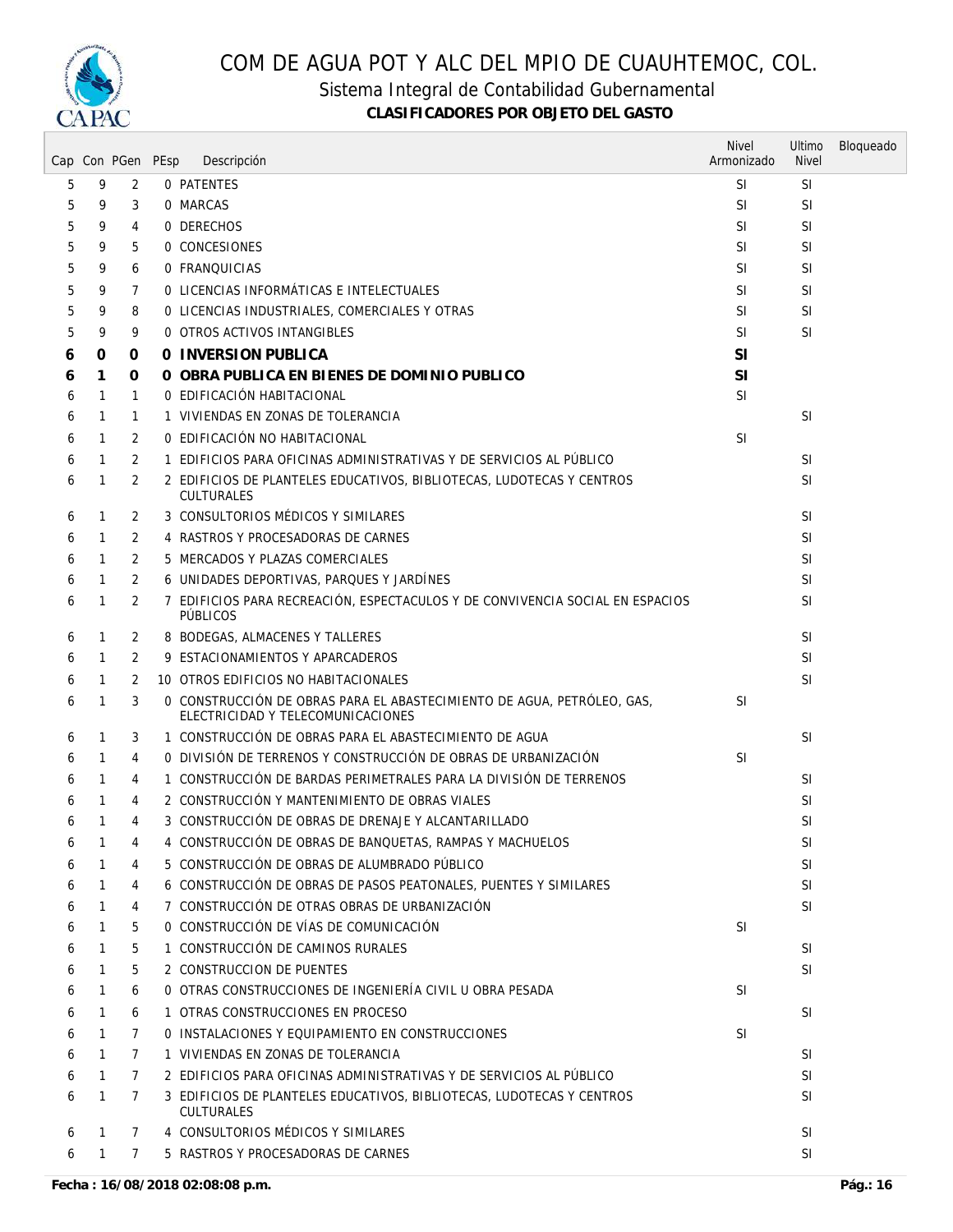

Sistema Integral de Contabilidad Gubernamental

|   |              | Cap Con PGen PEsp | Descripción                                                                                                 | <b>Nivel</b><br>Armonizado | Ultimo<br><b>Nivel</b> | Bloqueado |
|---|--------------|-------------------|-------------------------------------------------------------------------------------------------------------|----------------------------|------------------------|-----------|
| 5 | 9            | 2                 | 0 PATENTES                                                                                                  | <b>SI</b>                  | <b>SI</b>              |           |
| 5 | 9            | 3                 | 0 MARCAS                                                                                                    | <b>SI</b>                  | <b>SI</b>              |           |
| 5 | 9            | 4                 | 0 DERECHOS                                                                                                  | <sup>SI</sup>              | <b>SI</b>              |           |
| 5 | 9            | 5                 | 0 CONCESIONES                                                                                               | <sup>SI</sup>              | <b>SI</b>              |           |
| 5 | 9            | 6                 | 0 FRANQUICIAS                                                                                               | <b>SI</b>                  | <b>SI</b>              |           |
| 5 | 9            | 7                 | O LICENCIAS INFORMATICAS E INTELECTUALES                                                                    | <b>SI</b>                  | SI                     |           |
| 5 | 9            | 8                 | O LICENCIAS INDUSTRIALES, COMERCIALES Y OTRAS                                                               | <b>SI</b>                  | SI                     |           |
| 5 | 9            | 9                 | 0 OTROS ACTIVOS INTANGIBLES                                                                                 | <b>SI</b>                  | <b>SI</b>              |           |
| 6 | 0            | 0                 | 0 INVERSION PUBLICA                                                                                         | SI                         |                        |           |
| 6 | 1            | 0                 | O OBRA PUBLICA EN BIENES DE DOMINIO PUBLICO                                                                 | <b>SI</b>                  |                        |           |
| 6 | 1            | 1                 | 0 EDIFICACIÓN HABITACIONAL                                                                                  | <b>SI</b>                  |                        |           |
| 6 | $\mathbf{1}$ | 1                 | 1 VIVIENDAS EN ZONAS DE TOLERANCIA                                                                          |                            | <b>SI</b>              |           |
| 6 | $\mathbf{1}$ | 2                 | 0 EDIFICACIÓN NO HABITACIONAL                                                                               | <b>SI</b>                  |                        |           |
| 6 | 1            | 2                 | 1 EDIFICIOS PARA OFICINAS ADMINISTRATIVAS Y DE SERVICIOS AL PÚBLICO                                         |                            | <b>SI</b>              |           |
| 6 | 1            | 2                 | 2 EDIFICIOS DE PLANTELES EDUCATIVOS, BIBLIOTECAS, LUDOTECAS Y CENTROS<br><b>CULTURALES</b>                  |                            | <b>SI</b>              |           |
| 6 | 1            | 2                 | 3 CONSULTORIOS MÉDICOS Y SIMILARES                                                                          |                            | SI                     |           |
| 6 | 1            | 2                 | 4 RASTROS Y PROCESADORAS DE CARNES                                                                          |                            | <b>SI</b>              |           |
| 6 | 1            | 2                 | 5 MERCADOS Y PLAZAS COMERCIALES                                                                             |                            | <b>SI</b>              |           |
| 6 | $\mathbf{1}$ | 2                 | 6 UNIDADES DEPORTIVAS, PARQUES Y JARDÍNES                                                                   |                            | <b>SI</b>              |           |
| 6 | 1            | 2                 | 7 EDIFICIOS PARA RECREACIÓN, ESPECTACULOS Y DE CONVIVENCIA SOCIAL EN ESPACIOS<br>PÚBLICOS                   |                            | <b>SI</b>              |           |
| 6 | 1            | 2                 | 8 BODEGAS, ALMACENES Y TALLERES                                                                             |                            | SI                     |           |
| 6 | 1            | 2                 | 9 ESTACIONAMIENTOS Y APARCADEROS                                                                            |                            | <b>SI</b>              |           |
| 6 | 1            | 2                 | 10 OTROS EDIFICIOS NO HABITACIONALES                                                                        |                            | <b>SI</b>              |           |
| 6 | $\mathbf{1}$ | 3                 | O CONSTRUCCIÓN DE OBRAS PARA EL ABASTECIMIENTO DE AGUA, PETRÓLEO, GAS,<br>ELECTRICIDAD Y TELECOMUNICACIONES | <b>SI</b>                  |                        |           |
| 6 | 1            | 3                 | 1 CONSTRUCCIÓN DE OBRAS PARA EL ABASTECIMIENTO DE AGUA                                                      |                            | <b>SI</b>              |           |
| 6 | $\mathbf{1}$ | 4                 | O DIVISIÓN DE TERRENOS Y CONSTRUCCIÓN DE OBRAS DE URBANIZACIÓN                                              | <b>SI</b>                  |                        |           |
| 6 | 1            | 4                 | 1 CONSTRUCCIÓN DE BARDAS PERIMETRALES PARA LA DIVISIÓN DE TERRENOS                                          |                            | <b>SI</b>              |           |
| 6 | 1            | 4                 | 2 CONSTRUCCIÓN Y MANTENIMIENTO DE OBRAS VIALES                                                              |                            | <b>SI</b>              |           |
| 6 | 1            | 4                 | 3 CONSTRUCCIÓN DE OBRAS DE DRENAJE Y ALCANTARILLADO                                                         |                            | SI                     |           |
| 6 | 1            | 4                 | 4 CONSTRUCCIÓN DE OBRAS DE BANQUETAS, RAMPAS Y MACHUELOS                                                    |                            | SI.                    |           |
| 6 | 1            | 4                 | 5 CONSTRUCCIÓN DE OBRAS DE ALUMBRADO PÚBLICO                                                                |                            | <b>SI</b>              |           |
| 6 | $\mathbf{1}$ | 4                 | 6 CONSTRUCCIÓN DE OBRAS DE PASOS PEATONALES, PUENTES Y SIMILARES                                            |                            | <b>SI</b>              |           |
| 6 | 1            | 4                 | 7 CONSTRUCCIÓN DE OTRAS OBRAS DE URBANIZACIÓN                                                               |                            | <b>SI</b>              |           |
| 6 | 1            | 5                 | O CONSTRUCCIÓN DE VÍAS DE COMUNICACIÓN                                                                      | <b>SI</b>                  |                        |           |
| 6 | 1            | 5                 | 1 CONSTRUCCIÓN DE CAMINOS RURALES                                                                           |                            | SI                     |           |
| 6 | 1            | 5                 | 2 CONSTRUCCION DE PUENTES                                                                                   |                            | <b>SI</b>              |           |
| 6 | 1            | 6                 | O OTRAS CONSTRUCCIONES DE INGENIERÍA CIVIL U OBRA PESADA                                                    | <b>SI</b>                  |                        |           |
| 6 | $\mathbf{1}$ | 6                 | 1 OTRAS CONSTRUCCIONES EN PROCESO                                                                           |                            | SI                     |           |
| 6 | 1            | 7                 | O INSTALACIONES Y EQUIPAMIENTO EN CONSTRUCCIONES                                                            | <b>SI</b>                  |                        |           |
| 6 | 1            | 7                 | 1 VIVIENDAS EN ZONAS DE TOLERANCIA                                                                          |                            | SI                     |           |
| 6 | $\mathbf{1}$ | $\overline{7}$    | 2 EDIFICIOS PARA OFICINAS ADMINISTRATIVAS Y DE SERVICIOS AL PÚBLICO                                         |                            | <b>SI</b>              |           |
| 6 | 1            | $\overline{7}$    | 3 EDIFICIOS DE PLANTELES EDUCATIVOS, BIBLIOTECAS, LUDOTECAS Y CENTROS<br><b>CULTURALES</b>                  |                            | <b>SI</b>              |           |
| 6 | 1            | $\mathcal{I}$     | 4 CONSULTORIOS MÉDICOS Y SIMILARES                                                                          |                            | <b>SI</b>              |           |
| 6 | 1            | $\mathcal{I}$     | 5 RASTROS Y PROCESADORAS DE CARNES                                                                          |                            | <b>SI</b>              |           |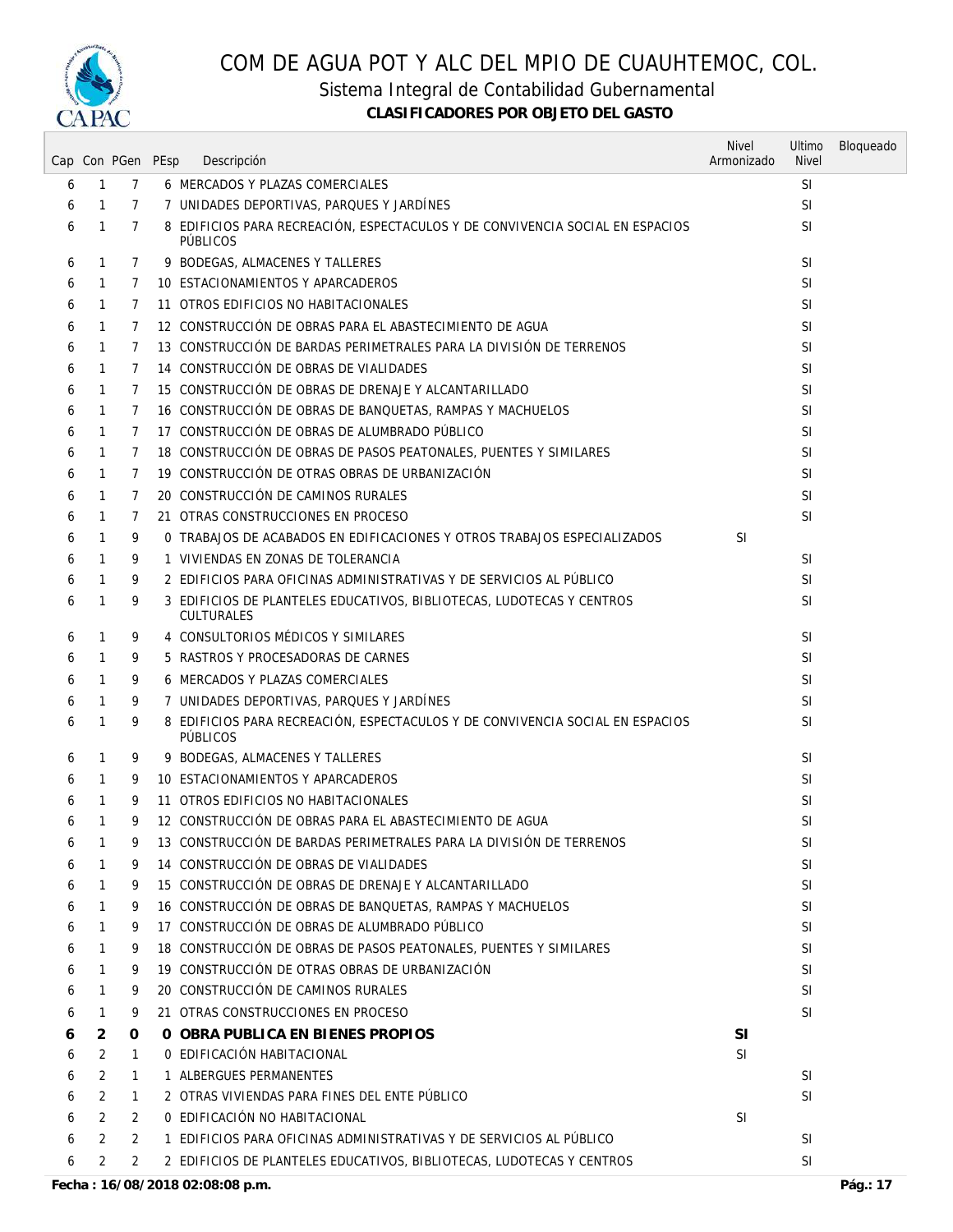

Sistema Integral de Contabilidad Gubernamental

|   |                | Cap Con PGen PEsp | Descripción                                                                                      | <b>Nivel</b><br>Armonizado | Ultimo<br><b>Nivel</b> | Bloqueado |
|---|----------------|-------------------|--------------------------------------------------------------------------------------------------|----------------------------|------------------------|-----------|
| 6 | $\mathbf{1}$   | 7                 | 6 MERCADOS Y PLAZAS COMERCIALES                                                                  |                            | <b>SI</b>              |           |
| 6 | $\mathbf{1}$   | $\overline{7}$    | 7 UNIDADES DEPORTIVAS, PARQUES Y JARDINES                                                        |                            | <b>SI</b>              |           |
| 6 | 1              | 7                 | 8 EDIFICIOS PARA RECREACIÓN, ESPECTACULOS Y DE CONVIVENCIA SOCIAL EN ESPACIOS<br><b>PÜBLICOS</b> |                            | <b>SI</b>              |           |
| 6 | $\mathbf{1}$   | 7                 | 9 BODEGAS, ALMACENES Y TALLERES                                                                  |                            | <b>SI</b>              |           |
| 6 | 1              | 7                 | 10 ESTACIONAMIENTOS Y APARCADEROS                                                                |                            | <b>SI</b>              |           |
| 6 | 1              | 7                 | 11 OTROS EDIFICIOS NO HABITACIONALES                                                             |                            | <b>SI</b>              |           |
| 6 | $\mathbf{1}$   | 7                 | 12 CONSTRUCCIÓN DE OBRAS PARA EL ABASTECIMIENTO DE AGUA                                          |                            | <b>SI</b>              |           |
| 6 | 1              | 7                 | 13 CONSTRUCCIÓN DE BARDAS PERIMETRALES PARA LA DIVISIÓN DE TERRENOS                              |                            | <b>SI</b>              |           |
| 6 | 1              | 7                 | 14 CONSTRUCCIÓN DE OBRAS DE VIALIDADES                                                           |                            | <b>SI</b>              |           |
| 6 | 1              | 7                 | 15 CONSTRUCCIÓN DE OBRAS DE DRENAJE Y ALCANTARILLADO                                             |                            | <b>SI</b>              |           |
| 6 | 1              | 7                 | 16 CONSTRUCCIÓN DE OBRAS DE BANQUETAS, RAMPAS Y MACHUELOS                                        |                            | <b>SI</b>              |           |
| 6 | 1              | 7                 | 17 CONSTRUCCIÓN DE OBRAS DE ALUMBRADO PÚBLICO                                                    |                            | <b>SI</b>              |           |
| 6 | $\mathbf{1}$   | 7                 | 18 CONSTRUCCIÓN DE OBRAS DE PASOS PEATONALES, PUENTES Y SIMILARES                                |                            | <b>SI</b>              |           |
| 6 | 1              | 7                 | 19 CONSTRUCCIÓN DE OTRAS OBRAS DE URBANIZACIÓN                                                   |                            | <b>SI</b>              |           |
| 6 | 1              | 7                 | 20 CONSTRUCCIÓN DE CAMINOS RURALES                                                               |                            | SI                     |           |
| 6 | 1              | 7                 | 21 OTRAS CONSTRUCCIONES EN PROCESO                                                               |                            | <b>SI</b>              |           |
| 6 | 1              | 9                 | 0 TRABAJOS DE ACABADOS EN EDIFICACIONES Y OTROS TRABAJOS ESPECIALIZADOS                          | <b>SI</b>                  |                        |           |
| 6 | 1              | 9                 | 1 VIVIENDAS EN ZONAS DE TOLERANCIA                                                               |                            | <b>SI</b>              |           |
| 6 | $\mathbf{1}$   | 9                 | 2 EDIFICIOS PARA OFICINAS ADMINISTRATIVAS Y DE SERVICIOS AL PÚBLICO                              |                            | <b>SI</b>              |           |
| 6 | $\mathbf{1}$   | 9                 | 3 EDIFICIOS DE PLANTELES EDUCATIVOS, BIBLIOTECAS, LUDOTECAS Y CENTROS                            |                            | <b>SI</b>              |           |
|   |                |                   | <b>CULTURALES</b>                                                                                |                            |                        |           |
| 6 | 1              | 9                 | 4 CONSULTORIOS MÉDICOS Y SIMILARES                                                               |                            | <b>SI</b>              |           |
| 6 | 1              | 9                 | 5 RASTROS Y PROCESADORAS DE CARNES                                                               |                            | <b>SI</b>              |           |
| 6 | 1              | 9                 | 6 MERCADOS Y PLAZAS COMERCIALES                                                                  |                            | SI                     |           |
| 6 | 1              | 9                 | 7 UNIDADES DEPORTIVAS, PARQUES Y JARDÍNES                                                        |                            | <b>SI</b>              |           |
| 6 | 1              | 9                 | 8 EDIFICIOS PARA RECREACIÓN, ESPECTACULOS Y DE CONVIVENCIA SOCIAL EN ESPACIOS<br><b>PÚBLICOS</b> |                            | <b>SI</b>              |           |
| 6 | 1              | 9                 | 9 BODEGAS, ALMACENES Y TALLERES                                                                  |                            | SI                     |           |
| 6 | $\mathbf{1}$   | 9                 | 10 ESTACIONAMIENTOS Y APARCADEROS                                                                |                            | <b>SI</b>              |           |
| 6 | 1              | 9                 | 11 OTROS EDIFICIOS NO HABITACIONALES                                                             |                            | <b>SI</b>              |           |
| 6 | 1              | 9                 | 12 CONSTRUCCIÓN DE OBRAS PARA EL ABASTECIMIENTO DE AGUA                                          |                            | <b>SI</b>              |           |
| 6 | 1              | 9                 | 13 CONSTRUCCIÓN DE BARDAS PERIMETRALES PARA LA DIVISIÓN DE TERRENOS                              |                            | SI                     |           |
| 6 |                | 9                 | 14 CONSTRUCCIÓN DE OBRAS DE VIALIDADES                                                           |                            | <b>SI</b>              |           |
| 6 | 1              | 9                 | 15 CONSTRUCCIÓN DE OBRAS DE DRENAJE Y ALCANTARILLADO                                             |                            | <b>SI</b>              |           |
| 6 | 1              | 9                 | 16 CONSTRUCCIÓN DE OBRAS DE BANQUETAS, RAMPAS Y MACHUELOS                                        |                            | <b>SI</b>              |           |
| 6 | 1              | 9                 | 17 CONSTRUCCIÓN DE OBRAS DE ALUMBRADO PÚBLICO                                                    |                            | <b>SI</b>              |           |
| 6 | 1              | 9                 | 18 CONSTRUCCIÓN DE OBRAS DE PASOS PEATONALES, PUENTES Y SIMILARES                                |                            | <b>SI</b>              |           |
| 6 | 1              | 9                 | 19 CONSTRUCCIÓN DE OTRAS OBRAS DE URBANIZACIÓN                                                   |                            | <b>SI</b>              |           |
| 6 | $\mathbf{1}$   | 9                 | 20 CONSTRUCCIÓN DE CAMINOS RURALES                                                               |                            | SI                     |           |
| 6 | $\mathbf{1}$   | 9                 | 21 OTRAS CONSTRUCCIONES EN PROCESO                                                               |                            | <b>SI</b>              |           |
| 6 | 2              | 0                 | O OBRA PUBLICA EN BIENES PROPIOS                                                                 | <b>SI</b>                  |                        |           |
| 6 | 2              | 1                 | O EDIFICACIÓN HABITACIONAL                                                                       | <b>SI</b>                  |                        |           |
| 6 | $\overline{2}$ | 1                 | 1 ALBERGUES PERMANENTES                                                                          |                            | SI                     |           |
| 6 | 2              | 1                 | 2 OTRAS VIVIENDAS PARA FINES DEL ENTE PÚBLICO                                                    |                            | <b>SI</b>              |           |
| 6 | 2              | 2                 | 0 EDIFICACIÓN NO HABITACIONAL                                                                    | <b>SI</b>                  |                        |           |
| 6 | 2              | $\overline{2}$    | 1 EDIFICIOS PARA OFICINAS ADMINISTRATIVAS Y DE SERVICIOS AL PÚBLICO                              |                            | SI                     |           |
| 6 | 2              | $\overline{2}$    | 2 EDIFICIOS DE PLANTELES EDUCATIVOS, BIBLIOTECAS, LUDOTECAS Y CENTROS                            |                            | <b>SI</b>              |           |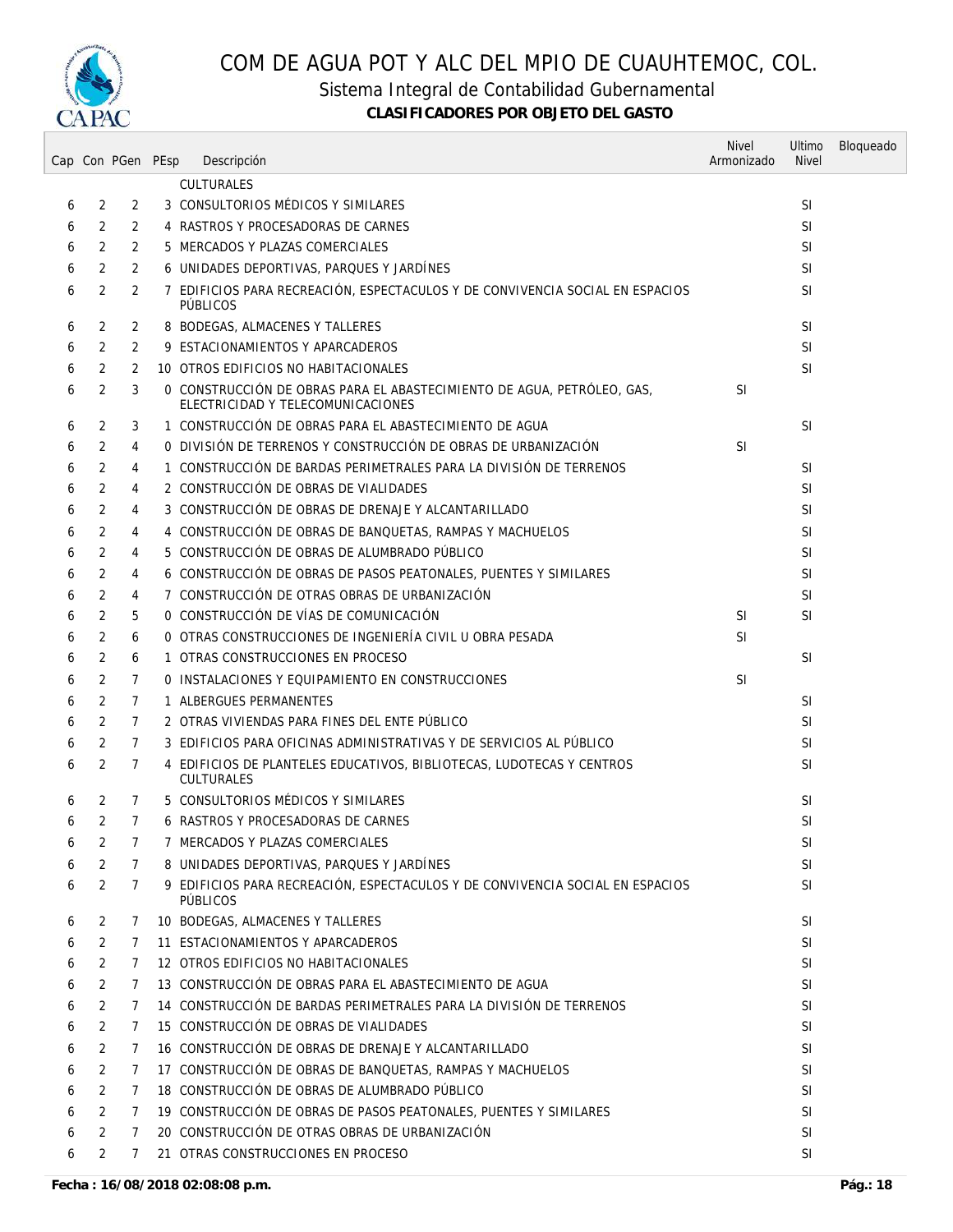

Sistema Integral de Contabilidad Gubernamental

|   |                | Cap Con PGen PEsp | Descripción                                                                                                 | <b>Nivel</b><br>Armonizado | Ultimo<br><b>Nivel</b> | Bloqueado |
|---|----------------|-------------------|-------------------------------------------------------------------------------------------------------------|----------------------------|------------------------|-----------|
|   |                |                   | <b>CULTURALES</b>                                                                                           |                            |                        |           |
| 6 | 2              | 2                 | 3 CONSULTORIOS MÉDICOS Y SIMILARES                                                                          |                            | <b>SI</b>              |           |
| 6 | 2              | $\overline{2}$    | 4 RASTROS Y PROCESADORAS DE CARNES                                                                          |                            | <b>SI</b>              |           |
| 6 | 2              | 2                 | 5 MERCADOS Y PLAZAS COMERCIALES                                                                             |                            | <b>SI</b>              |           |
| 6 | 2              | $\overline{2}$    | 6 UNIDADES DEPORTIVAS, PARQUES Y JARDÍNES                                                                   |                            | <b>SI</b>              |           |
| 6 | 2              | 2                 | 7 EDIFICIOS PARA RECREACIÓN, ESPECTACULOS Y DE CONVIVENCIA SOCIAL EN ESPACIOS                               |                            | <b>SI</b>              |           |
| 6 | 2              | 2                 | <b>PÚBLICOS</b><br>8 BODEGAS, ALMACENES Y TALLERES                                                          |                            | <b>SI</b>              |           |
| 6 | 2              | 2                 | 9 ESTACIONAMIENTOS Y APARCADEROS                                                                            |                            | <b>SI</b>              |           |
| 6 | 2              | 2                 | 10 OTROS EDIFICIOS NO HABITACIONALES                                                                        |                            | <b>SI</b>              |           |
| 6 | 2              | 3                 | O CONSTRUCCIÓN DE OBRAS PARA EL ABASTECIMIENTO DE AGUA, PETRÓLEO, GAS,<br>ELECTRICIDAD Y TELECOMUNICACIONES | <b>SI</b>                  |                        |           |
| 6 | 2              | 3                 | 1 CONSTRUCCIÓN DE OBRAS PARA EL ABASTECIMIENTO DE AGUA                                                      |                            | SI                     |           |
| 6 | 2              | 4                 | O DIVISIÓN DE TERRENOS Y CONSTRUCCIÓN DE OBRAS DE URBANIZACIÓN                                              | <b>SI</b>                  |                        |           |
| 6 | 2              | 4                 | 1 CONSTRUCCIÓN DE BARDAS PERIMETRALES PARA LA DIVISIÓN DE TERRENOS                                          |                            | <b>SI</b>              |           |
| 6 | 2              | 4                 | 2 CONSTRUCCIÓN DE OBRAS DE VIALIDADES                                                                       |                            | <b>SI</b>              |           |
| 6 | 2              | 4                 | 3 CONSTRUCCIÓN DE OBRAS DE DRENAJE Y ALCANTARILLADO                                                         |                            | <b>SI</b>              |           |
|   |                |                   | 4 CONSTRUCCIÓN DE OBRAS DE BANQUETAS, RAMPAS Y MACHUELOS                                                    |                            | <b>SI</b>              |           |
| 6 | 2              | 4                 |                                                                                                             |                            |                        |           |
| 6 | 2              | 4                 | 5 CONSTRUCCIÓN DE OBRAS DE ALUMBRADO PÚBLICO                                                                |                            | <b>SI</b>              |           |
| 6 | 2              | 4                 | 6 CONSTRUCCIÓN DE OBRAS DE PASOS PEATONALES, PUENTES Y SIMILARES                                            |                            | <b>SI</b>              |           |
| 6 | 2              | 4                 | 7 CONSTRUCCIÓN DE OTRAS OBRAS DE URBANIZACIÓN                                                               |                            | <b>SI</b>              |           |
| 6 | $\overline{2}$ | 5                 | O CONSTRUCCIÓN DE VÍAS DE COMUNICACIÓN                                                                      | <b>SI</b>                  | <b>SI</b>              |           |
| 6 | 2              | 6                 | 0 OTRAS CONSTRUCCIONES DE INGENIERÍA CIVIL U OBRA PESADA                                                    | <b>SI</b>                  |                        |           |
| 6 | 2              | 6                 | 1 OTRAS CONSTRUCCIONES EN PROCESO                                                                           |                            | <b>SI</b>              |           |
| 6 | 2              | 7                 | 0 INSTALACIONES Y EQUIPAMIENTO EN CONSTRUCCIONES                                                            | <sup>SI</sup>              |                        |           |
| 6 | 2              | $\overline{7}$    | 1 ALBERGUES PERMANENTES                                                                                     |                            | SI                     |           |
| 6 | 2              | $\overline{7}$    | 2 OTRAS VIVIENDAS PARA FINES DEL ENTE PÚBLICO                                                               |                            | <b>SI</b>              |           |
| 6 | 2              | 7                 | 3 EDIFICIOS PARA OFICINAS ADMINISTRATIVAS Y DE SERVICIOS AL PÚBLICO                                         |                            | <b>SI</b>              |           |
| 6 | 2              | 7                 | 4 EDIFICIOS DE PLANTELES EDUCATIVOS, BIBLIOTECAS, LUDOTECAS Y CENTROS<br><b>CULTURALES</b>                  |                            | <b>SI</b>              |           |
| 6 | 2              | 7                 | 5 CONSULTORIOS MÉDICOS Y SIMILARES                                                                          |                            | <b>SI</b>              |           |
| 6 | 2              | $\overline{7}$    | 6 RASTROS Y PROCESADORAS DE CARNES                                                                          |                            | <b>SI</b>              |           |
| 6 | 2              | $\overline{7}$    | 7 MERCADOS Y PLAZAS COMERCIALES                                                                             |                            | SI                     |           |
| 6 | 2              | $\mathcal{I}$     | 8 UNIDADES DEPORTIVAS, PARQUES Y JARDÍNES                                                                   |                            | <b>SI</b>              |           |
| 6 | 2              | $\mathcal{I}$     | 9 EDIFICIOS PARA RECREACIÓN. ESPECTACULOS Y DE CONVIVENCIA SOCIAL EN ESPACIOS<br><b>PÚBLICOS</b>            |                            | <b>SI</b>              |           |
| 6 | 2              | 7                 | 10 BODEGAS, ALMACENES Y TALLERES                                                                            |                            | <b>SI</b>              |           |
| 6 | 2              | 7                 | 11 ESTACIONAMIENTOS Y APARCADEROS                                                                           |                            | SI.                    |           |
| 6 | 2              | 7                 | 12 OTROS EDIFICIOS NO HABITACIONALES                                                                        |                            | <b>SI</b>              |           |
| 6 | 2              | 7                 | 13 CONSTRUCCIÓN DE OBRAS PARA EL ABASTECIMIENTO DE AGUA                                                     |                            | <b>SI</b>              |           |
| 6 | 2              | 7                 | 14 CONSTRUCCIÓN DE BARDAS PERIMETRALES PARA LA DIVISIÓN DE TERRENOS                                         |                            | SI                     |           |
| 6 | 2              | 7                 | 15 CONSTRUCCIÓN DE OBRAS DE VIALIDADES                                                                      |                            | <b>SI</b>              |           |
| 6 | 2              | 7                 | 16 CONSTRUCCIÓN DE OBRAS DE DRENAJE Y ALCANTARILLADO                                                        |                            | SI                     |           |
| 6 | 2              | 7                 | 17 CONSTRUCCIÓN DE OBRAS DE BANQUETAS, RAMPAS Y MACHUELOS                                                   |                            | SI                     |           |
| 6 | 2              | 7                 | 18 CONSTRUCCIÓN DE OBRAS DE ALUMBRADO PÚBLICO                                                               |                            | <b>SI</b>              |           |
| 6 | 2              | $\mathcal{I}$     | 19 CONSTRUCCIÓN DE OBRAS DE PASOS PEATONALES, PUENTES Y SIMILARES                                           |                            | SI                     |           |
| 6 | 2              | $\overline{7}$    | 20 CONSTRUCCIÓN DE OTRAS OBRAS DE URBANIZACIÓN                                                              |                            | SI                     |           |
| 6 | 2              | 7                 | 21 OTRAS CONSTRUCCIONES EN PROCESO                                                                          |                            | SI                     |           |
|   |                |                   |                                                                                                             |                            |                        |           |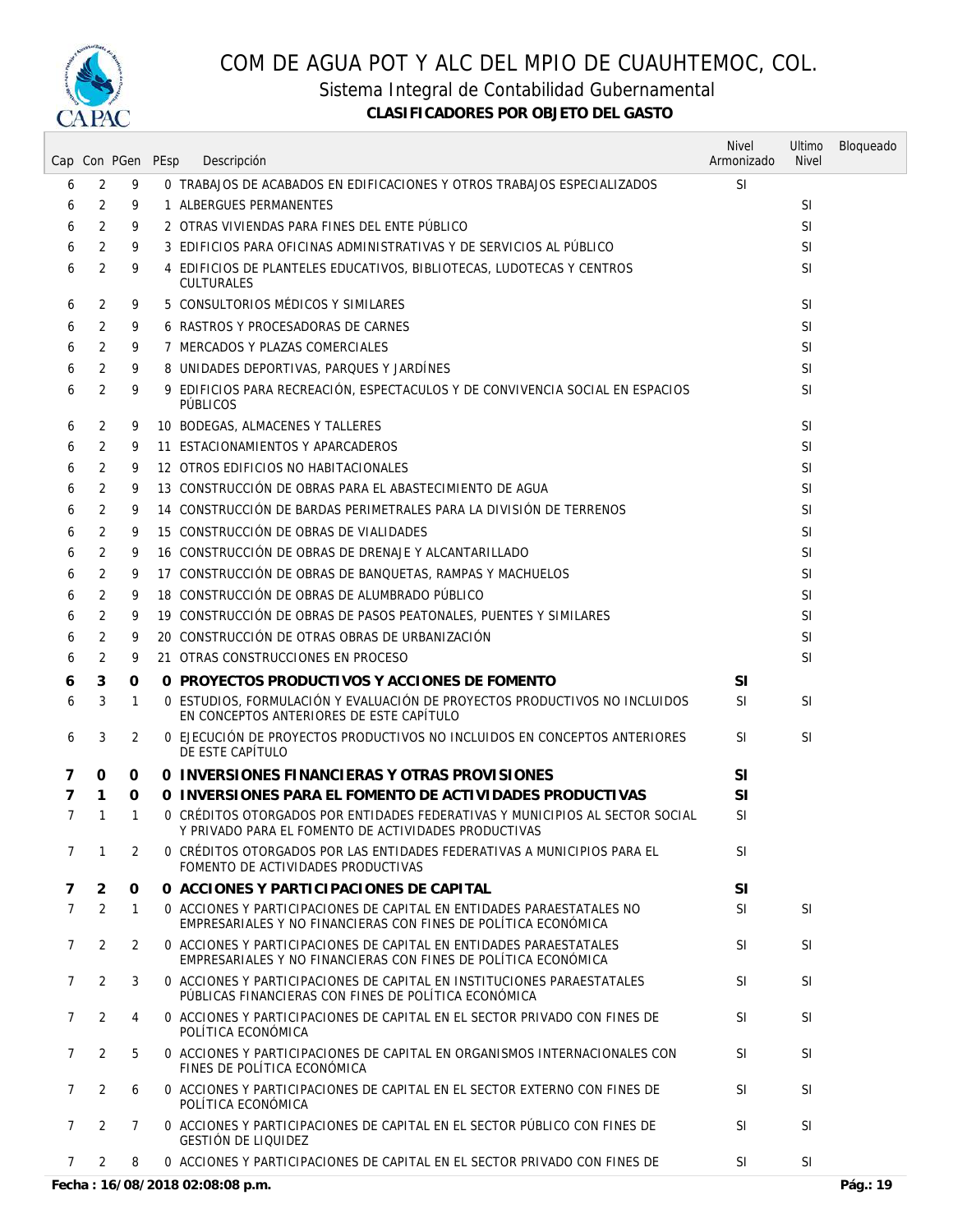

Sistema Integral de Contabilidad Gubernamental

|                |                | Cap Con PGen PEsp | Descripción                                                                                                                             | <b>Nivel</b><br>Armonizado | Ultimo<br><b>Nivel</b> | Bloqueado |
|----------------|----------------|-------------------|-----------------------------------------------------------------------------------------------------------------------------------------|----------------------------|------------------------|-----------|
| 6              | 2              | 9                 | 0 TRABAJOS DE ACABADOS EN EDIFICACIONES Y OTROS TRABAJOS ESPECIALIZADOS                                                                 | <b>SI</b>                  |                        |           |
| 6              | 2              | 9                 | 1 ALBERGUES PERMANENTES                                                                                                                 |                            | <b>SI</b>              |           |
| 6              | 2              | 9                 | 2 OTRAS VIVIENDAS PARA FINES DEL ENTE PÚBLICO                                                                                           |                            | <b>SI</b>              |           |
| 6              | 2              | 9                 | 3 EDIFICIOS PARA OFICINAS ADMINISTRATIVAS Y DE SERVICIOS AL PÚBLICO                                                                     |                            | <b>SI</b>              |           |
| 6              | 2              | 9                 | 4 EDIFICIOS DE PLANTELES EDUCATIVOS, BIBLIOTECAS, LUDOTECAS Y CENTROS                                                                   |                            | <b>SI</b>              |           |
|                |                |                   | <b>CULTURALES</b>                                                                                                                       |                            |                        |           |
| 6              | 2              | 9                 | 5 CONSULTORIOS MÉDICOS Y SIMILARES                                                                                                      |                            | <b>SI</b>              |           |
| 6              | 2              | 9                 | 6 RASTROS Y PROCESADORAS DE CARNES                                                                                                      |                            | <b>SI</b>              |           |
| 6              | 2              | 9                 | 7 MERCADOS Y PLAZAS COMERCIALES                                                                                                         |                            | <b>SI</b>              |           |
| 6              | 2              | 9                 | 8 UNIDADES DEPORTIVAS, PARQUES Y JARDÍNES                                                                                               |                            | <b>SI</b>              |           |
| 6              | 2              | 9                 | 9 EDIFICIOS PARA RECREACIÓN, ESPECTACULOS Y DE CONVIVENCIA SOCIAL EN ESPACIOS<br>PÚBLICOS                                               |                            | <b>SI</b>              |           |
| 6              | 2              | 9                 | 10 BODEGAS, ALMACENES Y TALLERES                                                                                                        |                            | <b>SI</b>              |           |
| 6              | 2              | 9                 | 11 ESTACIONAMIENTOS Y APARCADEROS                                                                                                       |                            | <b>SI</b>              |           |
| 6              | 2              | 9                 | 12 OTROS EDIFICIOS NO HABITACIONALES                                                                                                    |                            | <b>SI</b>              |           |
| 6              | 2              | 9                 | 13 CONSTRUCCIÓN DE OBRAS PARA EL ABASTECIMIENTO DE AGUA                                                                                 |                            | <b>SI</b>              |           |
| 6              | 2              | 9                 | 14 CONSTRUCCIÓN DE BARDAS PERIMETRALES PARA LA DIVISIÓN DE TERRENOS                                                                     |                            | <b>SI</b>              |           |
| 6              | 2              | 9                 | 15 CONSTRUCCIÓN DE OBRAS DE VIALIDADES                                                                                                  |                            | <b>SI</b>              |           |
| 6              | 2              | 9                 | 16 CONSTRUCCIÓN DE OBRAS DE DRENAJE Y ALCANTARILLADO                                                                                    |                            | SI                     |           |
| 6              | 2              | 9                 | 17 CONSTRUCCIÓN DE OBRAS DE BANQUETAS, RAMPAS Y MACHUELOS                                                                               |                            | <b>SI</b>              |           |
| 6              | 2              | 9                 | 18 CONSTRUCCIÓN DE OBRAS DE ALUMBRADO PÚBLICO                                                                                           |                            | <b>SI</b>              |           |
| 6              | 2              | 9                 | 19 CONSTRUCCIÓN DE OBRAS DE PASOS PEATONALES, PUENTES Y SIMILARES                                                                       |                            | <b>SI</b>              |           |
| 6              | 2              | 9                 | 20 CONSTRUCCIÓN DE OTRAS OBRAS DE URBANIZACIÓN                                                                                          |                            | SI                     |           |
| 6              | 2              | 9                 | 21 OTRAS CONSTRUCCIONES EN PROCESO                                                                                                      |                            | <b>SI</b>              |           |
| 6              | 3              | 0                 | O PROYECTOS PRODUCTIVOS Y ACCIONES DE FOMENTO                                                                                           | <b>SI</b>                  |                        |           |
| 6              | 3              | 1                 | O ESTUDIOS, FORMULACIÓN Y EVALUACIÓN DE PROYECTOS PRODUCTIVOS NO INCLUIDOS<br>EN CONCEPTOS ANTERIORES DE ESTE CAPÍTULO                  | <b>SI</b>                  | <b>SI</b>              |           |
| 6              | 3              | 2                 | 0 EJECUCIÓN DE PROYECTOS PRODUCTIVOS NO INCLUIDOS EN CONCEPTOS ANTERIORES<br>DE ESTE CAPÍTULO                                           | <b>SI</b>                  | <b>SI</b>              |           |
| 7              | 0              | 0                 | O INVERSIONES FINANCIERAS Y OTRAS PROVISIONES                                                                                           | SI                         |                        |           |
| 7              | 1              | 0                 | O INVERSIONES PARA EL FOMENTO DE ACTIVIDADES PRODUCTIVAS                                                                                | SI                         |                        |           |
| 7              | $\mathbf{1}$   | 1                 | 0 CRÉDITOS OTORGADOS POR ENTIDADES FEDERATIVAS Y MUNICIPIOS AL SECTOR SOCIAL<br>Y PRIVADO PARA EL FOMENTO DE ACTIVIDADES PRODUCTIVAS    | <b>SI</b>                  |                        |           |
| $\overline{7}$ | $\mathbf{1}$   | 2                 | O CRÉDITOS OTORGADOS POR LAS ENTIDADES FEDERATIVAS A MUNICIPIOS PARA EL<br>FOMENTO DE ACTIVIDADES PRODUCTIVAS                           | <b>SI</b>                  |                        |           |
| 7              | $\overline{2}$ | $\Omega$          | O ACCIONES Y PARTICIPACIONES DE CAPITAL                                                                                                 | <b>SI</b>                  |                        |           |
| $\overline{7}$ | 2              | $\mathbf{1}$      | 0 ACCIONES Y PARTICIPACIONES DE CAPITAL EN ENTIDADES PARAESTATALES NO<br>EMPRESARIALES Y NO FINANCIERAS CON FINES DE POLÍTICA ECONÓMICA | SI.                        | SI.                    |           |
| 7              | 2              | $\overline{2}$    | 0 ACCIONES Y PARTICIPACIONES DE CAPITAL EN ENTIDADES PARAESTATALES<br>EMPRESARIALES Y NO FINANCIERAS CON FINES DE POLÍTICA ECONÓMICA    | <b>SI</b>                  | <b>SI</b>              |           |
| 7              | 2              | 3                 | 0 ACCIONES Y PARTICIPACIONES DE CAPITAL EN INSTITUCIONES PARAESTATALES<br>PÚBLICAS FINANCIERAS CON FINES DE POLÍTICA ECONÓMICA          | <b>SI</b>                  | <b>SI</b>              |           |
| 7              | 2              | 4                 | 0 ACCIONES Y PARTICIPACIONES DE CAPITAL EN EL SECTOR PRIVADO CON FINES DE<br>POLÍTICA ECONÓMICA                                         | <b>SI</b>                  | <b>SI</b>              |           |
| 7              | $\overline{2}$ | 5                 | 0 ACCIONES Y PARTICIPACIONES DE CAPITAL EN ORGANISMOS INTERNACIONALES CON<br>FINES DE POLÍTICA ECONÓMICA                                | <b>SI</b>                  | <b>SI</b>              |           |
| $\overline{7}$ | $\overline{2}$ | 6                 | 0 ACCIONES Y PARTICIPACIONES DE CAPITAL EN EL SECTOR EXTERNO CON FINES DE<br>POLÍTICA ECONÓMICA                                         | <b>SI</b>                  | SI.                    |           |
| $\overline{7}$ | 2              | 7                 | 0 ACCIONES Y PARTICIPACIONES DE CAPITAL EN EL SECTOR PÚBLICO CON FINES DE<br><b>GESTIÓN DE LIQUIDEZ</b>                                 | <b>SI</b>                  | <b>SI</b>              |           |
| $7^{\circ}$    | 2              | 8                 | 0 ACCIONES Y PARTICIPACIONES DE CAPITAL EN EL SECTOR PRIVADO CON FINES DE                                                               | SI.                        | SI                     |           |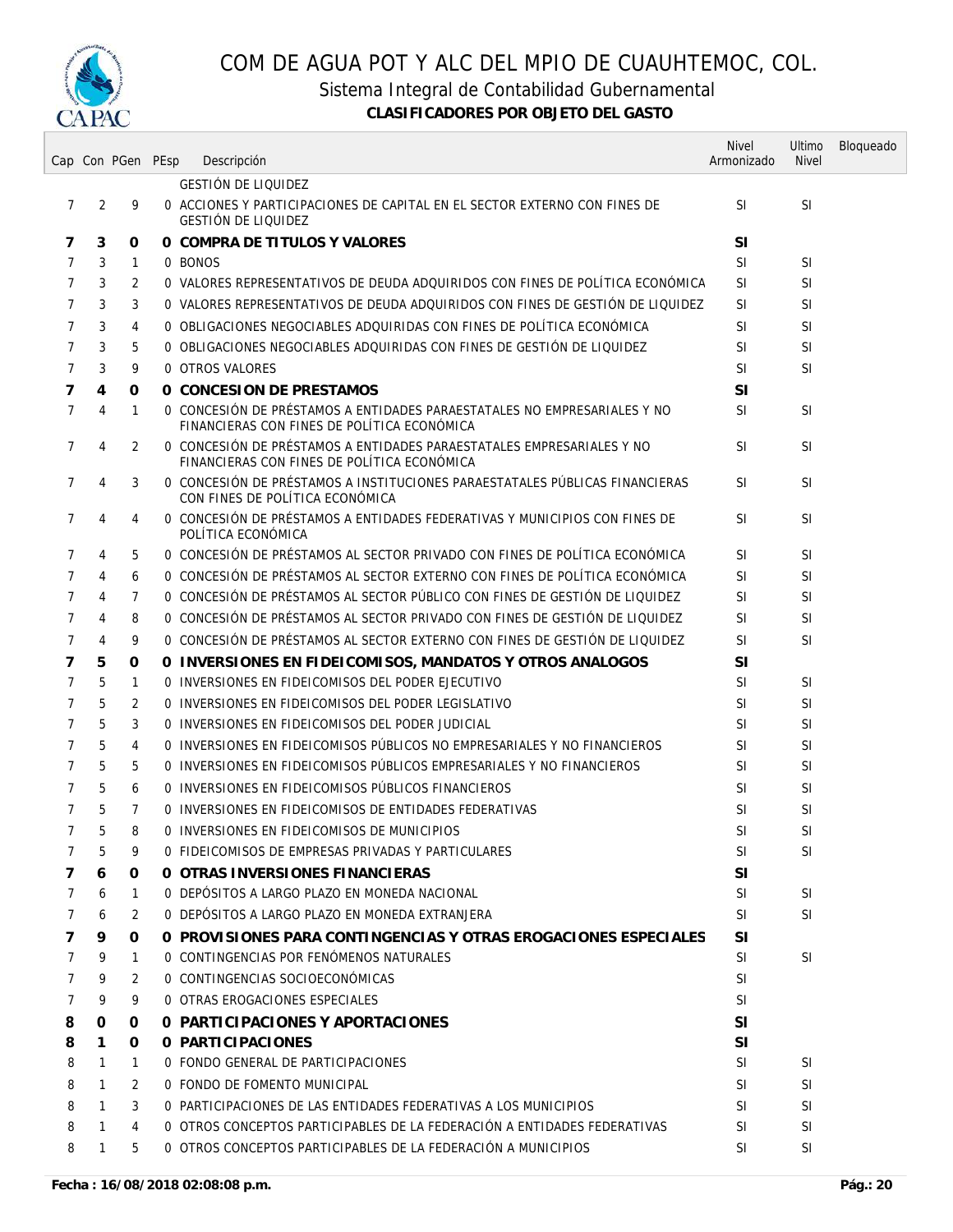

Sistema Integral de Contabilidad Gubernamental

|                |   | Cap Con PGen PEsp | Descripción                                                                                                             | <b>Nivel</b><br>Armonizado | Ultimo<br><b>Nivel</b> | Bloqueado |
|----------------|---|-------------------|-------------------------------------------------------------------------------------------------------------------------|----------------------------|------------------------|-----------|
|                |   |                   | <b>GESTIÓN DE LIQUIDEZ</b>                                                                                              |                            |                        |           |
| $\overline{7}$ | 2 | 9                 | 0 ACCIONES Y PARTICIPACIONES DE CAPITAL EN EL SECTOR EXTERNO CON FINES DE<br><b>GESTIÓN DE LIQUIDEZ</b>                 | <b>SI</b>                  | <b>SI</b>              |           |
| 7              | 3 | 0                 | O COMPRA DE TITULOS Y VALORES                                                                                           | <b>SI</b>                  |                        |           |
| 7              | 3 | 1                 | 0 BONOS                                                                                                                 | SI                         | SI                     |           |
| 7              | 3 | 2                 | 0 VALORES REPRESENTATIVOS DE DEUDA ADQUIRIDOS CON FINES DE POLÍTICA ECONÓMICA                                           | <b>SI</b>                  | SI                     |           |
| 7              | 3 | 3                 | 0 VALORES REPRESENTATIVOS DE DEUDA ADQUIRIDOS CON FINES DE GESTIÓN DE LIQUIDEZ                                          | SI                         | <b>SI</b>              |           |
| 7              | 3 | 4                 | 0 OBLIGACIONES NEGOCIABLES ADQUIRIDAS CON FINES DE POLÍTICA ECONÓMICA                                                   | SI                         | SI                     |           |
| 7              | 3 | 5                 | 0 OBLIGACIONES NEGOCIABLES ADQUIRIDAS CON FINES DE GESTIÓN DE LIQUIDEZ                                                  | SI                         | <b>SI</b>              |           |
| 7              | 3 | 9                 | 0 OTROS VALORES                                                                                                         | <b>SI</b>                  | SI                     |           |
| 7              | 4 | 0                 | 0 CONCESION DE PRESTAMOS                                                                                                | <b>SI</b>                  |                        |           |
| 7              | 4 | $\mathbf{1}$      | 0 CONCESIÓN DE PRÉSTAMOS A ENTIDADES PARAESTATALES NO EMPRESARIALES Y NO<br>FINANCIERAS CON FINES DE POLÍTICA ECONÓMICA | SI                         | SI.                    |           |
| 7              | 4 | 2                 | O CONCESIÓN DE PRÉSTAMOS A ENTIDADES PARAESTATALES EMPRESARIALES Y NO<br>FINANCIERAS CON FINES DE POLÍTICA ECONÓMICA    | <b>SI</b>                  | SI                     |           |
| 7              | 4 | 3                 | O CONCESIÓN DE PRÉSTAMOS A INSTITUCIONES PARAESTATALES PÚBLICAS FINANCIERAS<br>CON FINES DE POLÍTICA ECONÓMICA          | SΙ                         | SI                     |           |
| 7              | 4 | 4                 | O CONCESIÓN DE PRÉSTAMOS A ENTIDADES FEDERATIVAS Y MUNICIPIOS CON FINES DE<br>POLÍTICA ECONÓMICA                        | <b>SI</b>                  | <b>SI</b>              |           |
| 7              | 4 | 5                 | O CONCESIÓN DE PRÉSTAMOS AL SECTOR PRIVADO CON FINES DE POLÍTICA ECONÓMICA                                              | <b>SI</b>                  | SI                     |           |
| 7              | 4 | 6                 | O CONCESIÓN DE PRÉSTAMOS AL SECTOR EXTERNO CON FINES DE POLÍTICA ECONÓMICA                                              | <b>SI</b>                  | SI                     |           |
| 7              | 4 | 7                 | O CONCESIÓN DE PRÉSTAMOS AL SECTOR PÚBLICO CON FINES DE GESTIÓN DE LIQUIDEZ                                             | SI                         | SI.                    |           |
| 7              | 4 | 8                 | O CONCESIÓN DE PRÉSTAMOS AL SECTOR PRIVADO CON FINES DE GESTIÓN DE LIQUIDEZ                                             | SI                         | <b>SI</b>              |           |
| 7              | 4 | 9                 | O CONCESIÓN DE PRÉSTAMOS AL SECTOR EXTERNO CON FINES DE GESTIÓN DE LIQUIDEZ                                             | SI                         | <b>SI</b>              |           |
| 7              | 5 | 0                 | O INVERSIONES EN FIDEICOMISOS, MANDATOS Y OTROS ANALOGOS                                                                | <b>SI</b>                  |                        |           |
| 7              | 5 | 1                 | 0 INVERSIONES EN FIDEICOMISOS DEL PODER EJECUTIVO                                                                       | SI                         | <b>SI</b>              |           |
| 7              | 5 | 2                 | 0 INVERSIONES EN FIDEICOMISOS DEL PODER LEGISLATIVO                                                                     | SI                         | <b>SI</b>              |           |
| 7              | 5 | 3                 | O INVERSIONES EN FIDEICOMISOS DEL PODER JUDICIAL                                                                        | SI                         | <b>SI</b>              |           |
| 7              | 5 | 4                 | O INVERSIONES EN FIDEICOMISOS PÚBLICOS NO EMPRESARIALES Y NO FINANCIEROS                                                | SI                         | SI                     |           |
| 7              | 5 | 5                 | 0 INVERSIONES EN FIDEICOMISOS PÚBLICOS EMPRESARIALES Y NO FINANCIEROS                                                   | SI                         | SI                     |           |
| 7              | 5 | 6                 | O INVERSIONES EN FIDEICOMISOS PÚBLICOS FINANCIEROS                                                                      | <b>SI</b>                  | SI                     |           |
| 7              | 5 | 7                 | O INVERSIONES EN FIDEICOMISOS DE ENTIDADES FEDERATIVAS                                                                  | SI                         | <b>SI</b>              |           |
| $\overline{7}$ | 5 | 8                 | O INVERSIONES EN FIDEICOMISOS DE MUNICIPIOS                                                                             | <b>SI</b>                  | SI                     |           |
| 7              | 5 | 9                 | O FIDEICOMISOS DE EMPRESAS PRIVADAS Y PARTICULARES                                                                      | <b>SI</b>                  | <b>SI</b>              |           |
| 7              | 6 | 0                 | O OTRAS INVERSIONES FINANCIERAS                                                                                         | <b>SI</b>                  |                        |           |
| 7              | 6 | $\mathbf{1}$      | O DEPÓSITOS A LARGO PLAZO EN MONEDA NACIONAL                                                                            | <b>SI</b>                  | SI                     |           |
| 7              | 6 | 2                 | O DEPÓSITOS A LARGO PLAZO EN MONEDA EXTRANJERA                                                                          | <b>SI</b>                  | <b>SI</b>              |           |
| 7              | 9 | 0                 | O PROVISIONES PARA CONTINGENCIAS Y OTRAS EROGACIONES ESPECIALES                                                         | SI                         |                        |           |
| 7              | 9 | 1                 | O CONTINGENCIAS POR FENÓMENOS NATURALES                                                                                 | SI                         | SI                     |           |
| 7              | 9 | 2                 | O CONTINGENCIAS SOCIOECONÓMICAS                                                                                         | <b>SI</b>                  |                        |           |
| 7              | 9 | 9                 | 0 OTRAS EROGACIONES ESPECIALES                                                                                          | <b>SI</b>                  |                        |           |
| 8              | 0 | 0                 | 0 PARTICIPACIONES Y APORTACIONES                                                                                        | <b>SI</b>                  |                        |           |
| 8              | 1 | 0                 | O PARTICIPACIONES                                                                                                       | <b>SI</b>                  |                        |           |
| 8              | 1 | 1                 | 0 FONDO GENERAL DE PARTICIPACIONES                                                                                      | SI                         | SI                     |           |
| 8              | 1 | 2                 | 0 FONDO DE FOMENTO MUNICIPAL                                                                                            | SI.                        | SI                     |           |
| 8              | 1 | 3                 | O PARTICIPACIONES DE LAS ENTIDADES FEDERATIVAS A LOS MUNICIPIOS                                                         | <b>SI</b>                  | SI                     |           |
| 8              | 1 | 4                 | 0 OTROS CONCEPTOS PARTICIPABLES DE LA FEDERACIÓN A ENTIDADES FEDERATIVAS                                                | SI.                        | SI                     |           |
| 8              | 1 | 5                 | O OTROS CONCEPTOS PARTICIPABLES DE LA FEDERACIÓN A MUNICIPIOS                                                           | SI.                        | SI                     |           |